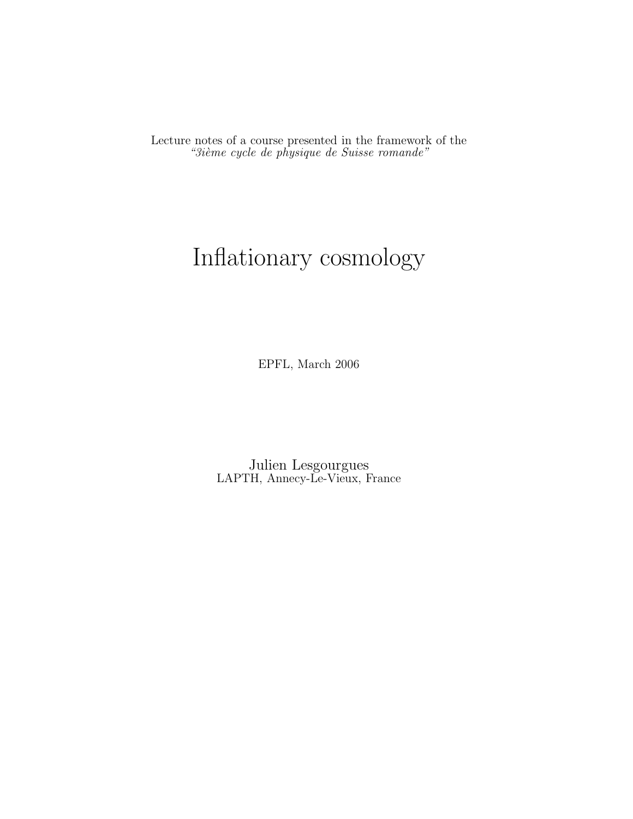Lecture notes of a course presented in the framework of the "3ième cycle de physique de Suisse romande"

# Inflationary cosmology

EPFL, March 2006

Julien Lesgourgues LAPTH, Annecy-Le-Vieux, France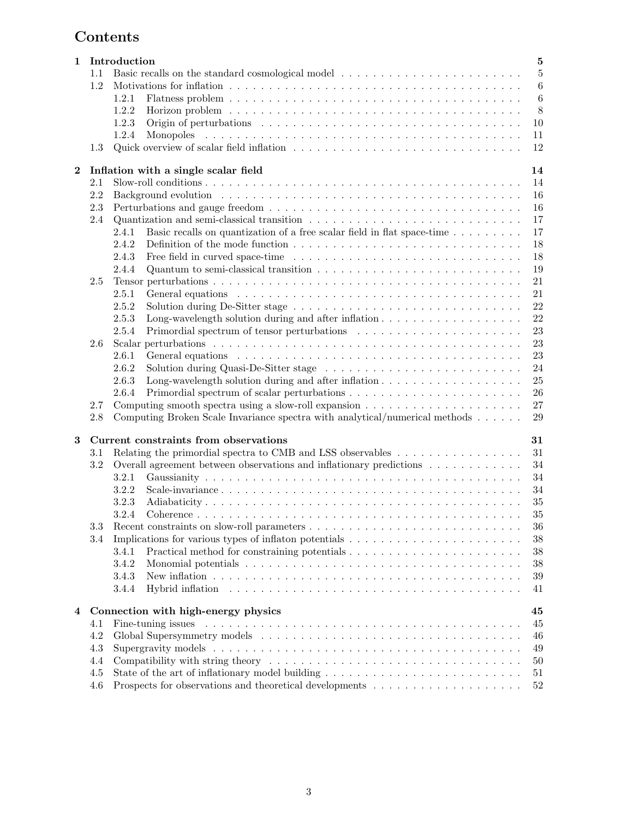## Contents

| 1        |            | $\bf 5$<br>Introduction                                                                                                          |
|----------|------------|----------------------------------------------------------------------------------------------------------------------------------|
|          | $1.1\,$    | $\bf 5$                                                                                                                          |
|          | 1.2        | $\,6$                                                                                                                            |
|          |            | $\,6$<br>1.2.1                                                                                                                   |
|          |            | $\,8\,$<br>1.2.2<br>Horizon problem $\ldots \ldots \ldots \ldots \ldots \ldots \ldots \ldots \ldots \ldots \ldots \ldots \ldots$ |
|          |            | 1.2.3<br>10                                                                                                                      |
|          |            | 1.2.4<br>11                                                                                                                      |
|          | 1.3        | 12                                                                                                                               |
|          |            |                                                                                                                                  |
| $\bf{2}$ |            | Inflation with a single scalar field<br>14                                                                                       |
|          | 2.1        | 14                                                                                                                               |
|          | 2.2        | 16                                                                                                                               |
|          | 2.3        | 16                                                                                                                               |
|          | 2.4        | 17                                                                                                                               |
|          |            | Basic recalls on quantization of a free scalar field in flat space-time<br>17<br>2.4.1                                           |
|          |            | 2.4.2<br>18                                                                                                                      |
|          |            | 18<br>2.4.3                                                                                                                      |
|          |            | 2.4.4<br>19                                                                                                                      |
|          | 2.5        | 21                                                                                                                               |
|          |            | 2.5.1<br>21                                                                                                                      |
|          |            | 22<br>2.5.2                                                                                                                      |
|          |            | 22<br>2.5.3<br>Long-wavelength solution during and after inflation $\dots \dots \dots \dots \dots \dots$                         |
|          |            | 2.5.4<br>23                                                                                                                      |
|          | 2.6        | 23                                                                                                                               |
|          |            | 2.6.1<br>23                                                                                                                      |
|          |            | 2.6.2<br>24                                                                                                                      |
|          |            | 2.6.3<br>Long-wavelength solution during and after inflation $\dots \dots \dots \dots \dots \dots$<br>25                         |
|          |            | 2.6.4<br>26                                                                                                                      |
|          | 2.7        | 27                                                                                                                               |
|          | 2.8        | Computing Broken Scale Invariance spectra with analytical/numerical methods<br>29                                                |
| 3        |            | Current constraints from observations<br>31                                                                                      |
|          | 3.1        | Relating the primordial spectra to CMB and LSS observables<br>31                                                                 |
|          | 3.2        | Overall agreement between observations and inflationary predictions<br>34                                                        |
|          |            | 34<br>3.2.1                                                                                                                      |
|          |            | 3.2.2<br>34                                                                                                                      |
|          |            | 35<br>3.2.3                                                                                                                      |
|          |            | 35<br>3.2.4<br>Coherence                                                                                                         |
|          | 3.3        | 36                                                                                                                               |
|          | 3.4        | 38                                                                                                                               |
|          |            | 38<br>3.4.1                                                                                                                      |
|          |            | 3.4.2<br>38                                                                                                                      |
|          |            | $39\,$<br>3.4.3                                                                                                                  |
|          |            | 3.4.4<br>41                                                                                                                      |
|          |            | 45                                                                                                                               |
| 4        |            | Connection with high-energy physics                                                                                              |
|          | 4.1<br>4.2 | 45                                                                                                                               |
|          |            | 46                                                                                                                               |
|          | 4.3        | 49                                                                                                                               |
|          | 4.4        | 50                                                                                                                               |
|          | 4.5        | $51\,$                                                                                                                           |
|          | 4.6        | Prospects for observations and theoretical developments $\hfill\ldots\ldots\ldots\ldots\ldots\ldots\ldots\ldots$<br>$52\,$       |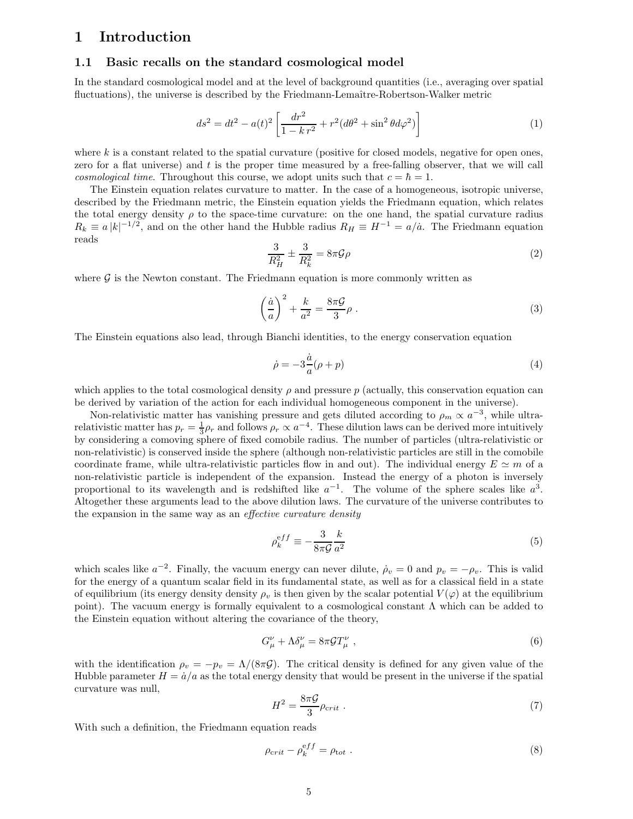## 1 Introduction

## 1.1 Basic recalls on the standard cosmological model

In the standard cosmological model and at the level of background quantities (i.e., averaging over spatial fluctuations), the universe is described by the Friedmann-Lemaître-Robertson-Walker metric

$$
ds^{2} = dt^{2} - a(t)^{2} \left[ \frac{dr^{2}}{1 - kr^{2}} + r^{2} (d\theta^{2} + \sin^{2} \theta d\varphi^{2}) \right]
$$
 (1)

where  $k$  is a constant related to the spatial curvature (positive for closed models, negative for open ones, zero for a flat universe) and  $t$  is the proper time measured by a free-falling observer, that we will call cosmological time. Throughout this course, we adopt units such that  $c = \hbar = 1$ .

The Einstein equation relates curvature to matter. In the case of a homogeneous, isotropic universe, described by the Friedmann metric, the Einstein equation yields the Friedmann equation, which relates the total energy density  $\rho$  to the space-time curvature: on the one hand, the spatial curvature radius  $R_k \equiv a |k|^{-1/2}$ , and on the other hand the Hubble radius  $R_H \equiv H^{-1} = a/\dot{a}$ . The Friedmann equation reads

$$
\frac{3}{R_H^2} \pm \frac{3}{R_k^2} = 8\pi \mathcal{G}\rho \tag{2}
$$

where  $G$  is the Newton constant. The Friedmann equation is more commonly written as

$$
\left(\frac{\dot{a}}{a}\right)^2 + \frac{k}{a^2} = \frac{8\pi\mathcal{G}}{3}\rho\;.
$$
 (3)

The Einstein equations also lead, through Bianchi identities, to the energy conservation equation

$$
\dot{\rho} = -3\frac{\dot{a}}{a}(\rho + p) \tag{4}
$$

which applies to the total cosmological density  $\rho$  and pressure p (actually, this conservation equation can be derived by variation of the action for each individual homogeneous component in the universe).

Non-relativistic matter has vanishing pressure and gets diluted according to  $\rho_m \propto a^{-3}$ , while ultrarelativistic matter has  $p_r = \frac{1}{3}\rho_r$  and follows  $\rho_r \propto a^{-4}$ . These dilution laws can be derived more intuitively by considering a comoving sphere of fixed comobile radius. The number of particles (ultra-relativistic or non-relativistic) is conserved inside the sphere (although non-relativistic particles are still in the comobile coordinate frame, while ultra-relativistic particles flow in and out). The individual energy  $E \simeq m$  of a non-relativistic particle is independent of the expansion. Instead the energy of a photon is inversely proportional to its wavelength and is redshifted like  $a^{-1}$ . The volume of the sphere scales like  $a^3$ . Altogether these arguments lead to the above dilution laws. The curvature of the universe contributes to the expansion in the same way as an effective curvature density

$$
\rho_k^{eff} \equiv -\frac{3}{8\pi \mathcal{G}} \frac{k}{a^2} \tag{5}
$$

which scales like  $a^{-2}$ . Finally, the vacuum energy can never dilute,  $\rho_v = 0$  and  $p_v = -\rho_v$ . This is valid for the energy of a quantum scalar field in its fundamental state, as well as for a classical field in a state of equilibrium (its energy density density  $\rho_v$  is then given by the scalar potential  $V(\varphi)$  at the equilibrium point). The vacuum energy is formally equivalent to a cosmological constant  $\Lambda$  which can be added to the Einstein equation without altering the covariance of the theory,

$$
G^{\nu}_{\mu} + \Lambda \delta^{\nu}_{\mu} = 8\pi \mathcal{G} T^{\nu}_{\mu} , \qquad (6)
$$

with the identification  $\rho_v = -p_v = \Lambda/(8\pi \mathcal{G})$ . The critical density is defined for any given value of the Hubble parameter  $H = \dot{a}/a$  as the total energy density that would be present in the universe if the spatial curvature was null,

$$
H^2 = \frac{8\pi\mathcal{G}}{3}\rho_{\text{crit}}\ .\tag{7}
$$

With such a definition, the Friedmann equation reads

$$
\rho_{crit} - \rho_k^{eff} = \rho_{tot} \tag{8}
$$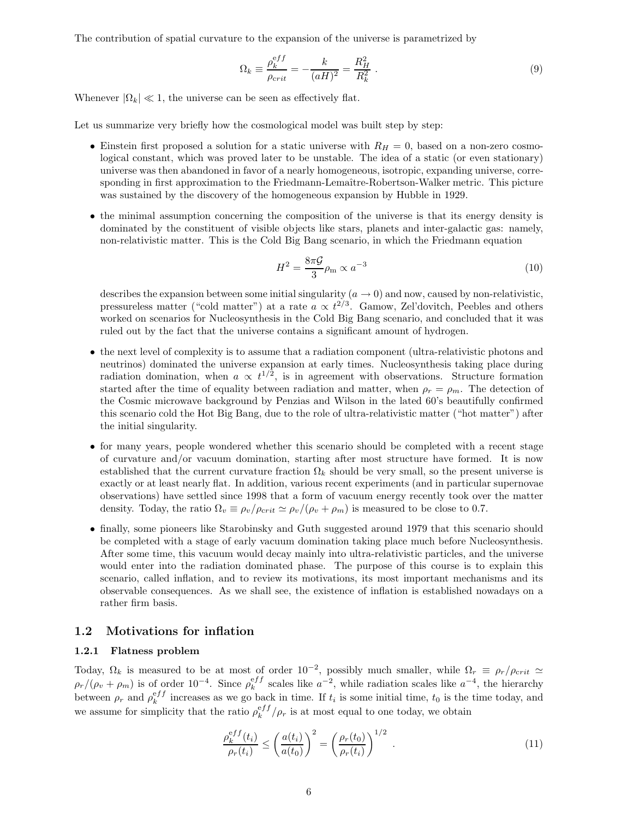The contribution of spatial curvature to the expansion of the universe is parametrized by

$$
\Omega_k \equiv \frac{\rho_k^{eff}}{\rho_{crit}} = -\frac{k}{(aH)^2} = \frac{R_H^2}{R_k^2} \,. \tag{9}
$$

Whenever  $|\Omega_k| \ll 1$ , the universe can be seen as effectively flat.

Let us summarize very briefly how the cosmological model was built step by step:

- Einstein first proposed a solution for a static universe with  $R_H = 0$ , based on a non-zero cosmological constant, which was proved later to be unstable. The idea of a static (or even stationary) universe was then abandoned in favor of a nearly homogeneous, isotropic, expanding universe, corresponding in first approximation to the Friedmann-Lemaître-Robertson-Walker metric. This picture was sustained by the discovery of the homogeneous expansion by Hubble in 1929.
- the minimal assumption concerning the composition of the universe is that its energy density is dominated by the constituent of visible objects like stars, planets and inter-galactic gas: namely, non-relativistic matter. This is the Cold Big Bang scenario, in which the Friedmann equation

$$
H^2 = \frac{8\pi\mathcal{G}}{3}\rho_{\rm m} \propto a^{-3} \tag{10}
$$

describes the expansion between some initial singularity  $(a \to 0)$  and now, caused by non-relativistic, pressureless matter ("cold matter") at a rate  $a \propto t^{2/3}$ . Gamow, Zel'dovitch, Peebles and others worked on scenarios for Nucleosynthesis in the Cold Big Bang scenario, and concluded that it was ruled out by the fact that the universe contains a significant amount of hydrogen.

- the next level of complexity is to assume that a radiation component (ultra-relativistic photons and neutrinos) dominated the universe expansion at early times. Nucleosynthesis taking place during radiation domination, when  $a \propto t^{1/2}$ , is in agreement with observations. Structure formation started after the time of equality between radiation and matter, when  $\rho_r = \rho_m$ . The detection of the Cosmic microwave background by Penzias and Wilson in the lated 60's beautifully confirmed this scenario cold the Hot Big Bang, due to the role of ultra-relativistic matter ("hot matter") after the initial singularity.
- for many years, people wondered whether this scenario should be completed with a recent stage of curvature and/or vacuum domination, starting after most structure have formed. It is now established that the current curvature fraction  $\Omega_k$  should be very small, so the present universe is exactly or at least nearly flat. In addition, various recent experiments (and in particular supernovae observations) have settled since 1998 that a form of vacuum energy recently took over the matter density. Today, the ratio  $\Omega_v \equiv \rho_v/\rho_{crit} \simeq \rho_v/(\rho_v + \rho_m)$  is measured to be close to 0.7.
- finally, some pioneers like Starobinsky and Guth suggested around 1979 that this scenario should be completed with a stage of early vacuum domination taking place much before Nucleosynthesis. After some time, this vacuum would decay mainly into ultra-relativistic particles, and the universe would enter into the radiation dominated phase. The purpose of this course is to explain this scenario, called inflation, and to review its motivations, its most important mechanisms and its observable consequences. As we shall see, the existence of inflation is established nowadays on a rather firm basis.

## 1.2 Motivations for inflation

#### 1.2.1 Flatness problem

Today,  $\Omega_k$  is measured to be at most of order 10<sup>-2</sup>, possibly much smaller, while  $\Omega_r \equiv \rho_r/\rho_{crit} \simeq$  $\rho_r/(\rho_v + \rho_m)$  is of order 10<sup>-4</sup>. Since  $\rho_k^{eff}$  scales like  $a^{-2}$ , while radiation scales like  $a^{-4}$ , the hierarchy between  $\rho_r$  and  $\rho_k^{eff}$  increases as we go back in time. If  $t_i$  is some initial time,  $t_0$  is the time today, and we assume for simplicity that the ratio  $\rho_k^{eff}/\rho_r$  is at most equal to one today, we obtain

$$
\frac{\rho_k^{eff}(t_i)}{\rho_r(t_i)} \le \left(\frac{a(t_i)}{a(t_0)}\right)^2 = \left(\frac{\rho_r(t_0)}{\rho_r(t_i)}\right)^{1/2}.
$$
\n(11)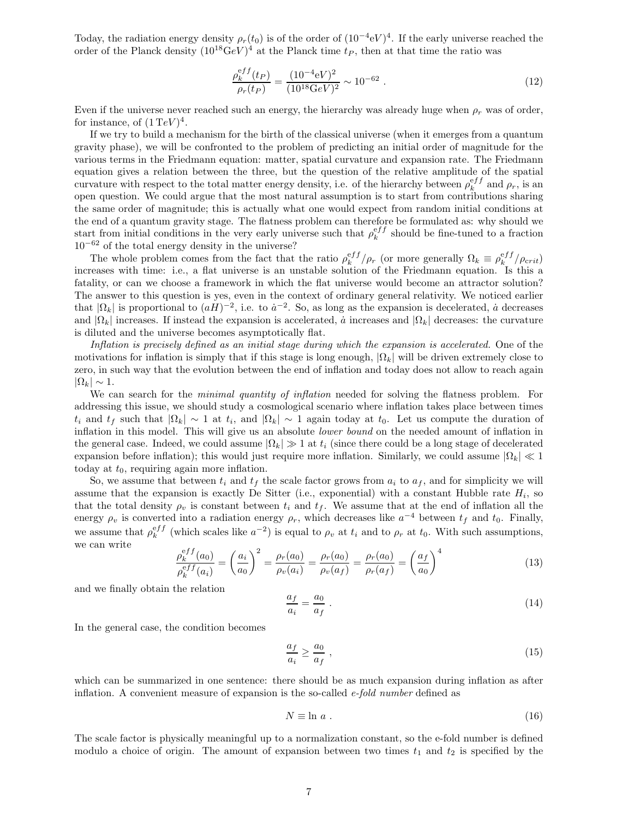Today, the radiation energy density  $\rho_r(t_0)$  is of the order of  $(10^{-4}$ eV $)^4$ . If the early universe reached the order of the Planck density  $(10^{18} \text{GeV})^4$  at the Planck time  $t_P$ , then at that time the ratio was

$$
\frac{\rho_k^{eff}(t_P)}{\rho_r(t_P)} = \frac{(10^{-4} \text{eV})^2}{(10^{18} \text{GeV})^2} \sim 10^{-62} \ . \tag{12}
$$

Even if the universe never reached such an energy, the hierarchy was already huge when  $\rho_r$  was of order, for instance, of  $(1 \text{ TeV})^4$ .

If we try to build a mechanism for the birth of the classical universe (when it emerges from a quantum gravity phase), we will be confronted to the problem of predicting an initial order of magnitude for the various terms in the Friedmann equation: matter, spatial curvature and expansion rate. The Friedmann equation gives a relation between the three, but the question of the relative amplitude of the spatial curvature with respect to the total matter energy density, i.e. of the hierarchy between  $\rho_k^{eff}$  and  $\rho_r$ , is an open question. We could argue that the most natural assumption is to start from contributions sharing the same order of magnitude; this is actually what one would expect from random initial conditions at the end of a quantum gravity stage. The flatness problem can therefore be formulated as: why should we start from initial conditions in the very early universe such that  $\rho_k^{eff}$  should be fine-tuned to a fraction  $10^{-62}$  of the total energy density in the universe?

The whole problem comes from the fact that the ratio  $\rho_k^{eff}/\rho_r$  (or more generally  $\Omega_k \equiv \rho_k^{eff}/\rho_{crit}$ ) increases with time: i.e., a flat universe is an unstable solution of the Friedmann equation. Is this a fatality, or can we choose a framework in which the flat universe would become an attractor solution? The answer to this question is yes, even in the context of ordinary general relativity. We noticed earlier that  $|\Omega_k|$  is proportional to  $(aH)^{-2}$ , i.e. to  $a^{-2}$ . So, as long as the expansion is decelerated,  $\dot{a}$  decreases and  $|\Omega_k|$  increases. If instead the expansion is accelerated, *a* increases and  $|\Omega_k|$  decreases: the curvature is diluted and the universe becomes asymptotically flat.

Inflation is precisely defined as an initial stage during which the expansion is accelerated. One of the motivations for inflation is simply that if this stage is long enough,  $|\Omega_k|$  will be driven extremely close to zero, in such way that the evolution between the end of inflation and today does not allow to reach again  $|\Omega_k| \sim 1$ .

We can search for the *minimal quantity of inflation* needed for solving the flatness problem. For addressing this issue, we should study a cosmological scenario where inflation takes place between times  $t_i$  and  $t_f$  such that  $|\Omega_k| \sim 1$  at  $t_i$ , and  $|\Omega_k| \sim 1$  again today at  $t_0$ . Let us compute the duration of inflation in this model. This will give us an absolute lower bound on the needed amount of inflation in the general case. Indeed, we could assume  $|\Omega_k| \gg 1$  at  $t_i$  (since there could be a long stage of decelerated expansion before inflation); this would just require more inflation. Similarly, we could assume  $|\Omega_k| \ll 1$ today at  $t_0$ , requiring again more inflation.

So, we assume that between  $t_i$  and  $t_f$  the scale factor grows from  $a_i$  to  $a_f$ , and for simplicity we will assume that the expansion is exactly De Sitter (i.e., exponential) with a constant Hubble rate  $H_i$ , so that the total density  $\rho_v$  is constant between  $t_i$  and  $t_f$ . We assume that at the end of inflation all the energy  $\rho_v$  is converted into a radiation energy  $\rho_r$ , which decreases like  $a^{-4}$  between  $t_f$  and  $t_0$ . Finally, we assume that  $\rho_k^{eff}$  (which scales like  $a^{-2}$ ) is equal to  $\rho_v$  at  $t_i$  and to  $\rho_r$  at  $t_0$ . With such assumptions, we can write

$$
\frac{\rho_k^{eff}(a_0)}{\rho_k^{eff}(a_i)} = \left(\frac{a_i}{a_0}\right)^2 = \frac{\rho_r(a_0)}{\rho_v(a_i)} = \frac{\rho_r(a_0)}{\rho_v(a_f)} = \frac{\rho_r(a_0)}{\rho_r(a_f)} = \left(\frac{a_f}{a_0}\right)^4 \tag{13}
$$

and we finally obtain the relation

$$
\frac{a_f}{a_i} = \frac{a_0}{a_f} \tag{14}
$$

In the general case, the condition becomes

$$
\frac{a_f}{a_i} \ge \frac{a_0}{a_f} \,,\tag{15}
$$

which can be summarized in one sentence: there should be as much expansion during inflation as after inflation. A convenient measure of expansion is the so-called  $e$ -fold number defined as

$$
N \equiv \ln a \tag{16}
$$

The scale factor is physically meaningful up to a normalization constant, so the e-fold number is defined modulo a choice of origin. The amount of expansion between two times  $t_1$  and  $t_2$  is specified by the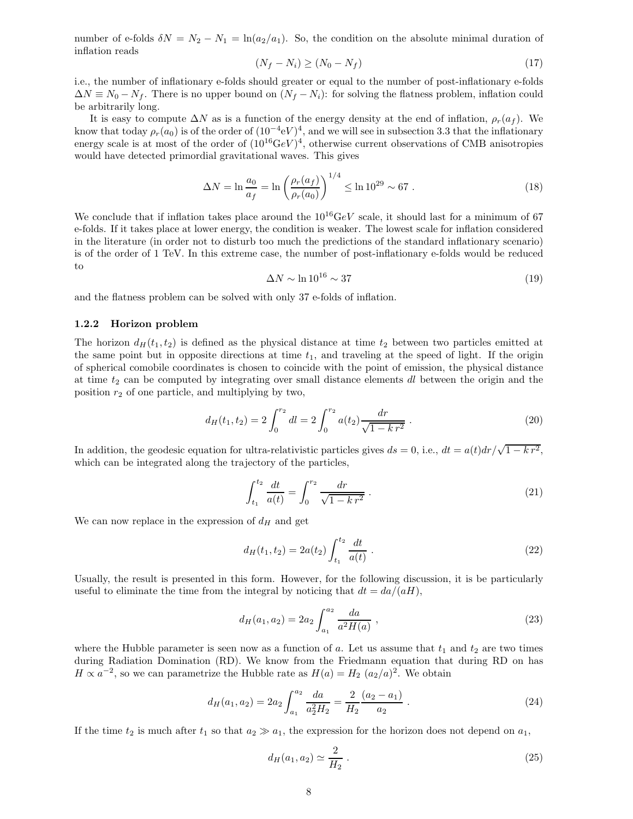number of e-folds  $\delta N = N_2 - N_1 = \ln(a_2/a_1)$ . So, the condition on the absolute minimal duration of inflation reads

$$
(N_f - N_i) \ge (N_0 - N_f) \tag{17}
$$

i.e., the number of inflationary e-folds should greater or equal to the number of post-inflationary e-folds  $\Delta N \equiv N_0 - N_f$ . There is no upper bound on  $(N_f - N_i)$ : for solving the flatness problem, inflation could be arbitrarily long.

It is easy to compute  $\Delta N$  as is a function of the energy density at the end of inflation,  $\rho_r(a_f)$ . We know that today  $\rho_r(a_0)$  is of the order of  $(10^{-4} \text{eV})^4$ , and we will see in subsection 3.3 that the inflationary energy scale is at most of the order of  $(10^{16} \text{GeV})^4$ , otherwise current observations of CMB anisotropies would have detected primordial gravitational waves. This gives

$$
\Delta N = \ln \frac{a_0}{a_f} = \ln \left( \frac{\rho_r(a_f)}{\rho_r(a_0)} \right)^{1/4} \le \ln 10^{29} \sim 67 \ . \tag{18}
$$

We conclude that if inflation takes place around the  $10^{16}$ GeV scale, it should last for a minimum of 67 e-folds. If it takes place at lower energy, the condition is weaker. The lowest scale for inflation considered in the literature (in order not to disturb too much the predictions of the standard inflationary scenario) is of the order of 1 TeV. In this extreme case, the number of post-inflationary e-folds would be reduced to

$$
\Delta N \sim \ln 10^{16} \sim 37\tag{19}
$$

and the flatness problem can be solved with only 37 e-folds of inflation.

#### 1.2.2 Horizon problem

The horizon  $d_H(t_1, t_2)$  is defined as the physical distance at time  $t_2$  between two particles emitted at the same point but in opposite directions at time  $t_1$ , and traveling at the speed of light. If the origin of spherical comobile coordinates is chosen to coincide with the point of emission, the physical distance at time  $t_2$  can be computed by integrating over small distance elements dl between the origin and the position  $r_2$  of one particle, and multiplying by two,

$$
d_H(t_1, t_2) = 2 \int_0^{r_2} dl = 2 \int_0^{r_2} a(t_2) \frac{dr}{\sqrt{1 - k r^2}}.
$$
 (20)

In addition, the geodesic equation for ultra-relativistic particles gives  $ds = 0$ , i.e.,  $dt = a(t)dr/\sqrt{1 - k r^2}$ , which can be integrated along the trajectory of the particles,

$$
\int_{t_1}^{t_2} \frac{dt}{a(t)} = \int_0^{r_2} \frac{dr}{\sqrt{1 - k r^2}} \,. \tag{21}
$$

We can now replace in the expression of  $d_H$  and get

$$
d_H(t_1, t_2) = 2a(t_2) \int_{t_1}^{t_2} \frac{dt}{a(t)} .
$$
 (22)

Usually, the result is presented in this form. However, for the following discussion, it is be particularly useful to eliminate the time from the integral by noticing that  $dt = da/(aH)$ ,

$$
d_H(a_1, a_2) = 2a_2 \int_{a_1}^{a_2} \frac{da}{a^2 H(a)},
$$
\n(23)

where the Hubble parameter is seen now as a function of a. Let us assume that  $t_1$  and  $t_2$  are two times during Radiation Domination (RD). We know from the Friedmann equation that during RD on has  $H \propto a^{-2}$ , so we can parametrize the Hubble rate as  $H(a) = H_2 (a_2/a)^2$ . We obtain

$$
d_H(a_1, a_2) = 2a_2 \int_{a_1}^{a_2} \frac{da}{a_2^2 H_2} = \frac{2}{H_2} \frac{(a_2 - a_1)}{a_2} . \tag{24}
$$

If the time  $t_2$  is much after  $t_1$  so that  $a_2 \gg a_1$ , the expression for the horizon does not depend on  $a_1$ ,

$$
d_H(a_1, a_2) \simeq \frac{2}{H_2} \,. \tag{25}
$$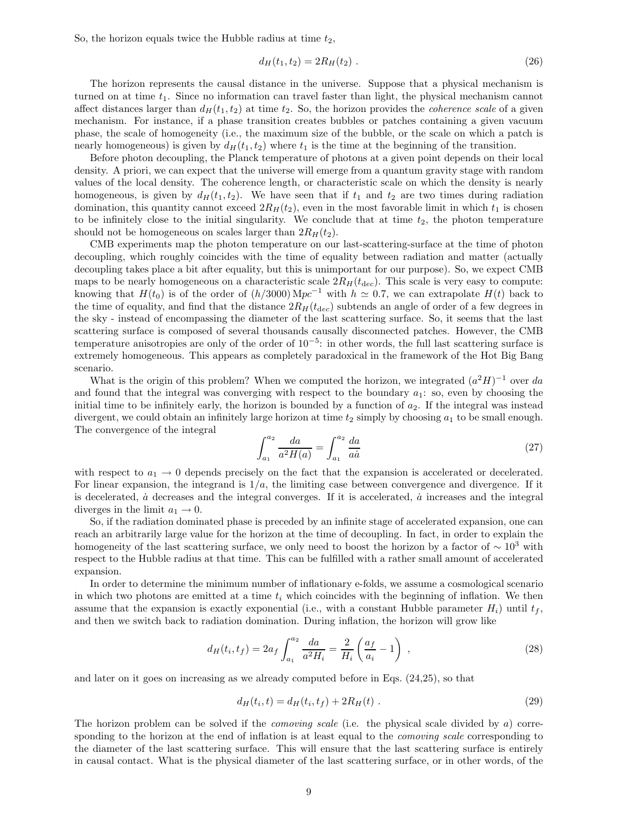So, the horizon equals twice the Hubble radius at time  $t_2$ ,

$$
d_H(t_1, t_2) = 2R_H(t_2) \tag{26}
$$

The horizon represents the causal distance in the universe. Suppose that a physical mechanism is turned on at time  $t_1$ . Since no information can travel faster than light, the physical mechanism cannot affect distances larger than  $d_H(t_1, t_2)$  at time  $t_2$ . So, the horizon provides the *coherence scale* of a given mechanism. For instance, if a phase transition creates bubbles or patches containing a given vacuum phase, the scale of homogeneity (i.e., the maximum size of the bubble, or the scale on which a patch is nearly homogeneous) is given by  $d_H(t_1, t_2)$  where  $t_1$  is the time at the beginning of the transition.

Before photon decoupling, the Planck temperature of photons at a given point depends on their local density. A priori, we can expect that the universe will emerge from a quantum gravity stage with random values of the local density. The coherence length, or characteristic scale on which the density is nearly homogeneous, is given by  $d_H(t_1, t_2)$ . We have seen that if  $t_1$  and  $t_2$  are two times during radiation domination, this quantity cannot exceed  $2R_H(t_2)$ , even in the most favorable limit in which  $t_1$  is chosen to be infinitely close to the initial singularity. We conclude that at time  $t_2$ , the photon temperature should not be homogeneous on scales larger than  $2R_H(t_2)$ .

CMB experiments map the photon temperature on our last-scattering-surface at the time of photon decoupling, which roughly coincides with the time of equality between radiation and matter (actually decoupling takes place a bit after equality, but this is unimportant for our purpose). So, we expect CMB maps to be nearly homogeneous on a characteristic scale  $2R_H(t_{dec})$ . This scale is very easy to compute: knowing that  $H(t_0)$  is of the order of  $(h/3000)$  Mpc<sup>-1</sup> with  $h \approx 0.7$ , we can extrapolate  $H(t)$  back to the time of equality, and find that the distance  $2R_H(t_{\text{dec}})$  subtends an angle of order of a few degrees in the sky - instead of encompassing the diameter of the last scattering surface. So, it seems that the last scattering surface is composed of several thousands causally disconnected patches. However, the CMB temperature anisotropies are only of the order of 10<sup>−</sup><sup>5</sup> : in other words, the full last scattering surface is extremely homogeneous. This appears as completely paradoxical in the framework of the Hot Big Bang scenario.

What is the origin of this problem? When we computed the horizon, we integrated  $(a^2H)^{-1}$  over da and found that the integral was converging with respect to the boundary  $a_1$ : so, even by choosing the initial time to be infinitely early, the horizon is bounded by a function of  $a_2$ . If the integral was instead divergent, we could obtain an infinitely large horizon at time  $t_2$  simply by choosing  $a_1$  to be small enough. The convergence of the integral

$$
\int_{a_1}^{a_2} \frac{da}{a^2 H(a)} = \int_{a_1}^{a_2} \frac{da}{a\dot{a}} \tag{27}
$$

with respect to  $a_1 \rightarrow 0$  depends precisely on the fact that the expansion is accelerated or decelerated. For linear expansion, the integrand is  $1/a$ , the limiting case between convergence and divergence. If it is decelerated,  $\dot{a}$  decreases and the integral converges. If it is accelerated,  $\dot{a}$  increases and the integral diverges in the limit  $a_1 \rightarrow 0$ .

So, if the radiation dominated phase is preceded by an infinite stage of accelerated expansion, one can reach an arbitrarily large value for the horizon at the time of decoupling. In fact, in order to explain the homogeneity of the last scattering surface, we only need to boost the horizon by a factor of  $\sim 10^3$  with respect to the Hubble radius at that time. This can be fulfilled with a rather small amount of accelerated expansion.

In order to determine the minimum number of inflationary e-folds, we assume a cosmological scenario in which two photons are emitted at a time  $t_i$  which coincides with the beginning of inflation. We then assume that the expansion is exactly exponential (i.e., with a constant Hubble parameter  $H_i$ ) until  $t_f$ , and then we switch back to radiation domination. During inflation, the horizon will grow like

$$
d_H(t_i, t_f) = 2a_f \int_{a_1}^{a_2} \frac{da}{a^2 H_i} = \frac{2}{H_i} \left( \frac{a_f}{a_i} - 1 \right) , \qquad (28)
$$

and later on it goes on increasing as we already computed before in Eqs. (24,25), so that

$$
d_H(t_i, t) = d_H(t_i, t_f) + 2R_H(t) \tag{29}
$$

The horizon problem can be solved if the *comoving scale* (i.e. the physical scale divided by a) corresponding to the horizon at the end of inflation is at least equal to the *comoving scale* corresponding to the diameter of the last scattering surface. This will ensure that the last scattering surface is entirely in causal contact. What is the physical diameter of the last scattering surface, or in other words, of the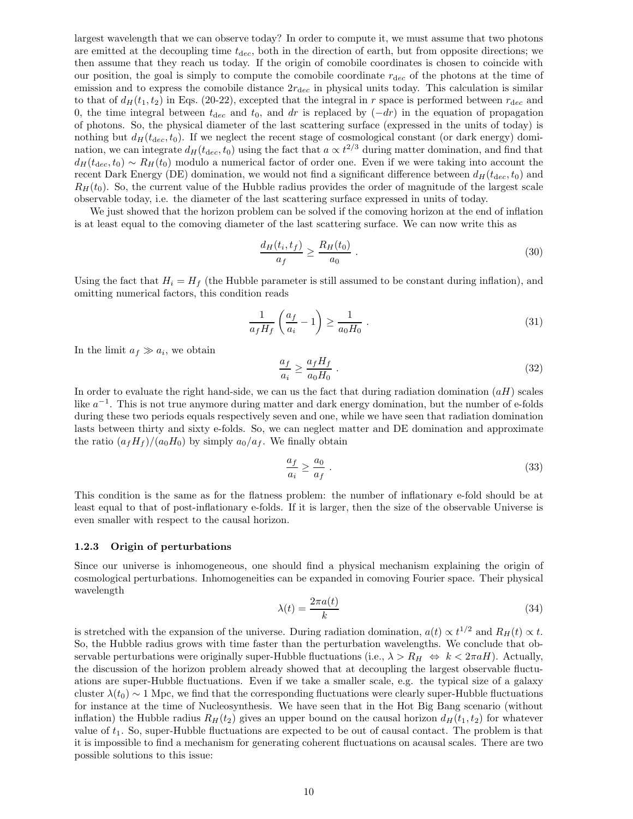largest wavelength that we can observe today? In order to compute it, we must assume that two photons are emitted at the decoupling time  $t_{dec}$ , both in the direction of earth, but from opposite directions; we then assume that they reach us today. If the origin of comobile coordinates is chosen to coincide with our position, the goal is simply to compute the comobile coordinate  $r_{\text{dec}}$  of the photons at the time of emission and to express the comobile distance  $2r_{\text{dec}}$  in physical units today. This calculation is similar to that of  $d_H(t_1, t_2)$  in Eqs. (20-22), excepted that the integral in r space is performed between  $r_{\text{dec}}$  and 0, the time integral between  $t_{\text{dec}}$  and  $t_0$ , and dr is replaced by  $(-dr)$  in the equation of propagation of photons. So, the physical diameter of the last scattering surface (expressed in the units of today) is nothing but  $d_H(t_{dec}, t_0)$ . If we neglect the recent stage of cosmological constant (or dark energy) domination, we can integrate  $d_H(t_{\text{dec}}, t_0)$  using the fact that  $a \propto t^{2/3}$  during matter domination, and find that  $d_H(t_{\text{dec}}, t_0) \sim R_H(t_0)$  modulo a numerical factor of order one. Even if we were taking into account the recent Dark Energy (DE) domination, we would not find a significant difference between  $d_H(t_{dec}, t_0)$  and  $R_H(t_0)$ . So, the current value of the Hubble radius provides the order of magnitude of the largest scale observable today, i.e. the diameter of the last scattering surface expressed in units of today.

We just showed that the horizon problem can be solved if the comoving horizon at the end of inflation is at least equal to the comoving diameter of the last scattering surface. We can now write this as

$$
\frac{d_H(t_i, t_f)}{a_f} \ge \frac{R_H(t_0)}{a_0} \tag{30}
$$

Using the fact that  $H_i = H_f$  (the Hubble parameter is still assumed to be constant during inflation), and omitting numerical factors, this condition reads

$$
\frac{1}{a_f H_f} \left( \frac{a_f}{a_i} - 1 \right) \ge \frac{1}{a_0 H_0} \tag{31}
$$

In the limit  $a_f \gg a_i$ , we obtain

$$
\frac{a_f}{a_i} \ge \frac{a_f H_f}{a_0 H_0} \tag{32}
$$

In order to evaluate the right hand-side, we can us the fact that during radiation domination  $(aH)$  scales like  $a^{-1}$ . This is not true anymore during matter and dark energy domination, but the number of e-folds during these two periods equals respectively seven and one, while we have seen that radiation domination lasts between thirty and sixty e-folds. So, we can neglect matter and DE domination and approximate the ratio  $(a_f H_f)/(a_0 H_0)$  by simply  $a_0/a_f$ . We finally obtain

$$
\frac{a_f}{a_i} \ge \frac{a_0}{a_f} \tag{33}
$$

This condition is the same as for the flatness problem: the number of inflationary e-fold should be at least equal to that of post-inflationary e-folds. If it is larger, then the size of the observable Universe is even smaller with respect to the causal horizon.

## 1.2.3 Origin of perturbations

Since our universe is inhomogeneous, one should find a physical mechanism explaining the origin of cosmological perturbations. Inhomogeneities can be expanded in comoving Fourier space. Their physical wavelength

$$
\lambda(t) = \frac{2\pi a(t)}{k} \tag{34}
$$

is stretched with the expansion of the universe. During radiation domination,  $a(t) \propto t^{1/2}$  and  $R_H(t) \propto t$ . So, the Hubble radius grows with time faster than the perturbation wavelengths. We conclude that observable perturbations were originally super-Hubble fluctuations (i.e.,  $\lambda > R_H \Leftrightarrow k < 2\pi aH$ ). Actually, the discussion of the horizon problem already showed that at decoupling the largest observable fluctuations are super-Hubble fluctuations. Even if we take a smaller scale, e.g. the typical size of a galaxy cluster  $\lambda(t_0) \sim 1$  Mpc, we find that the corresponding fluctuations were clearly super-Hubble fluctuations for instance at the time of Nucleosynthesis. We have seen that in the Hot Big Bang scenario (without inflation) the Hubble radius  $R_H(t_2)$  gives an upper bound on the causal horizon  $d_H(t_1, t_2)$  for whatever value of  $t_1$ . So, super-Hubble fluctuations are expected to be out of causal contact. The problem is that it is impossible to find a mechanism for generating coherent fluctuations on acausal scales. There are two possible solutions to this issue: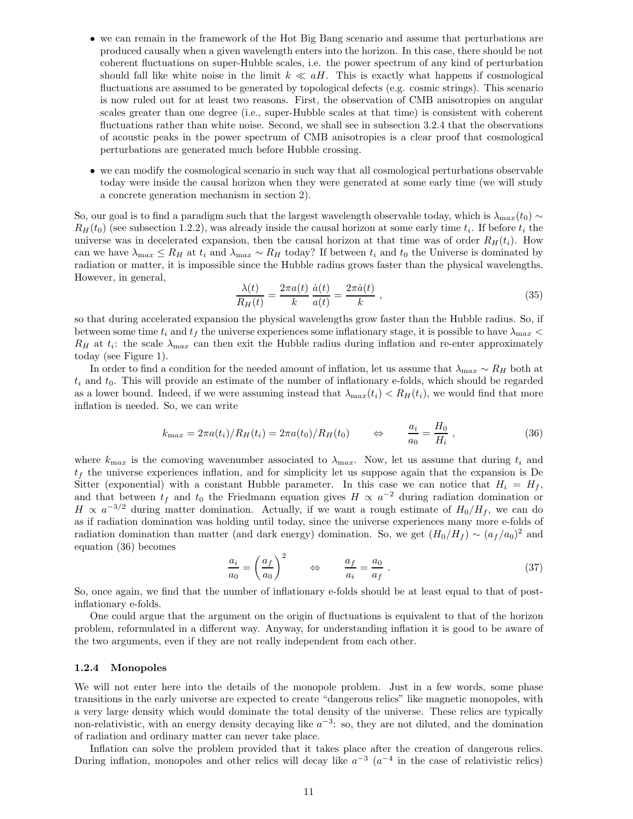- we can remain in the framework of the Hot Big Bang scenario and assume that perturbations are produced causally when a given wavelength enters into the horizon. In this case, there should be not coherent fluctuations on super-Hubble scales, i.e. the power spectrum of any kind of perturbation should fall like white noise in the limit  $k \ll aH$ . This is exactly what happens if cosmological fluctuations are assumed to be generated by topological defects (e.g. cosmic strings). This scenario is now ruled out for at least two reasons. First, the observation of CMB anisotropies on angular scales greater than one degree (i.e., super-Hubble scales at that time) is consistent with coherent fluctuations rather than white noise. Second, we shall see in subsection 3.2.4 that the observations of acoustic peaks in the power spectrum of CMB anisotropies is a clear proof that cosmological perturbations are generated much before Hubble crossing.
- we can modify the cosmological scenario in such way that all cosmological perturbations observable today were inside the causal horizon when they were generated at some early time (we will study a concrete generation mechanism in section 2).

So, our goal is to find a paradigm such that the largest wavelength observable today, which is  $\lambda_{max}(t_0) \sim$  $R_H(t_0)$  (see subsection 1.2.2), was already inside the causal horizon at some early time  $t_i$ . If before  $t_i$  the universe was in decelerated expansion, then the causal horizon at that time was of order  $R_H(t_i)$ . How can we have  $\lambda_{\text{max}} \leq R_H$  at  $t_i$  and  $\lambda_{\text{max}} \sim R_H$  today? If between  $t_i$  and  $t_0$  the Universe is dominated by radiation or matter, it is impossible since the Hubble radius grows faster than the physical wavelengths. However, in general,

$$
\frac{\lambda(t)}{R_H(t)} = \frac{2\pi a(t)}{k} \frac{\dot{a}(t)}{a(t)} = \frac{2\pi \dot{a}(t)}{k} ,\qquad (35)
$$

so that during accelerated expansion the physical wavelengths grow faster than the Hubble radius. So, if between some time  $t_i$  and  $t_f$  the universe experiences some inflationary stage, it is possible to have  $\lambda_{max}$  $R_H$  at  $t_i$ : the scale  $\lambda_{\text{max}}$  can then exit the Hubble radius during inflation and re-enter approximately today (see Figure 1).

In order to find a condition for the needed amount of inflation, let us assume that  $\lambda_{\text{max}} \sim R_H$  both at  $t_i$  and  $t_0$ . This will provide an estimate of the number of inflationary e-folds, which should be regarded as a lower bound. Indeed, if we were assuming instead that  $\lambda_{max}(t_i) < R_H(t_i)$ , we would find that more inflation is needed. So, we can write

$$
k_{\text{max}} = 2\pi a(t_i)/R_H(t_i) = 2\pi a(t_0)/R_H(t_0) \qquad \Leftrightarrow \qquad \frac{a_i}{a_0} = \frac{H_0}{H_i} \,, \tag{36}
$$

where  $k_{\text{max}}$  is the comoving wavenumber associated to  $\lambda_{\text{max}}$ . Now, let us assume that during  $t_i$  and  $t_f$  the universe experiences inflation, and for simplicity let us suppose again that the expansion is De Sitter (exponential) with a constant Hubble parameter. In this case we can notice that  $H_i = H_f$ , and that between  $t_f$  and  $t_0$  the Friedmann equation gives  $H \propto a^{-2}$  during radiation domination or  $H \propto a^{-3/2}$  during matter domination. Actually, if we want a rough estimate of  $H_0/H_f$ , we can do as if radiation domination was holding until today, since the universe experiences many more e-folds of radiation domination than matter (and dark energy) domination. So, we get  $(H_0/H_f) \sim (a_f/a_0)^2$  and equation (36) becomes

$$
\frac{a_i}{a_0} = \left(\frac{a_f}{a_0}\right)^2 \qquad \Leftrightarrow \qquad \frac{a_f}{a_i} = \frac{a_0}{a_f} \ . \tag{37}
$$

So, once again, we find that the number of inflationary e-folds should be at least equal to that of postinflationary e-folds.

One could argue that the argument on the origin of fluctuations is equivalent to that of the horizon problem, reformulated in a different way. Anyway, for understanding inflation it is good to be aware of the two arguments, even if they are not really independent from each other.

#### 1.2.4 Monopoles

We will not enter here into the details of the monopole problem. Just in a few words, some phase transitions in the early universe are expected to create "dangerous relics" like magnetic monopoles, with a very large density which would dominate the total density of the universe. These relics are typically non-relativistic, with an energy density decaying like  $a^{-3}$ : so, they are not diluted, and the domination of radiation and ordinary matter can never take place.

Inflation can solve the problem provided that it takes place after the creation of dangerous relics. During inflation, monopoles and other relics will decay like  $a^{-3}$   $(a^{-4}$  in the case of relativistic relics)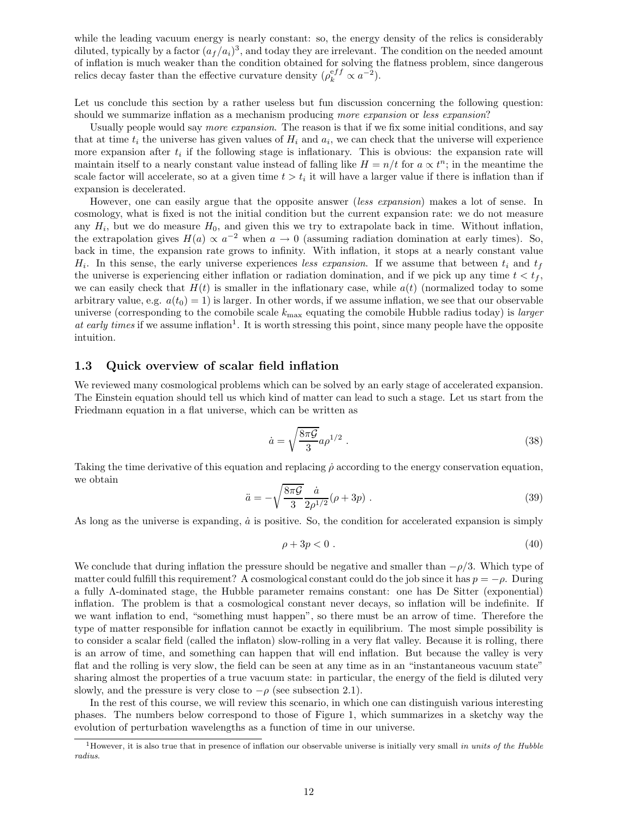while the leading vacuum energy is nearly constant: so, the energy density of the relics is considerably diluted, typically by a factor  $(a_f/a_i)^3$ , and today they are irrelevant. The condition on the needed amount of inflation is much weaker than the condition obtained for solving the flatness problem, since dangerous relics decay faster than the effective curvature density  $(\rho_k^{eff} \propto a^{-2})$ .

Let us conclude this section by a rather useless but fun discussion concerning the following question: should we summarize inflation as a mechanism producing more expansion or less expansion?

Usually people would say more expansion. The reason is that if we fix some initial conditions, and say that at time  $t_i$  the universe has given values of  $H_i$  and  $a_i$ , we can check that the universe will experience more expansion after  $t_i$  if the following stage is inflationary. This is obvious: the expansion rate will maintain itself to a nearly constant value instead of falling like  $H = n/t$  for  $a \propto t^n$ ; in the meantime the scale factor will accelerate, so at a given time  $t > t_i$  it will have a larger value if there is inflation than if expansion is decelerated.

However, one can easily argue that the opposite answer (less expansion) makes a lot of sense. In cosmology, what is fixed is not the initial condition but the current expansion rate: we do not measure any  $H_i$ , but we do measure  $H_0$ , and given this we try to extrapolate back in time. Without inflation, the extrapolation gives  $H(a) \propto a^{-2}$  when  $a \to 0$  (assuming radiation domination at early times). So, back in time, the expansion rate grows to infinity. With inflation, it stops at a nearly constant value  $H_i$ . In this sense, the early universe experiences less expansion. If we assume that between  $t_i$  and  $t_f$ the universe is experiencing either inflation or radiation domination, and if we pick up any time  $t < t_f$ , we can easily check that  $H(t)$  is smaller in the inflationary case, while  $a(t)$  (normalized today to some arbitrary value, e.g.  $a(t_0) = 1$  is larger. In other words, if we assume inflation, we see that our observable universe (corresponding to the comobile scale  $k_{\text{max}}$  equating the comobile Hubble radius today) is larger at early times if we assume inflation<sup>1</sup>. It is worth stressing this point, since many people have the opposite intuition.

## 1.3 Quick overview of scalar field inflation

We reviewed many cosmological problems which can be solved by an early stage of accelerated expansion. The Einstein equation should tell us which kind of matter can lead to such a stage. Let us start from the Friedmann equation in a flat universe, which can be written as

$$
\dot{a} = \sqrt{\frac{8\pi\mathcal{G}}{3}}a\rho^{1/2} \tag{38}
$$

Taking the time derivative of this equation and replacing  $\rho$  according to the energy conservation equation, we obtain

$$
\ddot{a} = -\sqrt{\frac{8\pi\mathcal{G}}{3}} \frac{\dot{a}}{2\rho^{1/2}} (\rho + 3p) . \tag{39}
$$

As long as the universe is expanding,  $\dot{a}$  is positive. So, the condition for accelerated expansion is simply

$$
\rho + 3p < 0 \tag{40}
$$

We conclude that during inflation the pressure should be negative and smaller than  $-\rho/3$ . Which type of matter could fulfill this requirement? A cosmological constant could do the job since it has  $p = -\rho$ . During a fully Λ-dominated stage, the Hubble parameter remains constant: one has De Sitter (exponential) inflation. The problem is that a cosmological constant never decays, so inflation will be indefinite. If we want inflation to end, "something must happen", so there must be an arrow of time. Therefore the type of matter responsible for inflation cannot be exactly in equilibrium. The most simple possibility is to consider a scalar field (called the inflaton) slow-rolling in a very flat valley. Because it is rolling, there is an arrow of time, and something can happen that will end inflation. But because the valley is very flat and the rolling is very slow, the field can be seen at any time as in an "instantaneous vacuum state" sharing almost the properties of a true vacuum state: in particular, the energy of the field is diluted very slowly, and the pressure is very close to  $-\rho$  (see subsection 2.1).

In the rest of this course, we will review this scenario, in which one can distinguish various interesting phases. The numbers below correspond to those of Figure 1, which summarizes in a sketchy way the evolution of perturbation wavelengths as a function of time in our universe.

<sup>&</sup>lt;sup>1</sup>However, it is also true that in presence of inflation our observable universe is initially very small in units of the Hubble radius.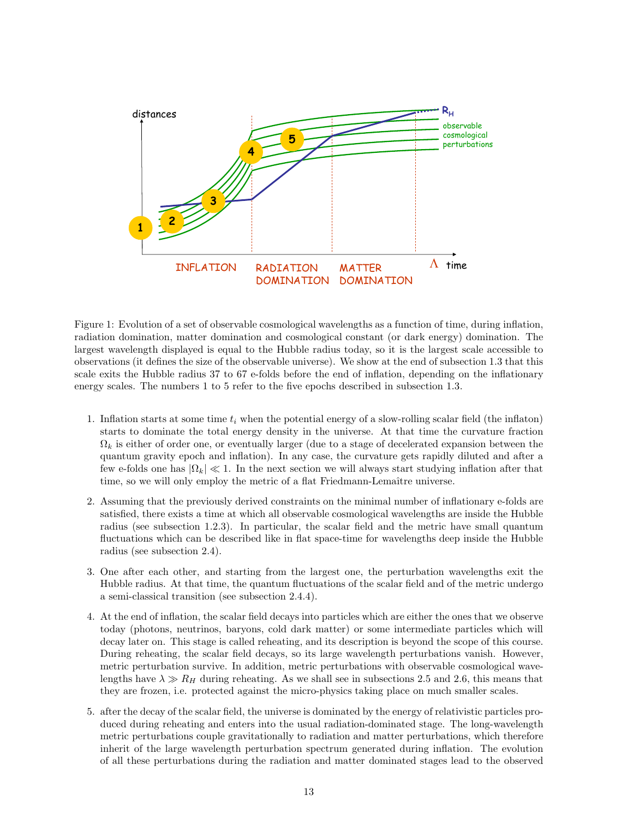

Figure 1: Evolution of a set of observable cosmological wavelengths as a function of time, during inflation, radiation domination, matter domination and cosmological constant (or dark energy) domination. The largest wavelength displayed is equal to the Hubble radius today, so it is the largest scale accessible to observations (it defines the size of the observable universe). We show at the end of subsection 1.3 that this scale exits the Hubble radius 37 to 67 e-folds before the end of inflation, depending on the inflationary energy scales. The numbers 1 to 5 refer to the five epochs described in subsection 1.3.

- 1. Inflation starts at some time  $t_i$  when the potential energy of a slow-rolling scalar field (the inflaton) starts to dominate the total energy density in the universe. At that time the curvature fraction  $\Omega_k$  is either of order one, or eventually larger (due to a stage of decelerated expansion between the quantum gravity epoch and inflation). In any case, the curvature gets rapidly diluted and after a few e-folds one has  $|\Omega_k| \ll 1$ . In the next section we will always start studying inflation after that time, so we will only employ the metric of a flat Friedmann-Lemaître universe.
- 2. Assuming that the previously derived constraints on the minimal number of inflationary e-folds are satisfied, there exists a time at which all observable cosmological wavelengths are inside the Hubble radius (see subsection 1.2.3). In particular, the scalar field and the metric have small quantum fluctuations which can be described like in flat space-time for wavelengths deep inside the Hubble radius (see subsection 2.4).
- 3. One after each other, and starting from the largest one, the perturbation wavelengths exit the Hubble radius. At that time, the quantum fluctuations of the scalar field and of the metric undergo a semi-classical transition (see subsection 2.4.4).
- 4. At the end of inflation, the scalar field decays into particles which are either the ones that we observe today (photons, neutrinos, baryons, cold dark matter) or some intermediate particles which will decay later on. This stage is called reheating, and its description is beyond the scope of this course. During reheating, the scalar field decays, so its large wavelength perturbations vanish. However, metric perturbation survive. In addition, metric perturbations with observable cosmological wavelengths have  $\lambda \gg R_H$  during reheating. As we shall see in subsections 2.5 and 2.6, this means that they are frozen, i.e. protected against the micro-physics taking place on much smaller scales.
- 5. after the decay of the scalar field, the universe is dominated by the energy of relativistic particles produced during reheating and enters into the usual radiation-dominated stage. The long-wavelength metric perturbations couple gravitationally to radiation and matter perturbations, which therefore inherit of the large wavelength perturbation spectrum generated during inflation. The evolution of all these perturbations during the radiation and matter dominated stages lead to the observed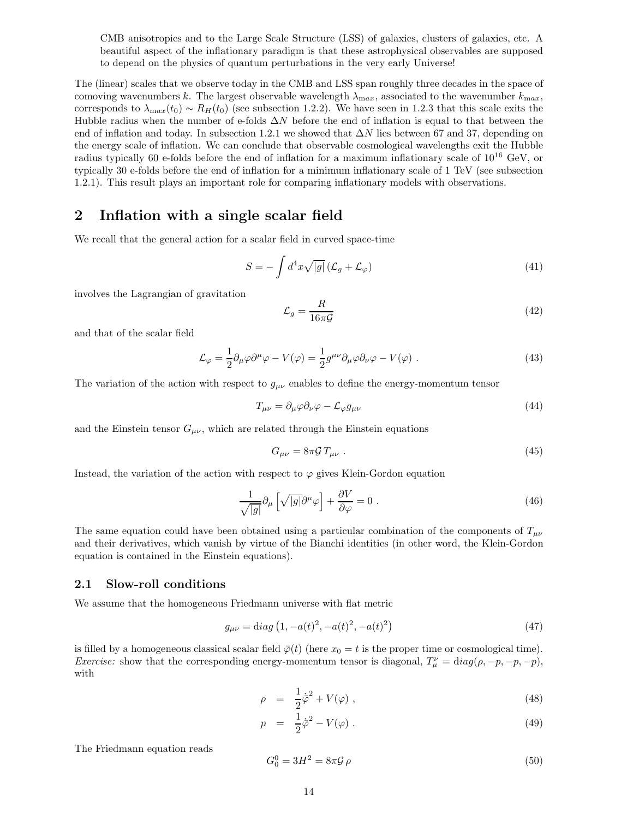CMB anisotropies and to the Large Scale Structure (LSS) of galaxies, clusters of galaxies, etc. A beautiful aspect of the inflationary paradigm is that these astrophysical observables are supposed to depend on the physics of quantum perturbations in the very early Universe!

The (linear) scales that we observe today in the CMB and LSS span roughly three decades in the space of comoving wavenumbers k. The largest observable wavelength  $\lambda_{\text{max}}$ , associated to the wavenumber  $k_{\text{max}}$ , corresponds to  $\lambda_{\text{max}}(t_0) \sim R_H(t_0)$  (see subsection 1.2.2). We have seen in 1.2.3 that this scale exits the Hubble radius when the number of e-folds  $\Delta N$  before the end of inflation is equal to that between the end of inflation and today. In subsection 1.2.1 we showed that  $\Delta N$  lies between 67 and 37, depending on the energy scale of inflation. We can conclude that observable cosmological wavelengths exit the Hubble radius typically 60 e-folds before the end of inflation for a maximum inflationary scale of  $10^{16}$  GeV, or typically 30 e-folds before the end of inflation for a minimum inflationary scale of 1 TeV (see subsection 1.2.1). This result plays an important role for comparing inflationary models with observations.

## 2 Inflation with a single scalar field

We recall that the general action for a scalar field in curved space-time

$$
S = -\int d^4x \sqrt{|g|} \left(\mathcal{L}_g + \mathcal{L}_\varphi\right) \tag{41}
$$

involves the Lagrangian of gravitation

$$
\mathcal{L}_g = \frac{R}{16\pi\mathcal{G}}\tag{42}
$$

and that of the scalar field

$$
\mathcal{L}_{\varphi} = \frac{1}{2} \partial_{\mu} \varphi \partial^{\mu} \varphi - V(\varphi) = \frac{1}{2} g^{\mu \nu} \partial_{\mu} \varphi \partial_{\nu} \varphi - V(\varphi) . \tag{43}
$$

The variation of the action with respect to  $g_{\mu\nu}$  enables to define the energy-momentum tensor

$$
T_{\mu\nu} = \partial_{\mu}\varphi \partial_{\nu}\varphi - \mathcal{L}_{\varphi}g_{\mu\nu} \tag{44}
$$

and the Einstein tensor  $G_{\mu\nu}$ , which are related through the Einstein equations

$$
G_{\mu\nu} = 8\pi \mathcal{G} T_{\mu\nu} \tag{45}
$$

Instead, the variation of the action with respect to  $\varphi$  gives Klein-Gordon equation

$$
\frac{1}{\sqrt{|g|}}\partial_{\mu}\left[\sqrt{|g|}\partial^{\mu}\varphi\right] + \frac{\partial V}{\partial\varphi} = 0.
$$
\n(46)

The same equation could have been obtained using a particular combination of the components of  $T_{\mu\nu}$ and their derivatives, which vanish by virtue of the Bianchi identities (in other word, the Klein-Gordon equation is contained in the Einstein equations).

## 2.1 Slow-roll conditions

We assume that the homogeneous Friedmann universe with flat metric

$$
g_{\mu\nu} = \text{diag}\left(1, -a(t)^2, -a(t)^2, -a(t)^2\right) \tag{47}
$$

is filled by a homogeneous classical scalar field  $\bar{\varphi}(t)$  (here  $x_0 = t$  is the proper time or cosmological time). *Exercise:* show that the corresponding energy-momentum tensor is diagonal,  $T^{\nu}_{\mu} = \text{diag}(\rho, -p, -p, -p)$ , with

$$
\rho = \frac{1}{2}\dot{\bar{\varphi}}^2 + V(\varphi) \tag{48}
$$

$$
p = \frac{1}{2}\dot{\bar{\varphi}}^2 - V(\varphi) \tag{49}
$$

The Friedmann equation reads

$$
G_0^0 = 3H^2 = 8\pi \mathcal{G}\,\rho\tag{50}
$$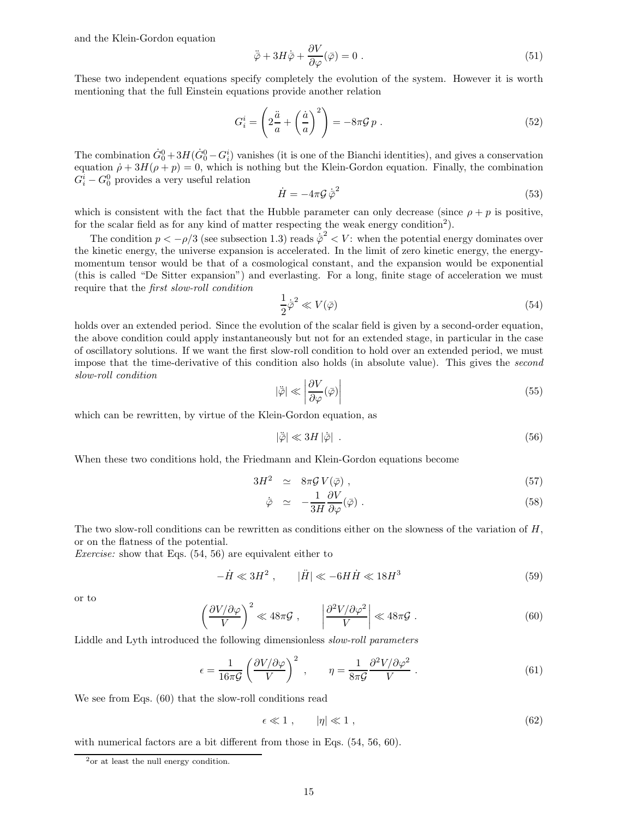and the Klein-Gordon equation

$$
\ddot{\bar{\varphi}} + 3H\dot{\bar{\varphi}} + \frac{\partial V}{\partial \varphi}(\bar{\varphi}) = 0.
$$
\n(51)

These two independent equations specify completely the evolution of the system. However it is worth mentioning that the full Einstein equations provide another relation

$$
G_i^i = \left(2\frac{\ddot{a}}{a} + \left(\frac{\dot{a}}{a}\right)^2\right) = -8\pi\mathcal{G}p\ .
$$
 (52)

The combination  $G_0^0 + 3H(G_0^0 - G_i^i)$  vanishes (it is one of the Bianchi identities), and gives a conservation equation  $\dot{\rho} + 3H(\rho + p) = 0$ , which is nothing but the Klein-Gordon equation. Finally, the combination  $G_i^i - G_0^0$  provides a very useful relation

$$
\dot{H} = -4\pi \mathcal{G}\,\dot{\bar{\varphi}}^2\tag{53}
$$

which is consistent with the fact that the Hubble parameter can only decrease (since  $\rho + p$  is positive, for the scalar field as for any kind of matter respecting the weak energy condition<sup>2</sup>).

The condition  $p < -\rho/3$  (see subsection 1.3) reads  $\dot{\bar{\varphi}}^2 < V$ : when the potential energy dominates over the kinetic energy, the universe expansion is accelerated. In the limit of zero kinetic energy, the energymomentum tensor would be that of a cosmological constant, and the expansion would be exponential (this is called "De Sitter expansion") and everlasting. For a long, finite stage of acceleration we must require that the first slow-roll condition

$$
\frac{1}{2}\dot{\bar{\varphi}}^2 \ll V(\bar{\varphi})\tag{54}
$$

holds over an extended period. Since the evolution of the scalar field is given by a second-order equation, the above condition could apply instantaneously but not for an extended stage, in particular in the case of oscillatory solutions. If we want the first slow-roll condition to hold over an extended period, we must impose that the time-derivative of this condition also holds (in absolute value). This gives the second slow-roll condition

$$
|\ddot{\varphi}| \ll \left| \frac{\partial V}{\partial \varphi} (\bar{\varphi}) \right| \tag{55}
$$

which can be rewritten, by virtue of the Klein-Gordon equation, as

$$
|\ddot{\overline{\varphi}}| \ll 3H |\dot{\overline{\varphi}}| \tag{56}
$$

When these two conditions hold, the Friedmann and Klein-Gordon equations become

$$
3H^2 \simeq 8\pi \mathcal{G} V(\bar{\varphi}) , \qquad (57)
$$

$$
\dot{\bar{\varphi}} \simeq -\frac{1}{3H} \frac{\partial V}{\partial \varphi}(\bar{\varphi}) . \tag{58}
$$

The two slow-roll conditions can be rewritten as conditions either on the slowness of the variation of  $H$ , or on the flatness of the potential.

Exercise: show that Eqs. (54, 56) are equivalent either to

$$
-\dot{H} \ll 3H^2 \ , \qquad |\ddot{H}| \ll -6H\dot{H} \ll 18H^3 \tag{59}
$$

or to

$$
\left(\frac{\partial V/\partial \varphi}{V}\right)^2 \ll 48\pi \mathcal{G} , \qquad \left|\frac{\partial^2 V/\partial \varphi^2}{V}\right| \ll 48\pi \mathcal{G} . \tag{60}
$$

Liddle and Lyth introduced the following dimensionless *slow-roll parameters* 

$$
\epsilon = \frac{1}{16\pi\mathcal{G}} \left( \frac{\partial V/\partial \varphi}{V} \right)^2 , \qquad \eta = \frac{1}{8\pi\mathcal{G}} \frac{\partial^2 V/\partial \varphi^2}{V} . \tag{61}
$$

We see from Eqs. (60) that the slow-roll conditions read

$$
\epsilon \ll 1 \;, \qquad |\eta| \ll 1 \;, \tag{62}
$$

with numerical factors are a bit different from those in Eqs.  $(54, 56, 60)$ .

<sup>2</sup>or at least the null energy condition.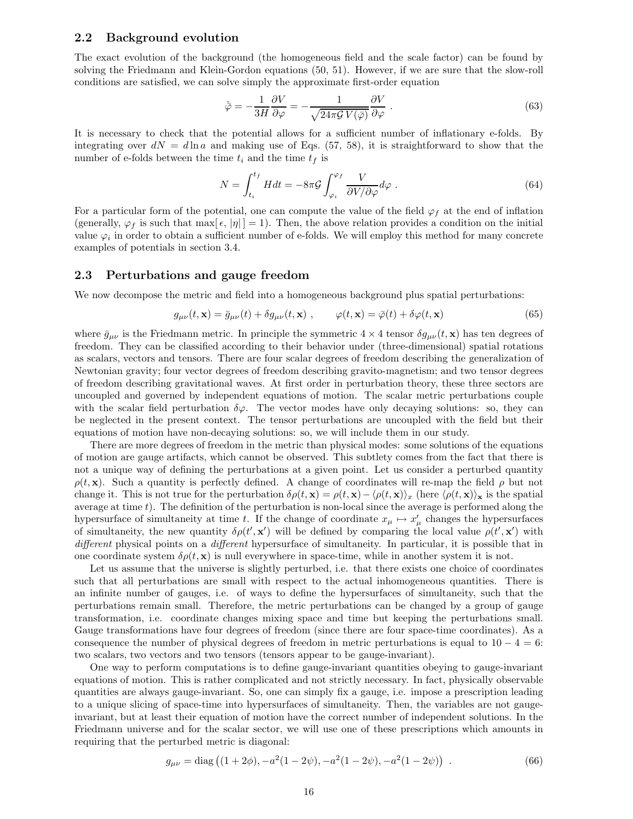## 2.2 Background evolution

The exact evolution of the background (the homogeneous field and the scale factor) can be found by solving the Friedmann and Klein-Gordon equations (50, 51). However, if we are sure that the slow-roll conditions are satisfied, we can solve simply the approximate first-order equation

$$
\dot{\bar{\varphi}} = -\frac{1}{3H} \frac{\partial V}{\partial \varphi} = -\frac{1}{\sqrt{24\pi \mathcal{G} V(\bar{\varphi})}} \frac{\partial V}{\partial \varphi} . \tag{63}
$$

It is necessary to check that the potential allows for a sufficient number of inflationary e-folds. By integrating over  $dN = d\ln a$  and making use of Eqs. (57, 58), it is straightforward to show that the number of e-folds between the time  $t_i$  and the time  $t_f$  is

$$
N = \int_{t_i}^{t_f} H dt = -8\pi \mathcal{G} \int_{\varphi_i}^{\varphi_f} \frac{V}{\partial V / \partial \varphi} d\varphi . \tag{64}
$$

For a particular form of the potential, one can compute the value of the field  $\varphi_f$  at the end of inflation (generally,  $\varphi_f$  is such that max[ $\epsilon$ ,  $|\eta|$ ] = 1). Then, the above relation provides a condition on the initial value  $\varphi_i$  in order to obtain a sufficient number of e-folds. We will employ this method for many concrete examples of potentials in section 3.4.

## 2.3 Perturbations and gauge freedom

We now decompose the metric and field into a homogeneous background plus spatial perturbations:

$$
g_{\mu\nu}(t,\mathbf{x}) = \bar{g}_{\mu\nu}(t) + \delta g_{\mu\nu}(t,\mathbf{x}) , \qquad \varphi(t,\mathbf{x}) = \bar{\varphi}(t) + \delta \varphi(t,\mathbf{x})
$$
(65)

where  $\bar{g}_{\mu\nu}$  is the Friedmann metric. In principle the symmetric  $4 \times 4$  tensor  $\delta g_{\mu\nu}(t, \mathbf{x})$  has ten degrees of freedom. They can be classified according to their behavior under (three-dimensional) spatial rotations as scalars, vectors and tensors. There are four scalar degrees of freedom describing the generalization of Newtonian gravity; four vector degrees of freedom describing gravito-magnetism; and two tensor degrees of freedom describing gravitational waves. At first order in perturbation theory, these three sectors are uncoupled and governed by independent equations of motion. The scalar metric perturbations couple with the scalar field perturbation  $\delta\varphi$ . The vector modes have only decaying solutions: so, they can be neglected in the present context. The tensor perturbations are uncoupled with the field but their equations of motion have non-decaying solutions: so, we will include them in our study.

There are more degrees of freedom in the metric than physical modes: some solutions of the equations of motion are gauge artifacts, which cannot be observed. This subtlety comes from the fact that there is not a unique way of defining the perturbations at a given point. Let us consider a perturbed quantity  $\rho(t, \mathbf{x})$ . Such a quantity is perfectly defined. A change of coordinates will re-map the field  $\rho$  but not change it. This is not true for the perturbation  $\delta \rho(t, \mathbf{x}) = \rho(t, \mathbf{x}) - \langle \rho(t, \mathbf{x}) \rangle_x$  (here  $\langle \rho(t, \mathbf{x}) \rangle_{\mathbf{x}}$  is the spatial average at time  $t$ ). The definition of the perturbation is non-local since the average is performed along the hypersurface of simultaneity at time t. If the change of coordinate  $x_{\mu} \mapsto x'_{\mu}$  changes the hypersurfaces of simultaneity, the new quantity  $\delta \rho(t',\mathbf{x}')$  will be defined by comparing the local value  $\rho(t',\mathbf{x}')$  with different physical points on a different hypersurface of simultaneity. In particular, it is possible that in one coordinate system  $\delta \rho(t, \mathbf{x})$  is null everywhere in space-time, while in another system it is not.

Let us assume that the universe is slightly perturbed, i.e. that there exists one choice of coordinates such that all perturbations are small with respect to the actual inhomogeneous quantities. There is an infinite number of gauges, i.e. of ways to define the hypersurfaces of simultaneity, such that the perturbations remain small. Therefore, the metric perturbations can be changed by a group of gauge transformation, i.e. coordinate changes mixing space and time but keeping the perturbations small. Gauge transformations have four degrees of freedom (since there are four space-time coordinates). As a consequence the number of physical degrees of freedom in metric perturbations is equal to  $10 - 4 = 6$ : two scalars, two vectors and two tensors (tensors appear to be gauge-invariant).

One way to perform computations is to define gauge-invariant quantities obeying to gauge-invariant equations of motion. This is rather complicated and not strictly necessary. In fact, physically observable quantities are always gauge-invariant. So, one can simply fix a gauge, i.e. impose a prescription leading to a unique slicing of space-time into hypersurfaces of simultaneity. Then, the variables are not gaugeinvariant, but at least their equation of motion have the correct number of independent solutions. In the Friedmann universe and for the scalar sector, we will use one of these prescriptions which amounts in requiring that the perturbed metric is diagonal:

$$
g_{\mu\nu} = \text{diag}\left( (1 + 2\phi), -a^2(1 - 2\psi), -a^2(1 - 2\psi), -a^2(1 - 2\psi) \right) \tag{66}
$$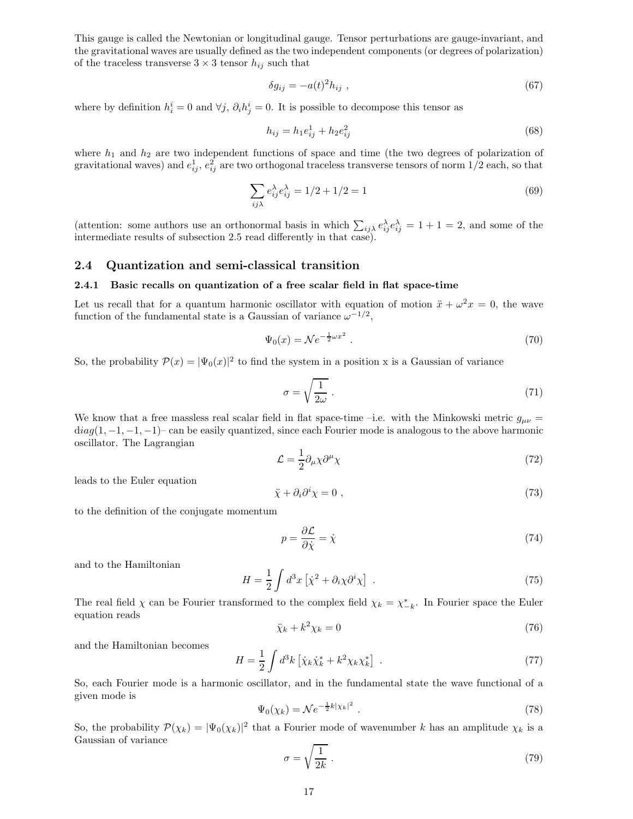This gauge is called the Newtonian or longitudinal gauge. Tensor perturbations are gauge-invariant, and the gravitational waves are usually defined as the two independent components (or degrees of polarization) of the traceless transverse  $3 \times 3$  tensor  $h_{ij}$  such that

$$
\delta g_{ij} = -a(t)^2 h_{ij} \tag{67}
$$

where by definition  $h_i^i = 0$  and  $\forall j$ ,  $\partial_i h_j^i = 0$ . It is possible to decompose this tensor as

$$
h_{ij} = h_1 e_{ij}^1 + h_2 e_{ij}^2
$$
\n(68)

where  $h_1$  and  $h_2$  are two independent functions of space and time (the two degrees of polarization of gravitational waves) and  $e_{ij}^1$ ,  $e_{ij}^2$  are two orthogonal traceless transverse tensors of norm  $1/2$  each, so that

$$
\sum_{ij\lambda} e_{ij}^{\lambda} e_{ij}^{\lambda} = 1/2 + 1/2 = 1
$$
\n<sup>(69)</sup>

(attention: some authors use an orthonormal basis in which  $\sum_{ij\lambda} e_{ij}^{\lambda} e_{ij}^{\lambda} = 1 + 1 = 2$ , and some of the intermediate results of subsection 2.5 read differently in that case).

## 2.4 Quantization and semi-classical transition

## 2.4.1 Basic recalls on quantization of a free scalar field in flat space-time

Let us recall that for a quantum harmonic oscillator with equation of motion  $\ddot{x} + \omega^2 x = 0$ , the wave function of the fundamental state is a Gaussian of variance  $\omega^{-1/2}$ ,

$$
\Psi_0(x) = \mathcal{N}e^{-\frac{1}{2}\omega x^2} \tag{70}
$$

So, the probability  $\mathcal{P}(x) = |\Psi_0(x)|^2$  to find the system in a position x is a Gaussian of variance

$$
\sigma = \sqrt{\frac{1}{2\omega}}\tag{71}
$$

We know that a free massless real scalar field in flat space-time –i.e. with the Minkowski metric  $g_{\mu\nu}$  =  $diag(1, -1, -1, -1)$ – can be easily quantized, since each Fourier mode is analogous to the above harmonic oscillator. The Lagrangian

$$
\mathcal{L} = \frac{1}{2} \partial_{\mu} \chi \partial^{\mu} \chi \tag{72}
$$

leads to the Euler equation

$$
\ddot{\chi} + \partial_i \partial^i \chi = 0 \tag{73}
$$

to the definition of the conjugate momentum

$$
p = \frac{\partial \mathcal{L}}{\partial \dot{\chi}} = \dot{\chi} \tag{74}
$$

and to the Hamiltonian

$$
H = \frac{1}{2} \int d^3x \left[ \dot{\chi}^2 + \partial_i \chi \partial^i \chi \right] \ . \tag{75}
$$

The real field  $\chi$  can be Fourier transformed to the complex field  $\chi_k = \chi_{-k}^*$ . In Fourier space the Euler equation reads

$$
\ddot{\chi}_k + k^2 \chi_k = 0 \tag{76}
$$

and the Hamiltonian becomes

$$
H = \frac{1}{2} \int d^3k \left[ \dot{\chi}_k \dot{\chi}_k^* + k^2 \chi_k \chi_k^* \right] \ . \tag{77}
$$

So, each Fourier mode is a harmonic oscillator, and in the fundamental state the wave functional of a given mode is

$$
\Psi_0(\chi_k) = \mathcal{N}e^{-\frac{1}{2}k|\chi_k|^2} \tag{78}
$$

So, the probability  $P(\chi_k) = |\Psi_0(\chi_k)|^2$  that a Fourier mode of wavenumber k has an amplitude  $\chi_k$  is a Gaussian of variance

$$
\sigma = \sqrt{\frac{1}{2k}} \tag{79}
$$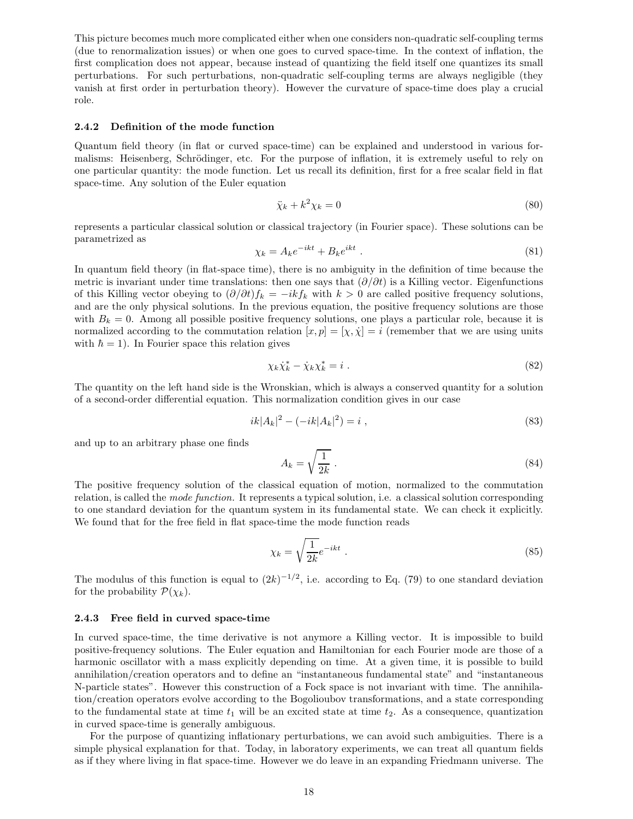This picture becomes much more complicated either when one considers non-quadratic self-coupling terms (due to renormalization issues) or when one goes to curved space-time. In the context of inflation, the first complication does not appear, because instead of quantizing the field itself one quantizes its small perturbations. For such perturbations, non-quadratic self-coupling terms are always negligible (they vanish at first order in perturbation theory). However the curvature of space-time does play a crucial role.

## 2.4.2 Definition of the mode function

Quantum field theory (in flat or curved space-time) can be explained and understood in various formalisms: Heisenberg, Schrödinger, etc. For the purpose of inflation, it is extremely useful to rely on one particular quantity: the mode function. Let us recall its definition, first for a free scalar field in flat space-time. Any solution of the Euler equation

$$
\ddot{\chi}_k + k^2 \chi_k = 0 \tag{80}
$$

represents a particular classical solution or classical trajectory (in Fourier space). These solutions can be parametrized as

$$
\chi_k = A_k e^{-ikt} + B_k e^{ikt} \tag{81}
$$

In quantum field theory (in flat-space time), there is no ambiguity in the definition of time because the metric is invariant under time translations: then one says that  $(\partial/\partial t)$  is a Killing vector. Eigenfunctions of this Killing vector obeying to  $(\partial/\partial t)f_k = -ikf_k$  with  $k > 0$  are called positive frequency solutions, and are the only physical solutions. In the previous equation, the positive frequency solutions are those with  $B_k = 0$ . Among all possible positive frequency solutions, one plays a particular role, because it is normalized according to the commutation relation  $[x, p] = [\chi, \dot{\chi}] = i$  (remember that we are using units with  $\hbar = 1$ ). In Fourier space this relation gives

$$
\chi_k \dot{\chi}_k^* - \dot{\chi}_k \chi_k^* = i \tag{82}
$$

The quantity on the left hand side is the Wronskian, which is always a conserved quantity for a solution of a second-order differential equation. This normalization condition gives in our case

$$
ik|A_k|^2 - (-ik|A_k|^2) = i , \t\t(83)
$$

and up to an arbitrary phase one finds

$$
A_k = \sqrt{\frac{1}{2k}} \tag{84}
$$

The positive frequency solution of the classical equation of motion, normalized to the commutation relation, is called the mode function. It represents a typical solution, i.e. a classical solution corresponding to one standard deviation for the quantum system in its fundamental state. We can check it explicitly. We found that for the free field in flat space-time the mode function reads

$$
\chi_k = \sqrt{\frac{1}{2k}} e^{-ikt} \tag{85}
$$

The modulus of this function is equal to  $(2k)^{-1/2}$ , i.e. according to Eq. (79) to one standard deviation for the probability  $\mathcal{P}(\chi_k)$ .

#### 2.4.3 Free field in curved space-time

In curved space-time, the time derivative is not anymore a Killing vector. It is impossible to build positive-frequency solutions. The Euler equation and Hamiltonian for each Fourier mode are those of a harmonic oscillator with a mass explicitly depending on time. At a given time, it is possible to build annihilation/creation operators and to define an "instantaneous fundamental state" and "instantaneous N-particle states". However this construction of a Fock space is not invariant with time. The annihilation/creation operators evolve according to the Bogolioubov transformations, and a state corresponding to the fundamental state at time  $t_1$  will be an excited state at time  $t_2$ . As a consequence, quantization in curved space-time is generally ambiguous.

For the purpose of quantizing inflationary perturbations, we can avoid such ambiguities. There is a simple physical explanation for that. Today, in laboratory experiments, we can treat all quantum fields as if they where living in flat space-time. However we do leave in an expanding Friedmann universe. The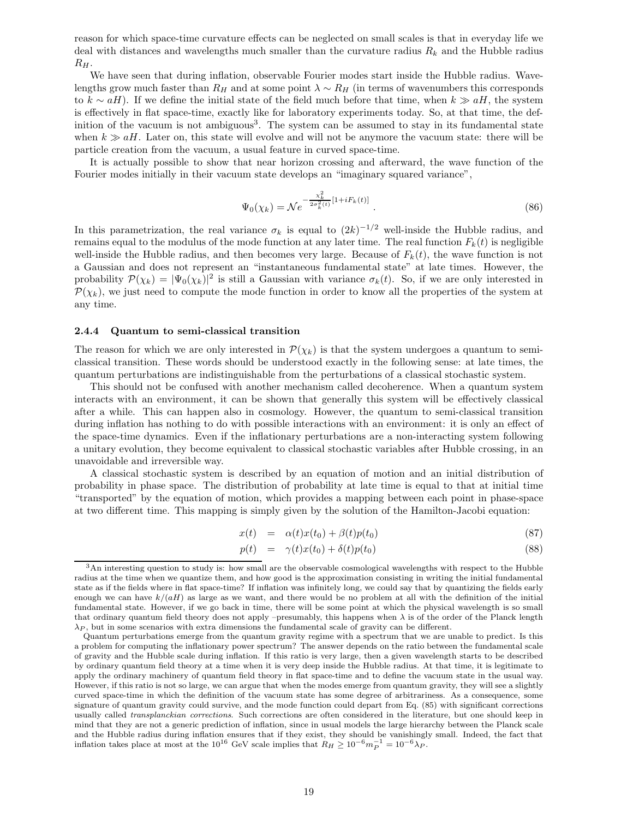reason for which space-time curvature effects can be neglected on small scales is that in everyday life we deal with distances and wavelengths much smaller than the curvature radius  $R_k$  and the Hubble radius  $R_H$ .

We have seen that during inflation, observable Fourier modes start inside the Hubble radius. Wavelengths grow much faster than  $R_H$  and at some point  $\lambda \sim R_H$  (in terms of wavenumbers this corresponds to  $k \sim aH$ ). If we define the initial state of the field much before that time, when  $k \gg aH$ , the system is effectively in flat space-time, exactly like for laboratory experiments today. So, at that time, the definition of the vacuum is not ambiguous<sup>3</sup>. The system can be assumed to stay in its fundamental state when  $k \gg aH$ . Later on, this state will evolve and will not be anymore the vacuum state: there will be particle creation from the vacuum, a usual feature in curved space-time.

It is actually possible to show that near horizon crossing and afterward, the wave function of the Fourier modes initially in their vacuum state develops an "imaginary squared variance",

$$
\Psi_0(\chi_k) = \mathcal{N}e^{-\frac{\chi_k^2}{2\sigma_k^2(t)}[1 + iF_k(t)]}.
$$
\n(86)

In this parametrization, the real variance  $\sigma_k$  is equal to  $(2k)^{-1/2}$  well-inside the Hubble radius, and remains equal to the modulus of the mode function at any later time. The real function  $F_k(t)$  is negligible well-inside the Hubble radius, and then becomes very large. Because of  $F_k(t)$ , the wave function is not a Gaussian and does not represent an "instantaneous fundamental state" at late times. However, the probability  $\mathcal{P}(\chi_k) = |\Psi_0(\chi_k)|^2$  is still a Gaussian with variance  $\sigma_k(t)$ . So, if we are only interested in  $\mathcal{P}(\chi_k)$ , we just need to compute the mode function in order to know all the properties of the system at any time.

#### 2.4.4 Quantum to semi-classical transition

The reason for which we are only interested in  $\mathcal{P}(\chi_k)$  is that the system undergoes a quantum to semiclassical transition. These words should be understood exactly in the following sense: at late times, the quantum perturbations are indistinguishable from the perturbations of a classical stochastic system.

This should not be confused with another mechanism called decoherence. When a quantum system interacts with an environment, it can be shown that generally this system will be effectively classical after a while. This can happen also in cosmology. However, the quantum to semi-classical transition during inflation has nothing to do with possible interactions with an environment: it is only an effect of the space-time dynamics. Even if the inflationary perturbations are a non-interacting system following a unitary evolution, they become equivalent to classical stochastic variables after Hubble crossing, in an unavoidable and irreversible way.

A classical stochastic system is described by an equation of motion and an initial distribution of probability in phase space. The distribution of probability at late time is equal to that at initial time "transported" by the equation of motion, which provides a mapping between each point in phase-space at two different time. This mapping is simply given by the solution of the Hamilton-Jacobi equation:

$$
x(t) = \alpha(t)x(t_0) + \beta(t)p(t_0) \tag{87}
$$

$$
p(t) = \gamma(t)x(t_0) + \delta(t)p(t_0) \tag{88}
$$

 $3$ An interesting question to study is: how small are the observable cosmological wavelengths with respect to the Hubble radius at the time when we quantize them, and how good is the approximation consisting in writing the initial fundamental state as if the fields where in flat space-time? If inflation was infinitely long, we could say that by quantizing the fields early enough we can have  $k/(aH)$  as large as we want, and there would be no problem at all with the definition of the initial fundamental state. However, if we go back in time, there will be some point at which the physical wavelength is so small that ordinary quantum field theory does not apply –presumably, this happens when  $\lambda$  is of the order of the Planck length  $\lambda_P$ , but in some scenarios with extra dimensions the fundamental scale of gravity can be different.

Quantum perturbations emerge from the quantum gravity regime with a spectrum that we are unable to predict. Is this a problem for computing the inflationary power spectrum? The answer depends on the ratio between the fundamental scale of gravity and the Hubble scale during inflation. If this ratio is very large, then a given wavelength starts to be described by ordinary quantum field theory at a time when it is very deep inside the Hubble radius. At that time, it is legitimate to apply the ordinary machinery of quantum field theory in flat space-time and to define the vacuum state in the usual way. However, if this ratio is not so large, we can argue that when the modes emerge from quantum gravity, they will see a slightly curved space-time in which the definition of the vacuum state has some degree of arbitrariness. As a consequence, some signature of quantum gravity could survive, and the mode function could depart from Eq. (85) with significant corrections usually called *transplanckian corrections*. Such corrections are often considered in the literature, but one should keep in mind that they are not a generic prediction of inflation, since in usual models the large hierarchy between the Planck scale and the Hubble radius during inflation ensures that if they exist, they should be vanishingly small. Indeed, the fact that inflation takes place at most at the 10<sup>16</sup> GeV scale implies that  $R_H \ge 10^{-6} m_P^{-1} = 10^{-6} \lambda_P$ .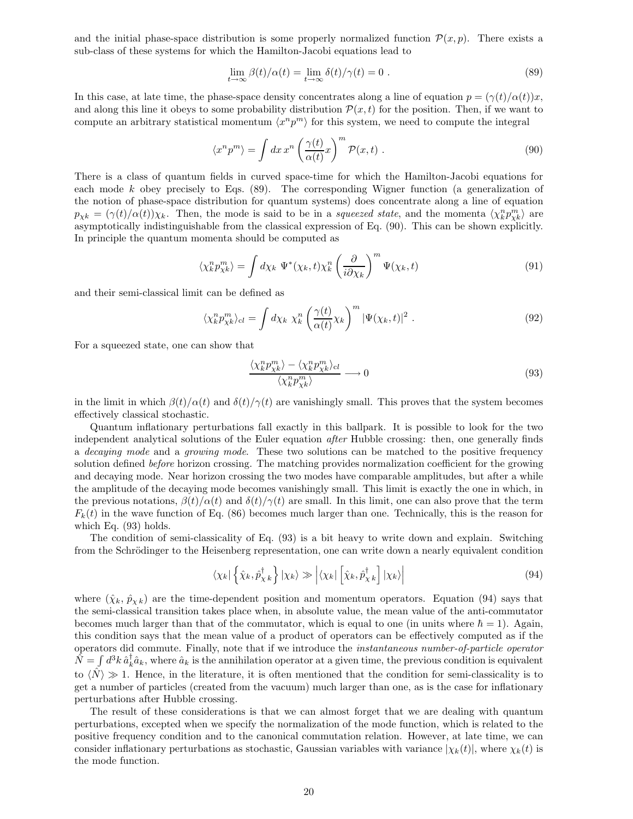and the initial phase-space distribution is some properly normalized function  $\mathcal{P}(x, p)$ . There exists a sub-class of these systems for which the Hamilton-Jacobi equations lead to

$$
\lim_{t \to \infty} \beta(t)/\alpha(t) = \lim_{t \to \infty} \delta(t)/\gamma(t) = 0.
$$
\n(89)

In this case, at late time, the phase-space density concentrates along a line of equation  $p = (\gamma(t)/\alpha(t))x$ , and along this line it obeys to some probability distribution  $\mathcal{P}(x, t)$  for the position. Then, if we want to compute an arbitrary statistical momentum  $\langle x^n p^m \rangle$  for this system, we need to compute the integral

$$
\langle x^n p^m \rangle = \int dx \, x^n \left( \frac{\gamma(t)}{\alpha(t)} x \right)^m \mathcal{P}(x, t) \,. \tag{90}
$$

There is a class of quantum fields in curved space-time for which the Hamilton-Jacobi equations for each mode  $k$  obey precisely to Eqs. (89). The corresponding Wigner function (a generalization of the notion of phase-space distribution for quantum systems) does concentrate along a line of equation  $p_{\chi k} = (\gamma(t)/\alpha(t))\chi_k$ . Then, the mode is said to be in a squeezed state, and the momenta  $\langle \chi_k^n p_{\chi_k}^m \rangle$  are asymptotically indistinguishable from the classical expression of Eq. (90). This can be shown explicitly. In principle the quantum momenta should be computed as

$$
\langle \chi_k^n p_{\chi k}^m \rangle = \int d\chi_k \ \Psi^*(\chi_k, t) \chi_k^n \left( \frac{\partial}{i \partial \chi_k} \right)^m \Psi(\chi_k, t) \tag{91}
$$

and their semi-classical limit can be defined as

$$
\langle \chi_k^n p_{\chi k}^m \rangle_{cl} = \int d\chi_k \ \chi_k^n \left( \frac{\gamma(t)}{\alpha(t)} \chi_k \right)^m |\Psi(\chi_k, t)|^2 \ . \tag{92}
$$

For a squeezed state, one can show that

$$
\frac{\langle \chi_k^n p_{\chi k}^m \rangle - \langle \chi_k^n p_{\chi k}^m \rangle_{cl}}{\langle \chi_k^n p_{\chi k}^m \rangle} \longrightarrow 0
$$
\n(93)

in the limit in which  $\beta(t)/\alpha(t)$  and  $\delta(t)/\gamma(t)$  are vanishingly small. This proves that the system becomes effectively classical stochastic.

Quantum inflationary perturbations fall exactly in this ballpark. It is possible to look for the two independent analytical solutions of the Euler equation after Hubble crossing: then, one generally finds a decaying mode and a growing mode. These two solutions can be matched to the positive frequency solution defined before horizon crossing. The matching provides normalization coefficient for the growing and decaying mode. Near horizon crossing the two modes have comparable amplitudes, but after a while the amplitude of the decaying mode becomes vanishingly small. This limit is exactly the one in which, in the previous notations,  $\beta(t)/\alpha(t)$  and  $\delta(t)/\gamma(t)$  are small. In this limit, one can also prove that the term  $F_k(t)$  in the wave function of Eq. (86) becomes much larger than one. Technically, this is the reason for which Eq. (93) holds.

The condition of semi-classicality of Eq. (93) is a bit heavy to write down and explain. Switching from the Schrödinger to the Heisenberg representation, one can write down a nearly equivalent condition

$$
\langle \chi_k | \left\{ \hat{\chi}_k, \hat{p}_{\chi k}^{\dagger} \right\} | \chi_k \rangle \gg \left| \langle \chi_k | \left[ \hat{\chi}_k, \hat{p}_{\chi k}^{\dagger} \right] | \chi_k \rangle \right| \tag{94}
$$

where  $(\hat{\chi}_k, \hat{p}_{\chi k})$  are the time-dependent position and momentum operators. Equation (94) says that the semi-classical transition takes place when, in absolute value, the mean value of the anti-commutator becomes much larger than that of the commutator, which is equal to one (in units where  $\hbar = 1$ ). Again, this condition says that the mean value of a product of operators can be effectively computed as if the operators did commute. Finally, note that if we introduce the instantaneous number-of-particle operator  $\hat{N} = \int d^3k \hat{a}_k^{\dagger} \hat{a}_k$ , where  $\hat{a}_k$  is the annihilation operator at a given time, the previous condition is equivalent to  $\langle N \rangle \gg 1$ . Hence, in the literature, it is often mentioned that the condition for semi-classicality is to get a number of particles (created from the vacuum) much larger than one, as is the case for inflationary perturbations after Hubble crossing.

The result of these considerations is that we can almost forget that we are dealing with quantum perturbations, excepted when we specify the normalization of the mode function, which is related to the positive frequency condition and to the canonical commutation relation. However, at late time, we can consider inflationary perturbations as stochastic, Gaussian variables with variance  $|\chi_k(t)|$ , where  $\chi_k(t)$  is the mode function.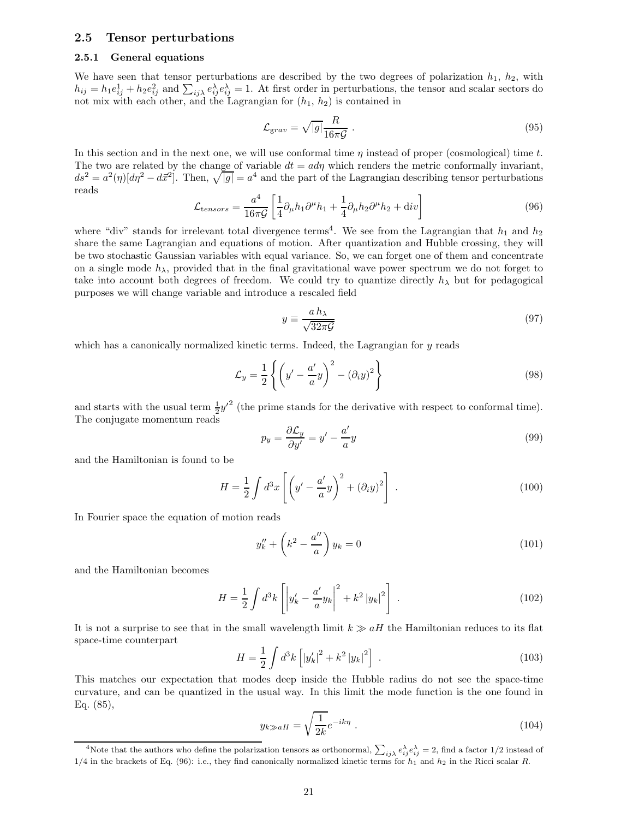## 2.5 Tensor perturbations

## 2.5.1 General equations

We have seen that tensor perturbations are described by the two degrees of polarization  $h_1$ ,  $h_2$ , with  $h_{ij} = h_1 e_{ij}^1 + h_2 e_{ij}^2$  and  $\sum_{ij\lambda} e_{ij}^{\lambda} e_{ij}^{\lambda} = 1$ . At first order in perturbations, the tensor and scalar sectors do not mix with each other, and the Lagrangian for  $(h_1, h_2)$  is contained in

$$
\mathcal{L}_{grav} = \sqrt{|g|} \frac{R}{16\pi \mathcal{G}} \,. \tag{95}
$$

In this section and in the next one, we will use conformal time  $\eta$  instead of proper (cosmological) time t. The two are related by the change of variable  $dt = ad\eta$  which renders the metric conformally invariant,  $ds^2 = a^2(\eta)[d\eta^2 - d\vec{x}^2]$ . Then,  $\sqrt{|g|} = a^4$  and the part of the Lagrangian describing tensor perturbations reads

$$
\mathcal{L}_{tensors} = \frac{a^4}{16\pi\mathcal{G}} \left[ \frac{1}{4} \partial_\mu h_1 \partial^\mu h_1 + \frac{1}{4} \partial_\mu h_2 \partial^\mu h_2 + \text{div} \right] \tag{96}
$$

where "div" stands for irrelevant total divergence terms<sup>4</sup>. We see from the Lagrangian that  $h_1$  and  $h_2$ share the same Lagrangian and equations of motion. After quantization and Hubble crossing, they will be two stochastic Gaussian variables with equal variance. So, we can forget one of them and concentrate on a single mode  $h_{\lambda}$ , provided that in the final gravitational wave power spectrum we do not forget to take into account both degrees of freedom. We could try to quantize directly  $h_{\lambda}$  but for pedagogical purposes we will change variable and introduce a rescaled field

$$
y \equiv \frac{a \, h_{\lambda}}{\sqrt{32 \pi \mathcal{G}}}
$$
\n<sup>(97)</sup>

which has a canonically normalized kinetic terms. Indeed, the Lagrangian for y reads

$$
\mathcal{L}_y = \frac{1}{2} \left\{ \left( y' - \frac{a'}{a} y \right)^2 - \left( \partial_i y \right)^2 \right\} \tag{98}
$$

and starts with the usual term  $\frac{1}{2}y'^2$  (the prime stands for the derivative with respect to conformal time). The conjugate momentum reads

$$
p_y = \frac{\partial \mathcal{L}_y}{\partial y'} = y' - \frac{a'}{a}y\tag{99}
$$

and the Hamiltonian is found to be

$$
H = \frac{1}{2} \int d^3x \left[ \left( y' - \frac{a'}{a} y \right)^2 + \left( \partial_i y \right)^2 \right] \,. \tag{100}
$$

In Fourier space the equation of motion reads

$$
y_k'' + \left(k^2 - \frac{a''}{a}\right)y_k = 0\tag{101}
$$

and the Hamiltonian becomes

$$
H = \frac{1}{2} \int d^3k \left[ \left| y'_k - \frac{a'}{a} y_k \right|^2 + k^2 \left| y_k \right|^2 \right] \,. \tag{102}
$$

It is not a surprise to see that in the small wavelength limit  $k \gg aH$  the Hamiltonian reduces to its flat space-time counterpart

$$
H = \frac{1}{2} \int d^3k \left[ |y'_k|^2 + k^2 |y_k|^2 \right] \,. \tag{103}
$$

This matches our expectation that modes deep inside the Hubble radius do not see the space-time curvature, and can be quantized in the usual way. In this limit the mode function is the one found in Eq. (85),

$$
y_{k \gg aH} = \sqrt{\frac{1}{2k}} e^{-ik\eta} . \tag{104}
$$

<sup>&</sup>lt;sup>4</sup>Note that the authors who define the polarization tensors as orthonormal,  $\sum_{ij\lambda} e_{ij}^{\lambda} e_{ij}^{\lambda} = 2$ , find a factor 1/2 instead of  $1/4$  in the brackets of Eq. (96): i.e., they find canonically normalized kinetic terms for  $h_1$  and  $h_2$  in the Ricci scalar R.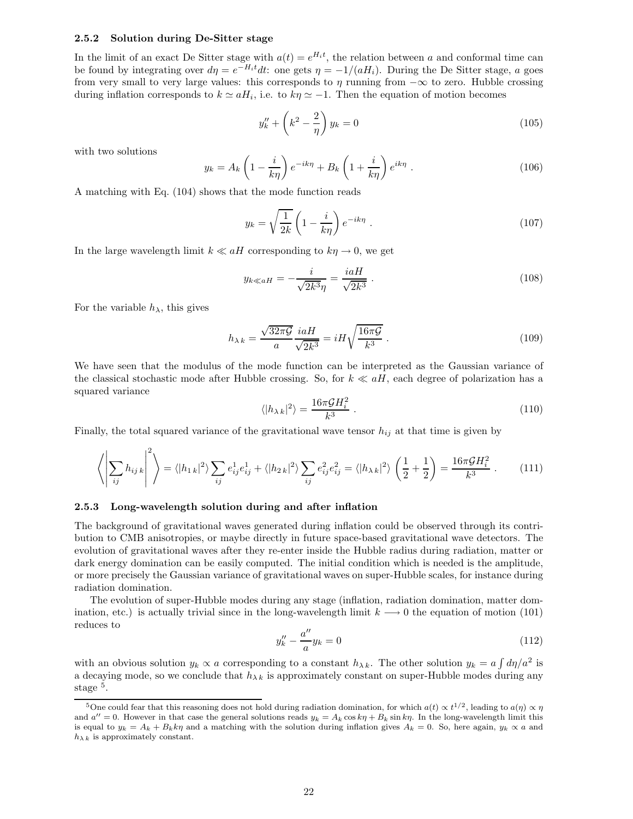## 2.5.2 Solution during De-Sitter stage

In the limit of an exact De Sitter stage with  $a(t) = e^{H_i t}$ , the relation between a and conformal time can be found by integrating over  $d\eta = e^{-H_i t} dt$ : one gets  $\eta = -1/(aH_i)$ . During the De Sitter stage, a goes from very small to very large values: this corresponds to  $\eta$  running from  $-\infty$  to zero. Hubble crossing during inflation corresponds to  $k \simeq aH_i$ , i.e. to  $k\eta \simeq -1$ . Then the equation of motion becomes

$$
y_k'' + \left(k^2 - \frac{2}{\eta}\right) y_k = 0 \tag{105}
$$

with two solutions

$$
y_k = A_k \left( 1 - \frac{i}{k\eta} \right) e^{-ik\eta} + B_k \left( 1 + \frac{i}{k\eta} \right) e^{ik\eta} . \tag{106}
$$

A matching with Eq. (104) shows that the mode function reads

$$
y_k = \sqrt{\frac{1}{2k}} \left( 1 - \frac{i}{k\eta} \right) e^{-ik\eta} . \tag{107}
$$

In the large wavelength limit  $k \ll aH$  corresponding to  $k\eta \to 0$ , we get

$$
y_{k\ll aH} = -\frac{i}{\sqrt{2k^3}\eta} = \frac{iaH}{\sqrt{2k^3}}.
$$
\n(108)

For the variable  $h_{\lambda}$ , this gives

$$
h_{\lambda k} = \frac{\sqrt{32\pi\mathcal{G}}}{a} \frac{i a H}{\sqrt{2k^3}} = i H \sqrt{\frac{16\pi\mathcal{G}}{k^3}}.
$$
\n(109)

We have seen that the modulus of the mode function can be interpreted as the Gaussian variance of the classical stochastic mode after Hubble crossing. So, for  $k \ll aH$ , each degree of polarization has a squared variance

$$
\langle |h_{\lambda k}|^2 \rangle = \frac{16\pi \mathcal{G}H_i^2}{k^3} \,. \tag{110}
$$

Finally, the total squared variance of the gravitational wave tensor  $h_{ij}$  at that time is given by

$$
\left\langle \left| \sum_{ij} h_{ij} \kappa \right|^2 \right\rangle = \left\langle |h_{1k}|^2 \right\rangle \sum_{ij} e_{ij}^1 e_{ij}^1 + \left\langle |h_{2k}|^2 \right\rangle \sum_{ij} e_{ij}^2 e_{ij}^2 = \left\langle |h_{\lambda k}|^2 \right\rangle \left( \frac{1}{2} + \frac{1}{2} \right) = \frac{16\pi \mathcal{G} H_i^2}{k^3} \,. \tag{111}
$$

#### 2.5.3 Long-wavelength solution during and after inflation

The background of gravitational waves generated during inflation could be observed through its contribution to CMB anisotropies, or maybe directly in future space-based gravitational wave detectors. The evolution of gravitational waves after they re-enter inside the Hubble radius during radiation, matter or dark energy domination can be easily computed. The initial condition which is needed is the amplitude, or more precisely the Gaussian variance of gravitational waves on super-Hubble scales, for instance during radiation domination.

The evolution of super-Hubble modes during any stage (inflation, radiation domination, matter domination, etc.) is actually trivial since in the long-wavelength limit  $k \rightarrow 0$  the equation of motion (101) reduces to

$$
y_k'' - \frac{a''}{a}y_k = 0 \tag{112}
$$

with an obvious solution  $y_k \propto a$  corresponding to a constant  $h_{\lambda k}$ . The other solution  $y_k = a \int d\eta/a^2$  is a decaying mode, so we conclude that  $h_{\lambda k}$  is approximately constant on super-Hubble modes during any stage<sup>5</sup>.

<sup>&</sup>lt;sup>5</sup>One could fear that this reasoning does not hold during radiation domination, for which  $a(t) \propto t^{1/2}$ , leading to  $a(\eta) \propto \eta$ and  $a'' = 0$ . However in that case the general solutions reads  $y_k = A_k \cos k\eta + B_k \sin k\eta$ . In the long-wavelength limit this is equal to  $y_k = A_k + B_k k \eta$  and a matching with the solution during inflation gives  $A_k = 0$ . So, here again,  $y_k \propto a$  and  $h_{\lambda k}$  is approximately constant.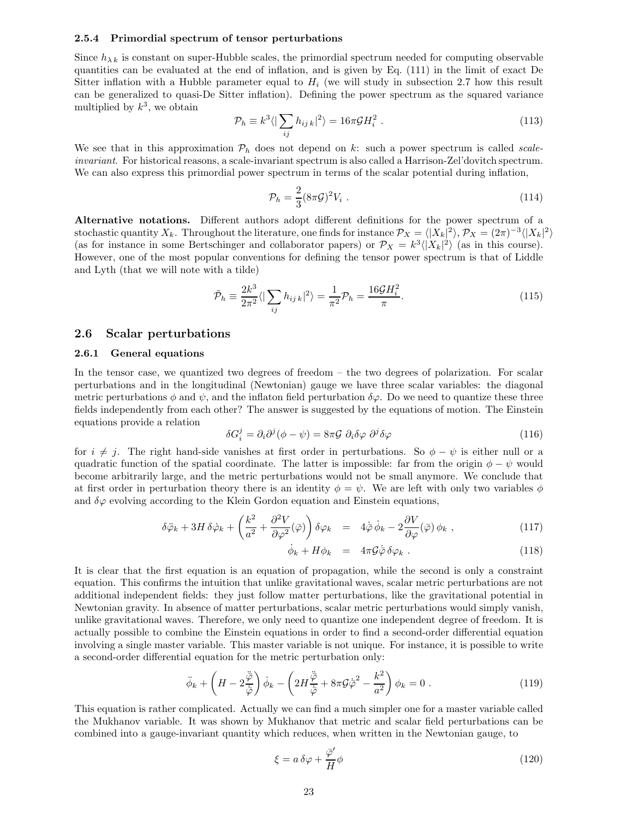## 2.5.4 Primordial spectrum of tensor perturbations

Since  $h_{\lambda k}$  is constant on super-Hubble scales, the primordial spectrum needed for computing observable quantities can be evaluated at the end of inflation, and is given by Eq. (111) in the limit of exact De Sitter inflation with a Hubble parameter equal to  $H_i$  (we will study in subsection 2.7 how this result can be generalized to quasi-De Sitter inflation). Defining the power spectrum as the squared variance multiplied by  $k^3$ , we obtain

$$
\mathcal{P}_h \equiv k^3 \langle |\sum_{ij} h_{ij\,k}|^2 \rangle = 16\pi \mathcal{G} H_i^2 \ . \tag{113}
$$

We see that in this approximation  $P_h$  does not depend on k: such a power spectrum is called scaleinvariant. For historical reasons, a scale-invariant spectrum is also called a Harrison-Zel'dovitch spectrum. We can also express this primordial power spectrum in terms of the scalar potential during inflation,

$$
\mathcal{P}_h = \frac{2}{3} (8\pi \mathcal{G})^2 V_i \tag{114}
$$

Alternative notations. Different authors adopt different definitions for the power spectrum of a stochastic quantity  $X_k$ . Throughout the literature, one finds for instance  $\mathcal{P}_X = \langle |X_k|^2 \rangle$ ,  $\mathcal{P}_X = (2\pi)^{-3} \langle |X_k|^2 \rangle$ (as for instance in some Bertschinger and collaborator papers) or  $\mathcal{P}_X = k^3 \langle |X_k|^2 \rangle$  (as in this course). However, one of the most popular conventions for defining the tensor power spectrum is that of Liddle and Lyth (that we will note with a tilde)

$$
\tilde{\mathcal{P}}_h \equiv \frac{2k^3}{2\pi^2} \langle |\sum_{ij} h_{ij\,k}|^2 \rangle = \frac{1}{\pi^2} \mathcal{P}_h = \frac{16\mathcal{G}H_i^2}{\pi}.
$$
\n(115)

## 2.6 Scalar perturbations

#### 2.6.1 General equations

In the tensor case, we quantized two degrees of freedom – the two degrees of polarization. For scalar perturbations and in the longitudinal (Newtonian) gauge we have three scalar variables: the diagonal metric perturbations  $\phi$  and  $\psi$ , and the inflaton field perturbation  $\delta\varphi$ . Do we need to quantize these three fields independently from each other? The answer is suggested by the equations of motion. The Einstein equations provide a relation

$$
\delta G_i^j = \partial_i \partial^j (\phi - \psi) = 8\pi \mathcal{G} \ \partial_i \delta \varphi \ \partial^j \delta \varphi \tag{116}
$$

for  $i \neq j$ . The right hand-side vanishes at first order in perturbations. So  $\phi - \psi$  is either null or a quadratic function of the spatial coordinate. The latter is impossible: far from the origin  $\phi - \psi$  would become arbitrarily large, and the metric perturbations would not be small anymore. We conclude that at first order in perturbation theory there is an identity  $\phi = \psi$ . We are left with only two variables  $\phi$ and  $\delta\varphi$  evolving according to the Klein Gordon equation and Einstein equations,

$$
\delta \ddot{\varphi}_k + 3H \delta \dot{\varphi}_k + \left(\frac{k^2}{a^2} + \frac{\partial^2 V}{\partial \varphi^2}(\bar{\varphi})\right) \delta \varphi_k = 4\dot{\bar{\varphi}} \dot{\phi}_k - 2\frac{\partial V}{\partial \varphi}(\bar{\varphi}) \phi_k , \qquad (117)
$$

$$
\dot{\phi}_k + H \phi_k = 4\pi \mathcal{G} \dot{\bar{\phi}} \, \delta \varphi_k \,. \tag{118}
$$

It is clear that the first equation is an equation of propagation, while the second is only a constraint equation. This confirms the intuition that unlike gravitational waves, scalar metric perturbations are not additional independent fields: they just follow matter perturbations, like the gravitational potential in Newtonian gravity. In absence of matter perturbations, scalar metric perturbations would simply vanish, unlike gravitational waves. Therefore, we only need to quantize one independent degree of freedom. It is actually possible to combine the Einstein equations in order to find a second-order differential equation involving a single master variable. This master variable is not unique. For instance, it is possible to write a second-order differential equation for the metric perturbation only:

$$
\ddot{\phi}_k + \left( H - 2\frac{\ddot{\varphi}}{\dot{\bar{\varphi}}} \right) \dot{\phi}_k - \left( 2H \frac{\ddot{\varphi}}{\dot{\bar{\varphi}}} + 8\pi \mathcal{G} \dot{\bar{\varphi}}^2 - \frac{k^2}{a^2} \right) \phi_k = 0 \; . \tag{119}
$$

This equation is rather complicated. Actually we can find a much simpler one for a master variable called the Mukhanov variable. It was shown by Mukhanov that metric and scalar field perturbations can be combined into a gauge-invariant quantity which reduces, when written in the Newtonian gauge, to

$$
\xi = a \,\delta\varphi + \frac{\bar{\varphi}'}{H}\phi\tag{120}
$$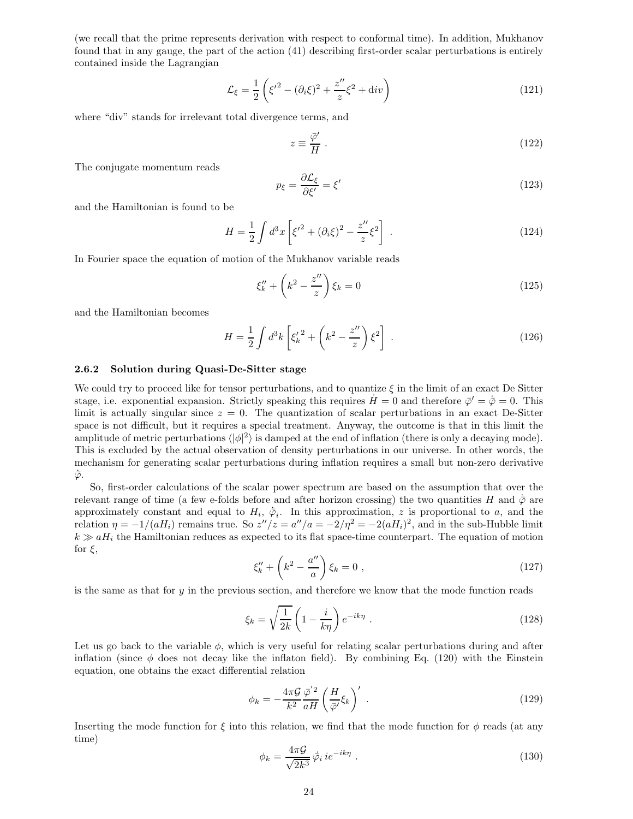(we recall that the prime represents derivation with respect to conformal time). In addition, Mukhanov found that in any gauge, the part of the action (41) describing first-order scalar perturbations is entirely contained inside the Lagrangian

$$
\mathcal{L}_{\xi} = \frac{1}{2} \left( \xi'^2 - (\partial_i \xi)^2 + \frac{z''}{z} \xi^2 + \text{div} \right)
$$
\n(121)

where "div" stands for irrelevant total divergence terms, and

$$
z \equiv \frac{\bar{\varphi}'}{H} \; . \tag{122}
$$

The conjugate momentum reads

$$
p_{\xi} = \frac{\partial \mathcal{L}_{\xi}}{\partial \xi'} = \xi'
$$
\n(123)

and the Hamiltonian is found to be

$$
H = \frac{1}{2} \int d^3x \left[ \xi'^2 + (\partial_i \xi)^2 - \frac{z''}{z} \xi^2 \right] \,. \tag{124}
$$

In Fourier space the equation of motion of the Mukhanov variable reads

$$
\xi_k'' + \left(k^2 - \frac{z''}{z}\right)\xi_k = 0\tag{125}
$$

and the Hamiltonian becomes

$$
H = \frac{1}{2} \int d^3k \left[ \xi'_k^2 + \left( k^2 - \frac{z''}{z} \right) \xi^2 \right] \tag{126}
$$

## 2.6.2 Solution during Quasi-De-Sitter stage

We could try to proceed like for tensor perturbations, and to quantize  $\xi$  in the limit of an exact De Sitter stage, i.e. exponential expansion. Strictly speaking this requires  $\dot{H} = 0$  and therefore  $\bar{\varphi}' = \dot{\bar{\varphi}} = 0$ . This limit is actually singular since  $z = 0$ . The quantization of scalar perturbations in an exact De-Sitter space is not difficult, but it requires a special treatment. Anyway, the outcome is that in this limit the amplitude of metric perturbations  $\langle |\phi|^2 \rangle$  is damped at the end of inflation (there is only a decaying mode). This is excluded by the actual observation of density perturbations in our universe. In other words, the mechanism for generating scalar perturbations during inflation requires a small but non-zero derivative  $\bar{\varphi}$ .

So, first-order calculations of the scalar power spectrum are based on the assumption that over the relevant range of time (a few e-folds before and after horizon crossing) the two quantities H and  $\dot{\bar{\varphi}}$  are approximately constant and equal to  $H_i$ ,  $\dot{\bar{\varphi}}_i$ . In this approximation, z is proportional to a, and the relation  $\eta = -1/(aH_i)$  remains true. So  $z''/z = a''/a = -2/\eta^2 = -2(aH_i)^2$ , and in the sub-Hubble limit  $k \gg aH_i$  the Hamiltonian reduces as expected to its flat space-time counterpart. The equation of motion for  $\xi$ ,

$$
\xi_k'' + \left(k^2 - \frac{a''}{a}\right)\xi_k = 0\tag{127}
$$

is the same as that for  $\eta$  in the previous section, and therefore we know that the mode function reads

$$
\xi_k = \sqrt{\frac{1}{2k}} \left( 1 - \frac{i}{k\eta} \right) e^{-ik\eta} \tag{128}
$$

Let us go back to the variable  $\phi$ , which is very useful for relating scalar perturbations during and after inflation (since  $\phi$  does not decay like the inflaton field). By combining Eq. (120) with the Einstein equation, one obtains the exact differential relation

$$
\phi_k = -\frac{4\pi\mathcal{G}}{k^2} \frac{\bar{\varphi}^{'2}}{aH} \left(\frac{H}{\bar{\varphi}'} \xi_k\right)'.\tag{129}
$$

Inserting the mode function for  $\xi$  into this relation, we find that the mode function for  $\phi$  reads (at any time)

$$
\phi_k = \frac{4\pi\mathcal{G}}{\sqrt{2k^3}} \,\dot{\overline{\varphi}}_i \, i e^{-ik\eta} \; . \tag{130}
$$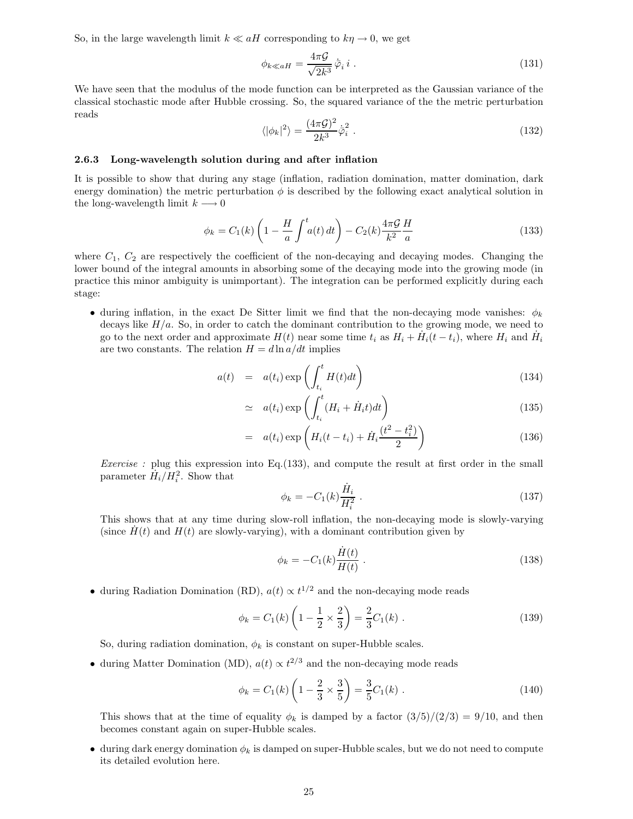So, in the large wavelength limit  $k \ll aH$  corresponding to  $k\eta \to 0$ , we get

$$
\phi_{k\ll aH} = \frac{4\pi\mathcal{G}}{\sqrt{2k^3}} \dot{\bar{\varphi}}_i i \,. \tag{131}
$$

We have seen that the modulus of the mode function can be interpreted as the Gaussian variance of the classical stochastic mode after Hubble crossing. So, the squared variance of the the metric perturbation reads

$$
\langle |\phi_k|^2 \rangle = \frac{(4\pi\mathcal{G})^2}{2k^3} \dot{\bar{\varphi}}_i^2 \,. \tag{132}
$$

## 2.6.3 Long-wavelength solution during and after inflation

It is possible to show that during any stage (inflation, radiation domination, matter domination, dark energy domination) the metric perturbation  $\phi$  is described by the following exact analytical solution in the long-wavelength limit  $k \longrightarrow 0$ 

$$
\phi_k = C_1(k) \left( 1 - \frac{H}{a} \int_a^t a(t) dt \right) - C_2(k) \frac{4\pi\mathcal{G}}{k^2} \frac{H}{a}
$$
\n(133)

where  $C_1$ ,  $C_2$  are respectively the coefficient of the non-decaying and decaying modes. Changing the lower bound of the integral amounts in absorbing some of the decaying mode into the growing mode (in practice this minor ambiguity is unimportant). The integration can be performed explicitly during each stage:

• during inflation, in the exact De Sitter limit we find that the non-decaying mode vanishes:  $\phi_k$ decays like  $H/a$ . So, in order to catch the dominant contribution to the growing mode, we need to go to the next order and approximate  $H(t)$  near some time  $t_i$  as  $H_i + \dot{H}_i(t - t_i)$ , where  $H_i$  and  $\dot{H}_i$ are two constants. The relation  $H = d \ln a/dt$  implies

$$
a(t) = a(t_i) \exp\left(\int_{t_i}^t H(t)dt\right)
$$
\n(134)

$$
\simeq a(t_i) \exp\left(\int_{t_i}^t (H_i + \dot{H}_i t) dt\right) \tag{135}
$$

$$
= a(t_i) \exp\left(H_i(t - t_i) + \dot{H}_i \frac{(t^2 - t_i^2)}{2}\right)
$$
\n(136)

*Exercise*: plug this expression into Eq.  $(133)$ , and compute the result at first order in the small parameter  $\dot{H}_i / H_i^2$ . Show that

$$
\phi_k = -C_1(k)\frac{\dot{H}_i}{H_i^2} \tag{137}
$$

This shows that at any time during slow-roll inflation, the non-decaying mode is slowly-varying (since  $H(t)$  and  $H(t)$  are slowly-varying), with a dominant contribution given by

$$
\phi_k = -C_1(k)\frac{\dot{H}(t)}{H(t)}\,. \tag{138}
$$

• during Radiation Domination (RD),  $a(t) \propto t^{1/2}$  and the non-decaying mode reads

$$
\phi_k = C_1(k) \left( 1 - \frac{1}{2} \times \frac{2}{3} \right) = \frac{2}{3} C_1(k) .
$$
 (139)

So, during radiation domination,  $\phi_k$  is constant on super-Hubble scales.

• during Matter Domination (MD),  $a(t) \propto t^{2/3}$  and the non-decaying mode reads

$$
\phi_k = C_1(k) \left( 1 - \frac{2}{3} \times \frac{3}{5} \right) = \frac{3}{5} C_1(k) .
$$
 (140)

This shows that at the time of equality  $\phi_k$  is damped by a factor  $\frac{3}{5}{\frac{2}{3}} = \frac{9}{10}$ , and then becomes constant again on super-Hubble scales.

• during dark energy domination  $\phi_k$  is damped on super-Hubble scales, but we do not need to compute its detailed evolution here.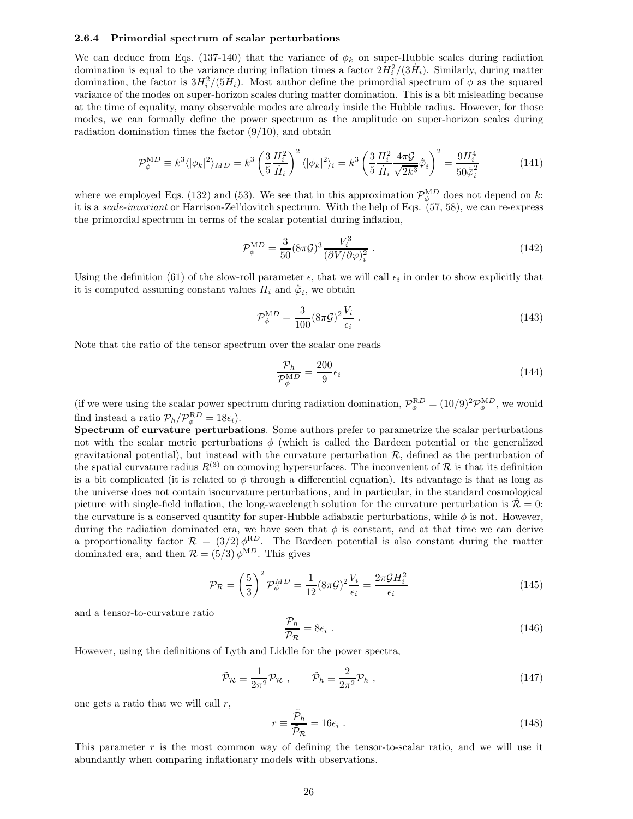#### 2.6.4 Primordial spectrum of scalar perturbations

We can deduce from Eqs. (137-140) that the variance of  $\phi_k$  on super-Hubble scales during radiation domination is equal to the variance during inflation times a factor  $2H_i^2/(3\dot{H}_i)$ . Similarly, during matter domination, the factor is  $3H_i^2/(5\dot{H}_i)$ . Most author define the primordial spectrum of  $\phi$  as the squared variance of the modes on super-horizon scales during matter domination. This is a bit misleading because at the time of equality, many observable modes are already inside the Hubble radius. However, for those modes, we can formally define the power spectrum as the amplitude on super-horizon scales during radiation domination times the factor  $(9/10)$ , and obtain

$$
\mathcal{P}_{\phi}^{MD} \equiv k^3 \langle |\phi_k|^2 \rangle_{MD} = k^3 \left( \frac{3}{5} \frac{H_i^2}{\dot{H}_i} \right)^2 \langle |\phi_k|^2 \rangle_i = k^3 \left( \frac{3}{5} \frac{H_i^2}{\dot{H}_i} \frac{4\pi\mathcal{G}}{\sqrt{2k^3}} \dot{\bar{\varphi}}_i \right)^2 = \frac{9H_i^4}{50\dot{\bar{\varphi}}_i^2} \tag{141}
$$

where we employed Eqs. (132) and (53). We see that in this approximation  $\mathcal{P}_{\phi}^{MD}$  does not depend on k: it is a scale-invariant or Harrison-Zel'dovitch spectrum. With the help of Eqs. (57, 58), we can re-express the primordial spectrum in terms of the scalar potential during inflation,

$$
\mathcal{P}_{\phi}^{\text{MD}} = \frac{3}{50} (8\pi \mathcal{G})^3 \frac{V_i^3}{(\partial V/\partial \varphi)_i^2} \,. \tag{142}
$$

Using the definition (61) of the slow-roll parameter  $\epsilon$ , that we will call  $\epsilon_i$  in order to show explicitly that it is computed assuming constant values  $H_i$  and  $\dot{\bar{\varphi}}_i$ , we obtain

$$
\mathcal{P}_{\phi}^{\text{MD}} = \frac{3}{100} (8\pi \mathcal{G})^2 \frac{V_i}{\epsilon_i} \,. \tag{143}
$$

Note that the ratio of the tensor spectrum over the scalar one reads

$$
\frac{\mathcal{P}_h}{\mathcal{P}_{\phi}^{\text{MD}}} = \frac{200}{9} \epsilon_i \tag{144}
$$

(if we were using the scalar power spectrum during radiation domination,  $\mathcal{P}_{\phi}^{RD} = (10/9)^2 \mathcal{P}_{\phi}^{MD}$ , we would find instead a ratio  $\mathcal{P}_h / \mathcal{P}_{\phi}^{\text{RD}} = 18 \epsilon_i$ .

Spectrum of curvature perturbations. Some authors prefer to parametrize the scalar perturbations not with the scalar metric perturbations  $\phi$  (which is called the Bardeen potential or the generalized gravitational potential), but instead with the curvature perturbation  $R$ , defined as the perturbation of the spatial curvature radius  $R^{(3)}$  on comoving hypersurfaces. The inconvenient of  $\mathcal R$  is that its definition is a bit complicated (it is related to  $\phi$  through a differential equation). Its advantage is that as long as the universe does not contain isocurvature perturbations, and in particular, in the standard cosmological picture with single-field inflation, the long-wavelength solution for the curvature perturbation is  $\mathcal{R} = 0$ : the curvature is a conserved quantity for super-Hubble adiabatic perturbations, while  $\phi$  is not. However, during the radiation dominated era, we have seen that  $\phi$  is constant, and at that time we can derive a proportionality factor  $\mathcal{R} = (3/2) \phi^{RD}$ . The Bardeen potential is also constant during the matter dominated era, and then  $\mathcal{R} = (5/3) \phi^{\text{MD}}$ . This gives

$$
\mathcal{P}_{\mathcal{R}} = \left(\frac{5}{3}\right)^2 \mathcal{P}_{\phi}^{MD} = \frac{1}{12} (8\pi \mathcal{G})^2 \frac{V_i}{\epsilon_i} = \frac{2\pi \mathcal{G} H_i^2}{\epsilon_i} \tag{145}
$$

and a tensor-to-curvature ratio

$$
\frac{\mathcal{P}_h}{\mathcal{P}_\mathcal{R}} = 8\epsilon_i \ . \tag{146}
$$

However, using the definitions of Lyth and Liddle for the power spectra,

$$
\tilde{\mathcal{P}}_{\mathcal{R}} \equiv \frac{1}{2\pi^2} \mathcal{P}_{\mathcal{R}} \ , \qquad \tilde{\mathcal{P}}_h \equiv \frac{2}{2\pi^2} \mathcal{P}_h \ , \tag{147}
$$

one gets a ratio that we will call  $r$ ,

$$
r \equiv \frac{\tilde{\mathcal{P}}_h}{\tilde{\mathcal{P}}_{\mathcal{R}}} = 16\epsilon_i \ . \tag{148}
$$

This parameter  $r$  is the most common way of defining the tensor-to-scalar ratio, and we will use it abundantly when comparing inflationary models with observations.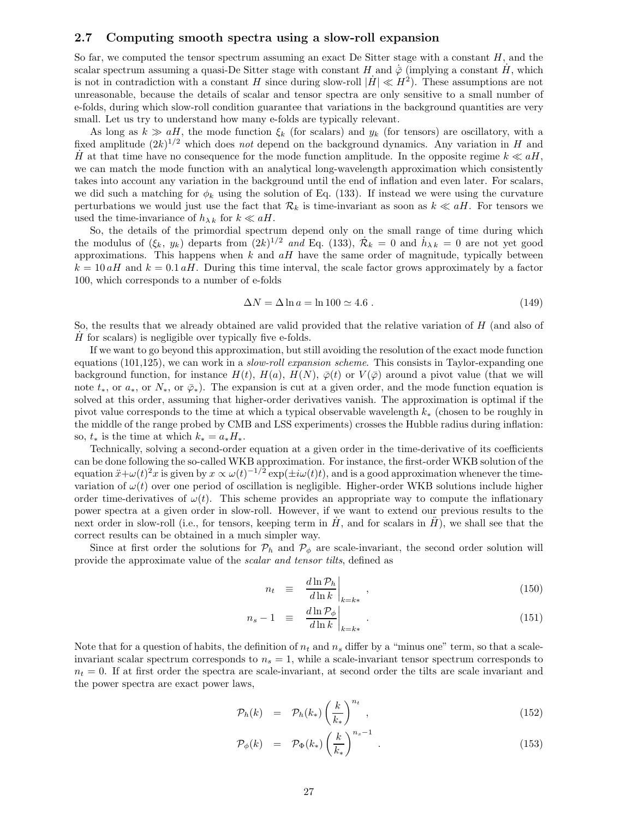## 2.7 Computing smooth spectra using a slow-roll expansion

So far, we computed the tensor spectrum assuming an exact De Sitter stage with a constant  $H$ , and the scalar spectrum assuming a quasi-De Sitter stage with constant H and  $\dot{\bar{\varphi}}$  (implying a constant  $\dot{H}$ , which is not in contradiction with a constant H since during slow-roll  $|\dot{H}| \ll H^2$ ). These assumptions are not unreasonable, because the details of scalar and tensor spectra are only sensitive to a small number of e-folds, during which slow-roll condition guarantee that variations in the background quantities are very small. Let us try to understand how many e-folds are typically relevant.

As long as  $k \gg aH$ , the mode function  $\xi_k$  (for scalars) and  $y_k$  (for tensors) are oscillatory, with a fixed amplitude  $(2k)^{1/2}$  which does not depend on the background dynamics. Any variation in H and H at that time have no consequence for the mode function amplitude. In the opposite regime  $k \ll aH$ , we can match the mode function with an analytical long-wavelength approximation which consistently takes into account any variation in the background until the end of inflation and even later. For scalars, we did such a matching for  $\phi_k$  using the solution of Eq. (133). If instead we were using the curvature perturbations we would just use the fact that  $\mathcal{R}_k$  is time-invariant as soon as  $k \ll aH$ . For tensors we used the time-invariance of  $h_{\lambda k}$  for  $k \ll aH$ .

So, the details of the primordial spectrum depend only on the small range of time during which the modulus of  $(\xi_k, y_k)$  departs from  $(2k)^{1/2}$  and Eq. (133),  $\mathcal{R}_k = 0$  and  $h_{\lambda k} = 0$  are not yet good approximations. This happens when  $k$  and  $aH$  have the same order of magnitude, typically between  $k = 10 aH$  and  $k = 0.1 aH$ . During this time interval, the scale factor grows approximately by a factor 100, which corresponds to a number of e-folds

$$
\Delta N = \Delta \ln a = \ln 100 \simeq 4.6 \ . \tag{149}
$$

So, the results that we already obtained are valid provided that the relative variation of H (and also of  $\dot{H}$  for scalars) is negligible over typically five e-folds.

If we want to go beyond this approximation, but still avoiding the resolution of the exact mode function equations  $(101,125)$ , we can work in a *slow-roll expansion scheme*. This consists in Taylor-expanding one background function, for instance  $H(t)$ ,  $H(a)$ ,  $H(N)$ ,  $\overline{\varphi}(t)$  or  $V(\overline{\varphi})$  around a pivot value (that we will note  $t_*,$  or  $\alpha_*,$  or  $\overline{\varphi}_*$ ). The expansion is cut at a given order, and the mode function equation is solved at this order, assuming that higher-order derivatives vanish. The approximation is optimal if the pivot value corresponds to the time at which a typical observable wavelength k<sup>∗</sup> (chosen to be roughly in the middle of the range probed by CMB and LSS experiments) crosses the Hubble radius during inflation: so,  $t_*$  is the time at which  $k_* = a_* H_*$ .

Technically, solving a second-order equation at a given order in the time-derivative of its coefficients can be done following the so-called WKB approximation. For instance, the first-order WKB solution of the equation  $\ddot{x}+\omega(t)^2x$  is given by  $x \propto \omega(t)^{-1/2} \exp(\pm i\omega(t)t)$ , and is a good approximation whenever the timevariation of  $\omega(t)$  over one period of oscillation is negligible. Higher-order WKB solutions include higher order time-derivatives of  $\omega(t)$ . This scheme provides an appropriate way to compute the inflationary power spectra at a given order in slow-roll. However, if we want to extend our previous results to the next order in slow-roll (i.e., for tensors, keeping term in  $\dot{H}$ , and for scalars in  $\ddot{H}$ ), we shall see that the correct results can be obtained in a much simpler way.

Since at first order the solutions for  $\mathcal{P}_h$  and  $\mathcal{P}_\phi$  are scale-invariant, the second order solution will provide the approximate value of the scalar and tensor tilts, defined as

$$
n_t \equiv \left. \frac{d \ln \mathcal{P}_h}{d \ln k} \right|_{k=k^*}, \tag{150}
$$

$$
n_s - 1 \quad \equiv \quad \left. \frac{d \ln \mathcal{P}_{\phi}}{d \ln k} \right|_{k=k^*} \tag{151}
$$

Note that for a question of habits, the definition of  $n_t$  and  $n_s$  differ by a "minus one" term, so that a scaleinvariant scalar spectrum corresponds to  $n<sub>s</sub> = 1$ , while a scale-invariant tensor spectrum corresponds to  $n_t = 0$ . If at first order the spectra are scale-invariant, at second order the tilts are scale invariant and the power spectra are exact power laws,

$$
\mathcal{P}_h(k) = \mathcal{P}_h(k_*) \left(\frac{k}{k_*}\right)^{n_t}, \qquad (152)
$$

$$
\mathcal{P}_{\phi}(k) = \mathcal{P}_{\Phi}(k_*) \left(\frac{k}{k_*}\right)^{n_s - 1} \tag{153}
$$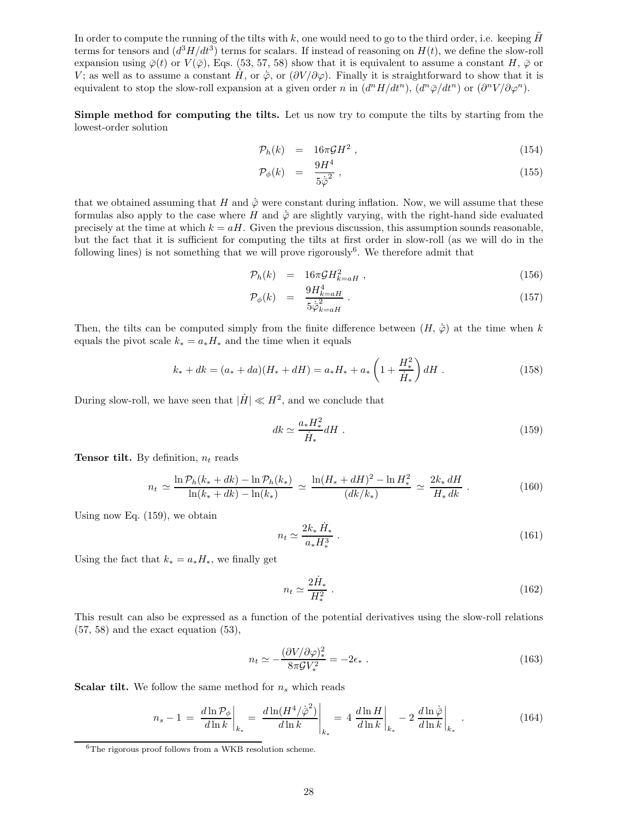In order to compute the running of the tilts with  $k$ , one would need to go to the third order, i.e. keeping  $H$ terms for tensors and  $(d^3H/dt^3)$  terms for scalars. If instead of reasoning on  $H(t)$ , we define the slow-roll expansion using  $\bar{\varphi}(t)$  or  $V(\bar{\varphi})$ , Eqs. (53, 57, 58) show that it is equivalent to assume a constant H,  $\bar{\varphi}$  or V; as well as to assume a constant  $H$ , or  $\bar{\varphi}$ , or  $(\partial V/\partial \varphi)$ . Finally it is straightforward to show that it is equivalent to stop the slow-roll expansion at a given order n in  $(d^n H/dt^n)$ ,  $(d^n \bar{\varphi}/dt^n)$  or  $(\partial^n V/\partial \varphi^n)$ .

Simple method for computing the tilts. Let us now try to compute the tilts by starting from the lowest-order solution

$$
\mathcal{P}_h(k) = 16\pi \mathcal{G}H^2 \,, \tag{154}
$$

$$
\mathcal{P}_{\phi}(k) = \frac{9H^4}{5\dot{\varphi}^2} \,, \tag{155}
$$

that we obtained assuming that H and  $\phi$  were constant during inflation. Now, we will assume that these formulas also apply to the case where H and  $\dot{\varphi}$  are slightly varying, with the right-hand side evaluated precisely at the time at which  $k = aH$ . Given the previous discussion, this assumption sounds reasonable, but the fact that it is sufficient for computing the tilts at first order in slow-roll (as we will do in the following lines) is not something that we will prove rigorously<sup>6</sup>. We therefore admit that

$$
\mathcal{P}_h(k) = 16\pi \mathcal{G} H_{k=aH}^2 \tag{156}
$$

$$
\mathcal{P}_{\phi}(k) = \frac{9H_{k=aH}^4}{5\dot{\overline{\varphi}}_{k=aH}^2} \,. \tag{157}
$$

Then, the tilts can be computed simply from the finite difference between  $(H, \dot{\bar{\varphi}})$  at the time when k equals the pivot scale  $k_* = a_* H_*$  and the time when it equals

$$
k_* + dk = (a_* + da)(H_* + dH) = a_*H_* + a_*\left(1 + \frac{H_*^2}{\dot{H}_*}\right)dH.
$$
 (158)

During slow-roll, we have seen that  $|\dot{H}| \ll H^2$ , and we conclude that

$$
dk \simeq \frac{a_* H_*^2}{\dot{H}_*} dH \tag{159}
$$

**Tensor tilt.** By definition,  $n_t$  reads

$$
n_t \simeq \frac{\ln \mathcal{P}_h(k_* + dk) - \ln \mathcal{P}_h(k_*)}{\ln(k_* + dk) - \ln(k_*)} \simeq \frac{\ln(H_* + dH)^2 - \ln H_*^2}{(dk/k_*)} \simeq \frac{2k_* dH}{H_* dk} \,. \tag{160}
$$

Using now Eq. (159), we obtain

$$
n_t \simeq \frac{2k_* \dot{H}_*}{a_* H_*^3} \,. \tag{161}
$$

Using the fact that  $k_* = a_* H_*,$  we finally get

$$
n_t \simeq \frac{2\dot{H}_*}{H_*^2} \tag{162}
$$

This result can also be expressed as a function of the potential derivatives using the slow-roll relations  $(57, 58)$  and the exact equation  $(53)$ ,

$$
n_t \simeq -\frac{(\partial V/\partial \varphi)_*^2}{8\pi \mathcal{G} V_*^2} = -2\epsilon_* \ . \tag{163}
$$

**Scalar tilt.** We follow the same method for  $n_s$  which reads

$$
n_s - 1 = \left. \frac{d \ln \mathcal{P}_{\phi}}{d \ln k} \right|_{k_*} = \left. \frac{d \ln (H^4 / \dot{\phi}^2)}{d \ln k} \right|_{k_*} = 4 \left. \frac{d \ln H}{d \ln k} \right|_{k_*} - 2 \left. \frac{d \ln \dot{\phi}}{d \ln k} \right|_{k_*} \,. \tag{164}
$$

 ${}^{6}$ The rigorous proof follows from a WKB resolution scheme.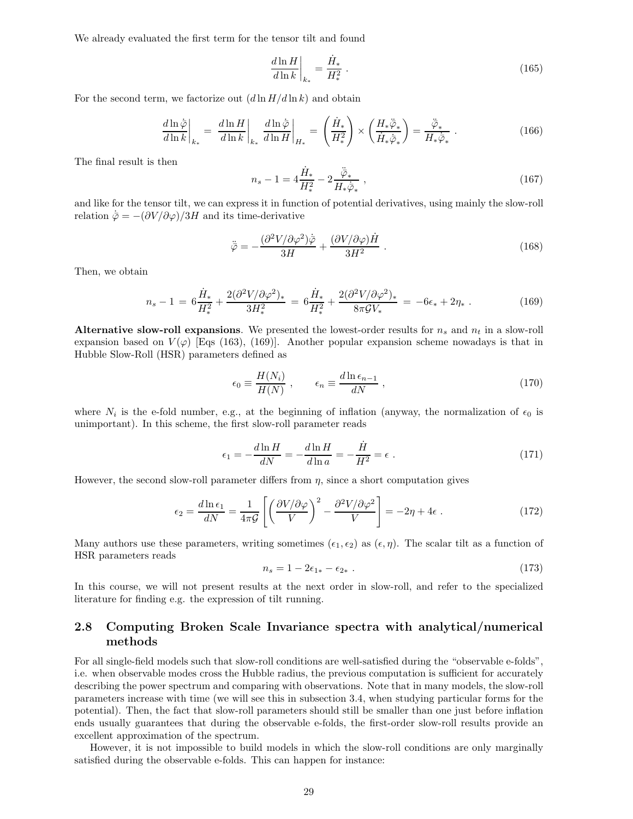We already evaluated the first term for the tensor tilt and found

$$
\left. \frac{d\ln H}{d\ln k} \right|_{k_*} = \frac{\dot{H}_*}{H_*^2} \,. \tag{165}
$$

For the second term, we factorize out  $(d \ln H/d \ln k)$  and obtain

$$
\left. \frac{d\ln \dot{\bar{\varphi}}}{d\ln k} \right|_{k_*} = \left. \frac{d\ln H}{d\ln k} \right|_{k_*} \left. \frac{d\ln \dot{\bar{\varphi}}}{d\ln H} \right|_{H_*} = \left( \frac{\dot{H}_*}{H_*^2} \right) \times \left( \frac{H_* \ddot{\bar{\varphi}}_*}{\dot{H}_* \dot{\bar{\varphi}}_*} \right) = \frac{\ddot{\bar{\varphi}}_*}{H_* \dot{\bar{\varphi}}_*} \ . \tag{166}
$$

The final result is then

$$
n_s - 1 = 4\frac{\dot{H}_*}{H_*^2} - 2\frac{\ddot{\bar{\varphi}}_*}{H_*\dot{\bar{\varphi}}_*} \,,\tag{167}
$$

and like for the tensor tilt, we can express it in function of potential derivatives, using mainly the slow-roll relation  $\dot{\bar{\varphi}} = -(\partial V/\partial \varphi)/3H$  and its time-derivative

$$
\ddot{\bar{\varphi}} = -\frac{(\partial^2 V/\partial \varphi^2)\dot{\bar{\varphi}}}{3H} + \frac{(\partial V/\partial \varphi)\dot{H}}{3H^2} \ . \tag{168}
$$

Then, we obtain

$$
n_s - 1 = 6\frac{\dot{H}_*}{H_*^2} + \frac{2(\partial^2 V/\partial \varphi^2)_*}{3H_*^2} = 6\frac{\dot{H}_*}{H_*^2} + \frac{2(\partial^2 V/\partial \varphi^2)_*}{8\pi \mathcal{G} V_*} = -6\epsilon_* + 2\eta_* \ . \tag{169}
$$

Alternative slow-roll expansions. We presented the lowest-order results for  $n_s$  and  $n_t$  in a slow-roll expansion based on  $V(\varphi)$  [Eqs (163), (169)]. Another popular expansion scheme nowadays is that in Hubble Slow-Roll (HSR) parameters defined as

$$
\epsilon_0 \equiv \frac{H(N_i)}{H(N)} , \qquad \epsilon_n \equiv \frac{d \ln \epsilon_{n-1}}{dN} , \qquad (170)
$$

where  $N_i$  is the e-fold number, e.g., at the beginning of inflation (anyway, the normalization of  $\epsilon_0$  is unimportant). In this scheme, the first slow-roll parameter reads

$$
\epsilon_1 = -\frac{d\ln H}{dN} = -\frac{d\ln H}{d\ln a} = -\frac{\dot{H}}{H^2} = \epsilon \tag{171}
$$

However, the second slow-roll parameter differs from  $\eta$ , since a short computation gives

$$
\epsilon_2 = \frac{d \ln \epsilon_1}{dN} = \frac{1}{4\pi \mathcal{G}} \left[ \left( \frac{\partial V / \partial \varphi}{V} \right)^2 - \frac{\partial^2 V / \partial \varphi^2}{V} \right] = -2\eta + 4\epsilon \; . \tag{172}
$$

Many authors use these parameters, writing sometimes  $(\epsilon_1, \epsilon_2)$  as  $(\epsilon, \eta)$ . The scalar tilt as a function of HSR parameters reads

$$
n_s = 1 - 2\epsilon_{1*} - \epsilon_{2*} \tag{173}
$$

In this course, we will not present results at the next order in slow-roll, and refer to the specialized literature for finding e.g. the expression of tilt running.

## 2.8 Computing Broken Scale Invariance spectra with analytical/numerical methods

For all single-field models such that slow-roll conditions are well-satisfied during the "observable e-folds", i.e. when observable modes cross the Hubble radius, the previous computation is sufficient for accurately describing the power spectrum and comparing with observations. Note that in many models, the slow-roll parameters increase with time (we will see this in subsection 3.4, when studying particular forms for the potential). Then, the fact that slow-roll parameters should still be smaller than one just before inflation ends usually guarantees that during the observable e-folds, the first-order slow-roll results provide an excellent approximation of the spectrum.

However, it is not impossible to build models in which the slow-roll conditions are only marginally satisfied during the observable e-folds. This can happen for instance: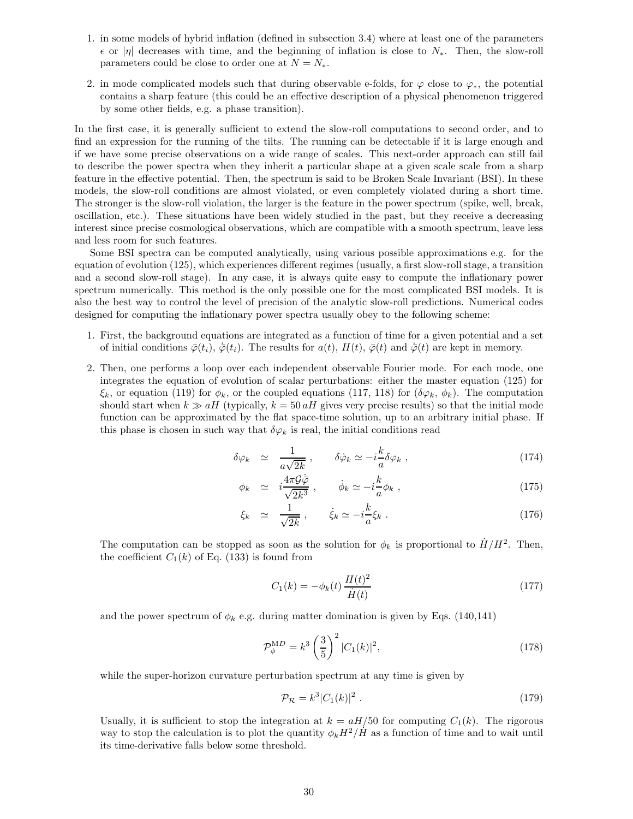- 1. in some models of hybrid inflation (defined in subsection 3.4) where at least one of the parameters  $\epsilon$  or |η| decreases with time, and the beginning of inflation is close to  $N_*$ . Then, the slow-roll parameters could be close to order one at  $N = N_*$ .
- 2. in mode complicated models such that during observable e-folds, for  $\varphi$  close to  $\varphi_*$ , the potential contains a sharp feature (this could be an effective description of a physical phenomenon triggered by some other fields, e.g. a phase transition).

In the first case, it is generally sufficient to extend the slow-roll computations to second order, and to find an expression for the running of the tilts. The running can be detectable if it is large enough and if we have some precise observations on a wide range of scales. This next-order approach can still fail to describe the power spectra when they inherit a particular shape at a given scale scale from a sharp feature in the effective potential. Then, the spectrum is said to be Broken Scale Invariant (BSI). In these models, the slow-roll conditions are almost violated, or even completely violated during a short time. The stronger is the slow-roll violation, the larger is the feature in the power spectrum (spike, well, break, oscillation, etc.). These situations have been widely studied in the past, but they receive a decreasing interest since precise cosmological observations, which are compatible with a smooth spectrum, leave less and less room for such features.

Some BSI spectra can be computed analytically, using various possible approximations e.g. for the equation of evolution (125), which experiences different regimes (usually, a first slow-roll stage, a transition and a second slow-roll stage). In any case, it is always quite easy to compute the inflationary power spectrum numerically. This method is the only possible one for the most complicated BSI models. It is also the best way to control the level of precision of the analytic slow-roll predictions. Numerical codes designed for computing the inflationary power spectra usually obey to the following scheme:

- 1. First, the background equations are integrated as a function of time for a given potential and a set of initial conditions  $\bar{\varphi}(t_i)$ ,  $\bar{\varphi}(t_i)$ . The results for  $a(t)$ ,  $H(t)$ ,  $\bar{\varphi}(t)$  and  $\bar{\varphi}(t)$  are kept in memory.
- 2. Then, one performs a loop over each independent observable Fourier mode. For each mode, one integrates the equation of evolution of scalar perturbations: either the master equation (125) for  $\xi_k$ , or equation (119) for  $\phi_k$ , or the coupled equations (117, 118) for  $(\delta\varphi_k, \phi_k)$ . The computation should start when  $k \gg aH$  (typically,  $k = 50 aH$  gives very precise results) so that the initial mode function can be approximated by the flat space-time solution, up to an arbitrary initial phase. If this phase is chosen in such way that  $\delta \varphi_k$  is real, the initial conditions read

$$
\delta \varphi_k \simeq \frac{1}{a\sqrt{2k}} \,, \qquad \delta \dot{\varphi}_k \simeq -i \frac{k}{a} \delta \varphi_k \,, \tag{174}
$$

$$
\phi_k \simeq i \frac{4\pi \mathcal{G}\bar{\varphi}}{\sqrt{2k^3}}, \qquad \dot{\phi}_k \simeq -i \frac{k}{a} \phi_k , \qquad (175)
$$

$$
\xi_k \simeq \frac{1}{\sqrt{2k}}, \qquad \dot{\xi}_k \simeq -i\frac{k}{a}\xi_k \ . \tag{176}
$$

The computation can be stopped as soon as the solution for  $\phi_k$  is proportional to  $H/H^2$ . Then, the coefficient  $C_1(k)$  of Eq. (133) is found from

$$
C_1(k) = -\phi_k(t) \frac{H(t)^2}{\dot{H}(t)}
$$
\n(177)

and the power spectrum of  $\phi_k$  e.g. during matter domination is given by Eqs. (140,141)

$$
\mathcal{P}_{\phi}^{\text{M}D} = k^3 \left(\frac{3}{5}\right)^2 |C_1(k)|^2, \tag{178}
$$

while the super-horizon curvature perturbation spectrum at any time is given by

$$
\mathcal{P}_{\mathcal{R}} = k^3 |C_1(k)|^2 \ . \tag{179}
$$

Usually, it is sufficient to stop the integration at  $k = aH/50$  for computing  $C_1(k)$ . The rigorous way to stop the calculation is to plot the quantity  $\phi_k H^2 / \dot{H}$  as a function of time and to wait until its time-derivative falls below some threshold.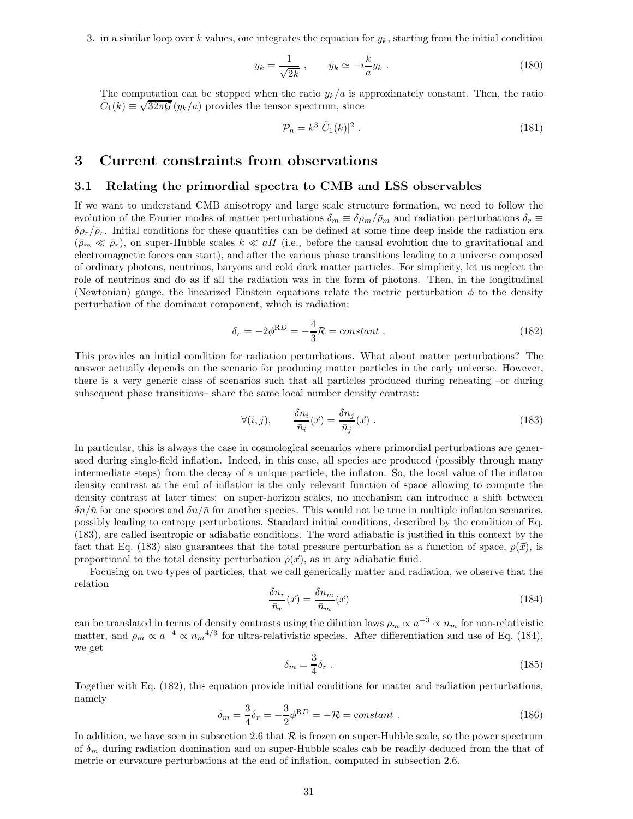3. in a similar loop over k values, one integrates the equation for  $y_k$ , starting from the initial condition

$$
y_k = \frac{1}{\sqrt{2k}} , \qquad \dot{y}_k \simeq -i\frac{k}{a}y_k . \tag{180}
$$

The computation can be stopped when the ratio  $y_k/a$  is approximately constant. Then, the ratio  $\tilde{C}_1(k) \equiv \sqrt{32\pi\mathcal{G}} \left( y_k/a \right)$  provides the tensor spectrum, since

$$
\mathcal{P}_h = k^3 |\tilde{C}_1(k)|^2 \ . \tag{181}
$$

## 3 Current constraints from observations

## 3.1 Relating the primordial spectra to CMB and LSS observables

If we want to understand CMB anisotropy and large scale structure formation, we need to follow the evolution of the Fourier modes of matter perturbations  $\delta_m \equiv \delta \rho_m / \bar{\rho}_m$  and radiation perturbations  $\delta_r \equiv$  $\delta \rho_r/\bar{\rho}_r$ . Initial conditions for these quantities can be defined at some time deep inside the radiation era  $(\bar{p}_m \ll \bar{p}_r)$ , on super-Hubble scales  $k \ll aH$  (i.e., before the causal evolution due to gravitational and electromagnetic forces can start), and after the various phase transitions leading to a universe composed of ordinary photons, neutrinos, baryons and cold dark matter particles. For simplicity, let us neglect the role of neutrinos and do as if all the radiation was in the form of photons. Then, in the longitudinal (Newtonian) gauge, the linearized Einstein equations relate the metric perturbation  $\phi$  to the density perturbation of the dominant component, which is radiation:

$$
\delta_r = -2\phi^{\rm R} = -\frac{4}{3}\mathcal{R} = constant \; . \tag{182}
$$

This provides an initial condition for radiation perturbations. What about matter perturbations? The answer actually depends on the scenario for producing matter particles in the early universe. However, there is a very generic class of scenarios such that all particles produced during reheating –or during subsequent phase transitions– share the same local number density contrast:

$$
\forall (i,j), \qquad \frac{\delta n_i}{\bar{n}_i}(\vec{x}) = \frac{\delta n_j}{\bar{n}_j}(\vec{x}) . \qquad (183)
$$

In particular, this is always the case in cosmological scenarios where primordial perturbations are generated during single-field inflation. Indeed, in this case, all species are produced (possibly through many intermediate steps) from the decay of a unique particle, the inflaton. So, the local value of the inflaton density contrast at the end of inflation is the only relevant function of space allowing to compute the density contrast at later times: on super-horizon scales, no mechanism can introduce a shift between  $\delta n/\bar{n}$  for one species and  $\delta n/\bar{n}$  for another species. This would not be true in multiple inflation scenarios, possibly leading to entropy perturbations. Standard initial conditions, described by the condition of Eq. (183), are called isentropic or adiabatic conditions. The word adiabatic is justified in this context by the fact that Eq. (183) also guarantees that the total pressure perturbation as a function of space,  $p(\vec{x})$ , is proportional to the total density perturbation  $\rho(\vec{x})$ , as in any adiabatic fluid.

Focusing on two types of particles, that we call generically matter and radiation, we observe that the relation

$$
\frac{\delta n_r}{\bar{n}_r}(\vec{x}) = \frac{\delta n_m}{\bar{n}_m}(\vec{x})\tag{184}
$$

can be translated in terms of density contrasts using the dilution laws  $\rho_m \propto a^{-3} \propto n_m$  for non-relativistic matter, and  $\rho_m \propto a^{-4} \propto n_m^{4/3}$  for ultra-relativistic species. After differentiation and use of Eq. (184), we get

$$
\delta_m = \frac{3}{4} \delta_r \tag{185}
$$

Together with Eq. (182), this equation provide initial conditions for matter and radiation perturbations, namely

$$
\delta_m = \frac{3}{4}\delta_r = -\frac{3}{2}\phi^{RD} = -\mathcal{R} = constant \; . \tag{186}
$$

In addition, we have seen in subsection 2.6 that  $R$  is frozen on super-Hubble scale, so the power spectrum of  $\delta_m$  during radiation domination and on super-Hubble scales cab be readily deduced from the that of metric or curvature perturbations at the end of inflation, computed in subsection 2.6.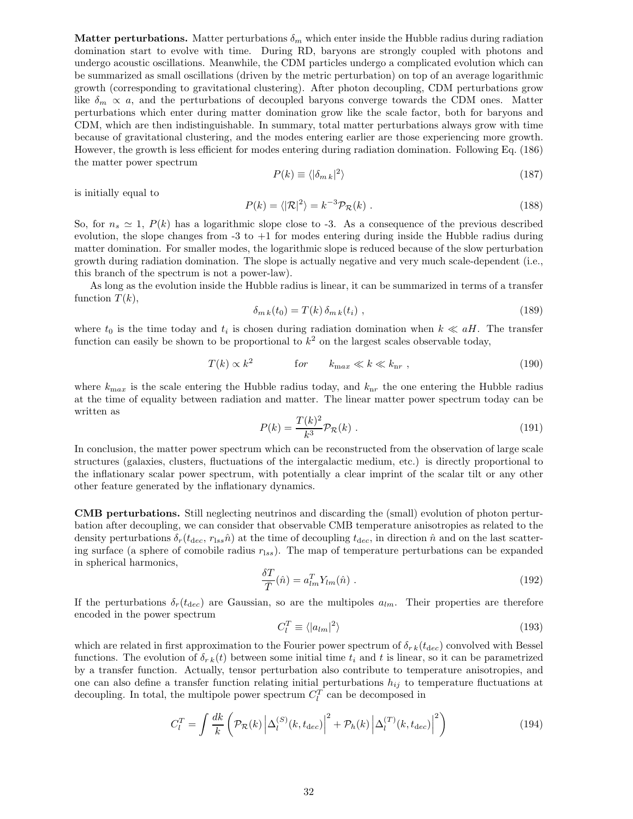**Matter perturbations.** Matter perturbations  $\delta_m$  which enter inside the Hubble radius during radiation domination start to evolve with time. During RD, baryons are strongly coupled with photons and undergo acoustic oscillations. Meanwhile, the CDM particles undergo a complicated evolution which can be summarized as small oscillations (driven by the metric perturbation) on top of an average logarithmic growth (corresponding to gravitational clustering). After photon decoupling, CDM perturbations grow like  $\delta_m \propto a$ , and the perturbations of decoupled baryons converge towards the CDM ones. Matter perturbations which enter during matter domination grow like the scale factor, both for baryons and CDM, which are then indistinguishable. In summary, total matter perturbations always grow with time because of gravitational clustering, and the modes entering earlier are those experiencing more growth. However, the growth is less efficient for modes entering during radiation domination. Following Eq. (186) the matter power spectrum

$$
P(k) \equiv \langle |\delta_{m\,k}|^2 \rangle \tag{187}
$$

is initially equal to

$$
P(k) = \langle |\mathcal{R}|^2 \rangle = k^{-3} \mathcal{P}_{\mathcal{R}}(k) \tag{188}
$$

So, for  $n_s \simeq 1$ ,  $P(k)$  has a logarithmic slope close to -3. As a consequence of the previous described evolution, the slope changes from  $-3$  to  $+1$  for modes entering during inside the Hubble radius during matter domination. For smaller modes, the logarithmic slope is reduced because of the slow perturbation growth during radiation domination. The slope is actually negative and very much scale-dependent (i.e., this branch of the spectrum is not a power-law).

As long as the evolution inside the Hubble radius is linear, it can be summarized in terms of a transfer function  $T(k)$ ,

$$
\delta_{m\,k}(t_0) = T(k)\,\delta_{m\,k}(t_i) \tag{189}
$$

where  $t_0$  is the time today and  $t_i$  is chosen during radiation domination when  $k \ll aH$ . The transfer function can easily be shown to be proportional to  $k^2$  on the largest scales observable today,

$$
T(k) \propto k^2 \qquad \qquad \text{for} \qquad k_{\text{max}} \ll k \ll k_{\text{nr}} \;, \tag{190}
$$

where  $k_{\text{max}}$  is the scale entering the Hubble radius today, and  $k_{\text{nr}}$  the one entering the Hubble radius at the time of equality between radiation and matter. The linear matter power spectrum today can be written as

$$
P(k) = \frac{T(k)^2}{k^3} \mathcal{P}_R(k) \tag{191}
$$

In conclusion, the matter power spectrum which can be reconstructed from the observation of large scale structures (galaxies, clusters, fluctuations of the intergalactic medium, etc.) is directly proportional to the inflationary scalar power spectrum, with potentially a clear imprint of the scalar tilt or any other other feature generated by the inflationary dynamics.

CMB perturbations. Still neglecting neutrinos and discarding the (small) evolution of photon perturbation after decoupling, we can consider that observable CMB temperature anisotropies as related to the density perturbations  $\delta_r(t_{\text{dec}}, r_{\text{lss}}\hat{n})$  at the time of decoupling  $t_{\text{dec}}$ , in direction  $\hat{n}$  and on the last scattering surface (a sphere of comobile radius  $r_{lss}$ ). The map of temperature perturbations can be expanded in spherical harmonics,

$$
\frac{\delta T}{\overline{T}}(\hat{n}) = a_{lm}^T Y_{lm}(\hat{n}) \tag{192}
$$

If the perturbations  $\delta_r(t_{\text{dec}})$  are Gaussian, so are the multipoles  $a_{lm}$ . Their properties are therefore encoded in the power spectrum

$$
C_l^T \equiv \langle |a_{lm}|^2 \rangle \tag{193}
$$

which are related in first approximation to the Fourier power spectrum of  $\delta_{rk}(t_{dec})$  convolved with Bessel functions. The evolution of  $\delta_{rk}(t)$  between some initial time  $t_i$  and t is linear, so it can be parametrized by a transfer function. Actually, tensor perturbation also contribute to temperature anisotropies, and one can also define a transfer function relating initial perturbations  $h_{ij}$  to temperature fluctuations at decoupling. In total, the multipole power spectrum  $C_l^T$  can be decomposed in

$$
C_l^T = \int \frac{dk}{k} \left( \mathcal{P}_{\mathcal{R}}(k) \left| \Delta_l^{(S)}(k, t_{\text{dec}}) \right|^2 + \mathcal{P}_h(k) \left| \Delta_l^{(T)}(k, t_{\text{dec}}) \right|^2 \right) \tag{194}
$$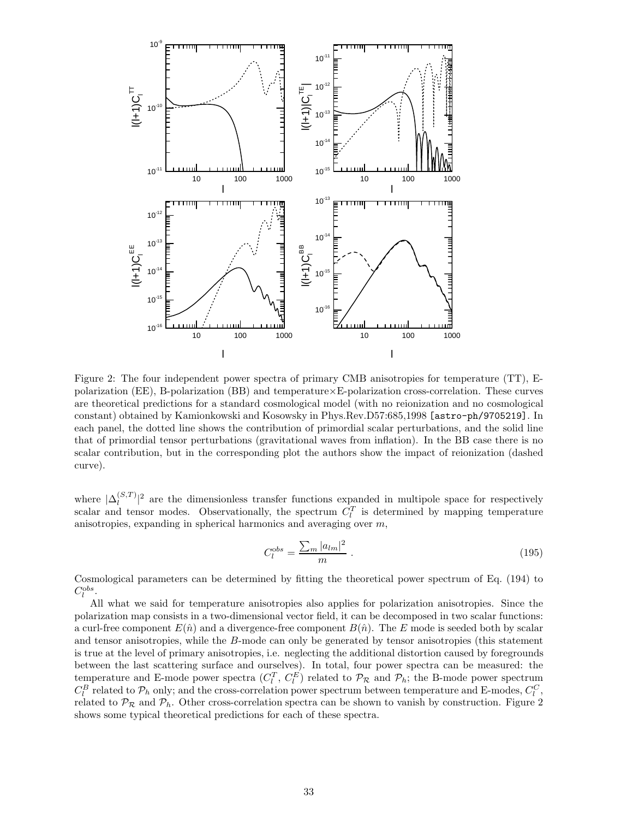

Figure 2: The four independent power spectra of primary CMB anisotropies for temperature (TT), Epolarization (EE), B-polarization (BB) and temperature×E-polarization cross-correlation. These curves are theoretical predictions for a standard cosmological model (with no reionization and no cosmological constant) obtained by Kamionkowski and Kosowsky in Phys.Rev.D57:685,1998 [astro-ph/9705219]. In each panel, the dotted line shows the contribution of primordial scalar perturbations, and the solid line that of primordial tensor perturbations (gravitational waves from inflation). In the BB case there is no scalar contribution, but in the corresponding plot the authors show the impact of reionization (dashed curve).

where  $|\Delta_l^{(S,T)}|$  $\frac{d(S,T)}{d}$  are the dimensionless transfer functions expanded in multipole space for respectively scalar and tensor modes. Observationally, the spectrum  $C_l^T$  is determined by mapping temperature anisotropies, expanding in spherical harmonics and averaging over m,

$$
C_l^{obs} = \frac{\sum_m |a_{lm}|^2}{m} \tag{195}
$$

Cosmological parameters can be determined by fitting the theoretical power spectrum of Eq. (194) to  $C_l^{obs}$ .

All what we said for temperature anisotropies also applies for polarization anisotropies. Since the polarization map consists in a two-dimensional vector field, it can be decomposed in two scalar functions: a curl-free component  $E(\hat{n})$  and a divergence-free component  $B(\hat{n})$ . The E mode is seeded both by scalar and tensor anisotropies, while the B-mode can only be generated by tensor anisotropies (this statement is true at the level of primary anisotropies, i.e. neglecting the additional distortion caused by foregrounds between the last scattering surface and ourselves). In total, four power spectra can be measured: the temperature and E-mode power spectra  $(C_l^T, C_l^E)$  related to  $\mathcal{P}_R$  and  $\mathcal{P}_h$ ; the B-mode power spectrum  $C_l^B$  related to  $\mathcal{P}_h$  only; and the cross-correlation power spectrum between temperature and E-modes,  $C_l^C$ , related to  $\mathcal{P}_R$  and  $\mathcal{P}_h$ . Other cross-correlation spectra can be shown to vanish by construction. Figure 2 shows some typical theoretical predictions for each of these spectra.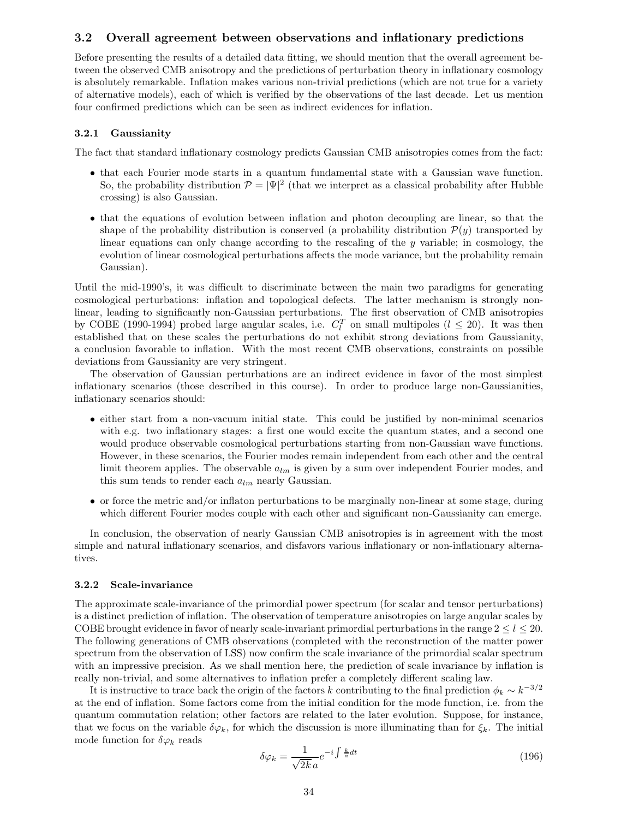## 3.2 Overall agreement between observations and inflationary predictions

Before presenting the results of a detailed data fitting, we should mention that the overall agreement between the observed CMB anisotropy and the predictions of perturbation theory in inflationary cosmology is absolutely remarkable. Inflation makes various non-trivial predictions (which are not true for a variety of alternative models), each of which is verified by the observations of the last decade. Let us mention four confirmed predictions which can be seen as indirect evidences for inflation.

#### 3.2.1 Gaussianity

The fact that standard inflationary cosmology predicts Gaussian CMB anisotropies comes from the fact:

- that each Fourier mode starts in a quantum fundamental state with a Gaussian wave function. So, the probability distribution  $\mathcal{P} = |\Psi|^2$  (that we interpret as a classical probability after Hubble crossing) is also Gaussian.
- that the equations of evolution between inflation and photon decoupling are linear, so that the shape of the probability distribution is conserved (a probability distribution  $\mathcal{P}(y)$  transported by linear equations can only change according to the rescaling of the  $y$  variable; in cosmology, the evolution of linear cosmological perturbations affects the mode variance, but the probability remain Gaussian).

Until the mid-1990's, it was difficult to discriminate between the main two paradigms for generating cosmological perturbations: inflation and topological defects. The latter mechanism is strongly nonlinear, leading to significantly non-Gaussian perturbations. The first observation of CMB anisotropies by COBE (1990-1994) probed large angular scales, i.e.  $C_l^T$  on small multipoles ( $l \leq 20$ ). It was then established that on these scales the perturbations do not exhibit strong deviations from Gaussianity, a conclusion favorable to inflation. With the most recent CMB observations, constraints on possible deviations from Gaussianity are very stringent.

The observation of Gaussian perturbations are an indirect evidence in favor of the most simplest inflationary scenarios (those described in this course). In order to produce large non-Gaussianities, inflationary scenarios should:

- either start from a non-vacuum initial state. This could be justified by non-minimal scenarios with e.g. two inflationary stages: a first one would excite the quantum states, and a second one would produce observable cosmological perturbations starting from non-Gaussian wave functions. However, in these scenarios, the Fourier modes remain independent from each other and the central limit theorem applies. The observable  $a_{lm}$  is given by a sum over independent Fourier modes, and this sum tends to render each  $a_{lm}$  nearly Gaussian.
- or force the metric and/or inflaton perturbations to be marginally non-linear at some stage, during which different Fourier modes couple with each other and significant non-Gaussianity can emerge.

In conclusion, the observation of nearly Gaussian CMB anisotropies is in agreement with the most simple and natural inflationary scenarios, and disfavors various inflationary or non-inflationary alternatives.

## 3.2.2 Scale-invariance

The approximate scale-invariance of the primordial power spectrum (for scalar and tensor perturbations) is a distinct prediction of inflation. The observation of temperature anisotropies on large angular scales by COBE brought evidence in favor of nearly scale-invariant primordial perturbations in the range  $2 \leq l \leq 20$ . The following generations of CMB observations (completed with the reconstruction of the matter power spectrum from the observation of LSS) now confirm the scale invariance of the primordial scalar spectrum with an impressive precision. As we shall mention here, the prediction of scale invariance by inflation is really non-trivial, and some alternatives to inflation prefer a completely different scaling law.

It is instructive to trace back the origin of the factors k contributing to the final prediction  $\phi_k \sim k^{-3/2}$ at the end of inflation. Some factors come from the initial condition for the mode function, i.e. from the quantum commutation relation; other factors are related to the later evolution. Suppose, for instance, that we focus on the variable  $\delta\varphi_k$ , for which the discussion is more illuminating than for  $\xi_k$ . The initial mode function for  $\delta \varphi_k$  reads

$$
\delta\varphi_k = \frac{1}{\sqrt{2k} a} e^{-i \int \frac{k}{a} dt} \tag{196}
$$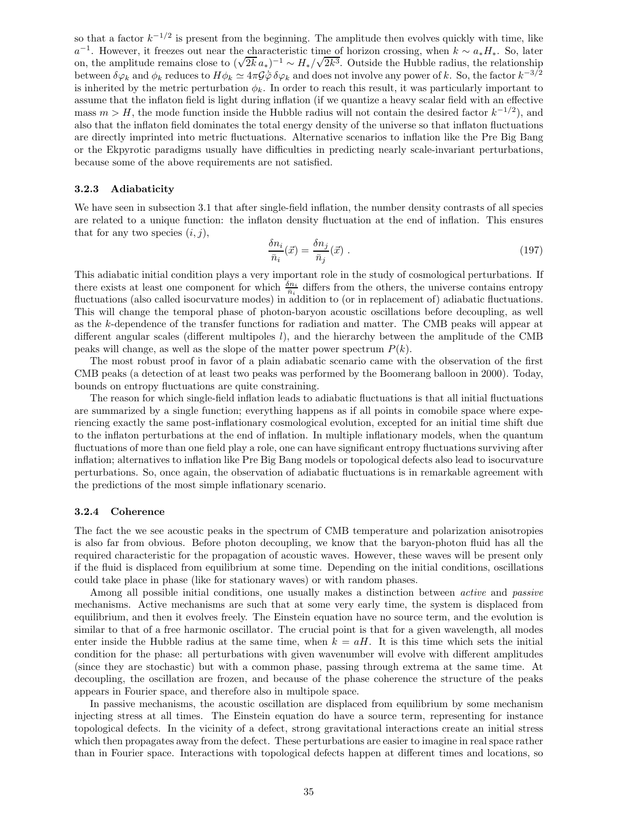so that a factor  $k^{-1/2}$  is present from the beginning. The amplitude then evolves quickly with time, like  $a^{-1}$ . However, it freezes out near the characteristic time of horizon crossing, when  $k \sim a_* H_*$ . So, later on, the amplitude remains close to  $(\sqrt{2k}a_*)^{-1} \sim H_*/\sqrt{2k^3}$ . Outside the Hubble radius, the relationship between  $\delta\varphi_k$  and  $\phi_k$  reduces to  $H\phi_k \simeq 4\pi \mathcal{G}\bar{\varphi} \delta\varphi_k$  and does not involve any power of k. So, the factor  $k^{-3/2}$ is inherited by the metric perturbation  $\phi_k$ . In order to reach this result, it was particularly important to assume that the inflaton field is light during inflation (if we quantize a heavy scalar field with an effective mass  $m > H$ , the mode function inside the Hubble radius will not contain the desired factor  $k^{-1/2}$ ), and also that the inflaton field dominates the total energy density of the universe so that inflaton fluctuations are directly imprinted into metric fluctuations. Alternative scenarios to inflation like the Pre Big Bang or the Ekpyrotic paradigms usually have difficulties in predicting nearly scale-invariant perturbations, because some of the above requirements are not satisfied.

## 3.2.3 Adiabaticity

We have seen in subsection 3.1 that after single-field inflation, the number density contrasts of all species are related to a unique function: the inflaton density fluctuation at the end of inflation. This ensures that for any two species  $(i, j)$ ,

$$
\frac{\delta n_i}{\bar{n}_i}(\vec{x}) = \frac{\delta n_j}{\bar{n}_j}(\vec{x}) \tag{197}
$$

This adiabatic initial condition plays a very important role in the study of cosmological perturbations. If there exists at least one component for which  $\frac{\delta n_i}{\bar{n}_i}$  differs from the others, the universe contains entropy fluctuations (also called isocurvature modes) in addition to (or in replacement of) adiabatic fluctuations. This will change the temporal phase of photon-baryon acoustic oscillations before decoupling, as well as the k-dependence of the transfer functions for radiation and matter. The CMB peaks will appear at different angular scales (different multipoles  $l$ ), and the hierarchy between the amplitude of the CMB peaks will change, as well as the slope of the matter power spectrum  $P(k)$ .

The most robust proof in favor of a plain adiabatic scenario came with the observation of the first CMB peaks (a detection of at least two peaks was performed by the Boomerang balloon in 2000). Today, bounds on entropy fluctuations are quite constraining.

The reason for which single-field inflation leads to adiabatic fluctuations is that all initial fluctuations are summarized by a single function; everything happens as if all points in comobile space where experiencing exactly the same post-inflationary cosmological evolution, excepted for an initial time shift due to the inflaton perturbations at the end of inflation. In multiple inflationary models, when the quantum fluctuations of more than one field play a role, one can have significant entropy fluctuations surviving after inflation; alternatives to inflation like Pre Big Bang models or topological defects also lead to isocurvature perturbations. So, once again, the observation of adiabatic fluctuations is in remarkable agreement with the predictions of the most simple inflationary scenario.

## 3.2.4 Coherence

The fact the we see acoustic peaks in the spectrum of CMB temperature and polarization anisotropies is also far from obvious. Before photon decoupling, we know that the baryon-photon fluid has all the required characteristic for the propagation of acoustic waves. However, these waves will be present only if the fluid is displaced from equilibrium at some time. Depending on the initial conditions, oscillations could take place in phase (like for stationary waves) or with random phases.

Among all possible initial conditions, one usually makes a distinction between *active* and *passive* mechanisms. Active mechanisms are such that at some very early time, the system is displaced from equilibrium, and then it evolves freely. The Einstein equation have no source term, and the evolution is similar to that of a free harmonic oscillator. The crucial point is that for a given wavelength, all modes enter inside the Hubble radius at the same time, when  $k = aH$ . It is this time which sets the initial condition for the phase: all perturbations with given wavenumber will evolve with different amplitudes (since they are stochastic) but with a common phase, passing through extrema at the same time. At decoupling, the oscillation are frozen, and because of the phase coherence the structure of the peaks appears in Fourier space, and therefore also in multipole space.

In passive mechanisms, the acoustic oscillation are displaced from equilibrium by some mechanism injecting stress at all times. The Einstein equation do have a source term, representing for instance topological defects. In the vicinity of a defect, strong gravitational interactions create an initial stress which then propagates away from the defect. These perturbations are easier to imagine in real space rather than in Fourier space. Interactions with topological defects happen at different times and locations, so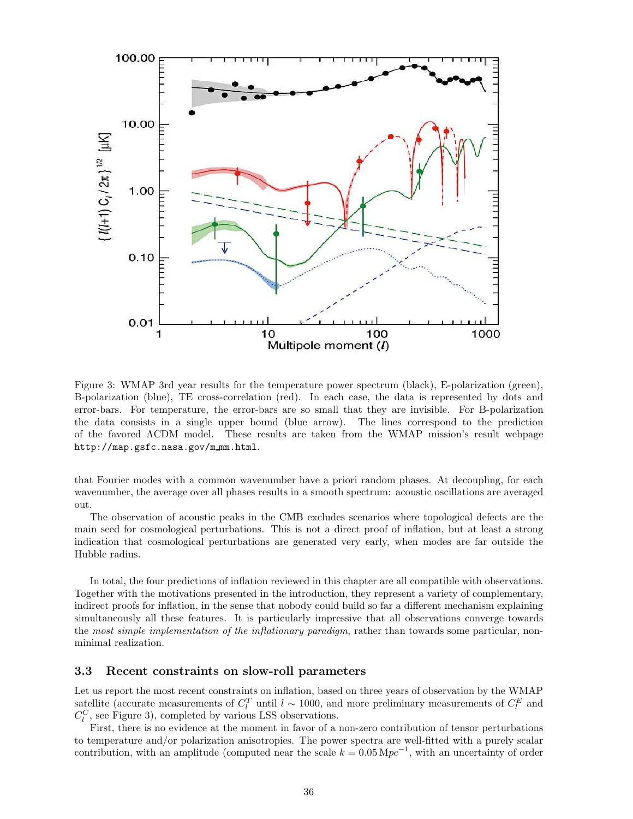

Figure 3: WMAP 3rd year results for the temperature power spectrum (black), E-polarization (green), B-polarization (blue), TE cross-correlation (red). In each case, the data is represented by dots and error-bars. For temperature, the error-bars are so small that they are invisible. For B-polarization the data consists in a single upper bound (blue arrow). The lines correspond to the prediction of the favored ΛCDM model. These results are taken from the WMAP mission's result webpage http://map.gsfc.nasa.gov/m mm.html.

that Fourier modes with a common wavenumber have a priori random phases. At decoupling, for each wavenumber, the average over all phases results in a smooth spectrum: acoustic oscillations are averaged out.

The observation of acoustic peaks in the CMB excludes scenarios where topological defects are the main seed for cosmological perturbations. This is not a direct proof of inflation, but at least a strong indication that cosmological perturbations are generated very early, when modes are far outside the Hubble radius.

In total, the four predictions of inflation reviewed in this chapter are all compatible with observations. Together with the motivations presented in the introduction, they represent a variety of complementary, indirect proofs for inflation, in the sense that nobody could build so far a different mechanism explaining simultaneously all these features. It is particularly impressive that all observations converge towards the most simple implementation of the inflationary paradigm, rather than towards some particular, nonminimal realization.

## 3.3 Recent constraints on slow-roll parameters

Let us report the most recent constraints on inflation, based on three years of observation by the WMAP satellite (accurate measurements of  $C_l^T$  until  $l \sim 1000$ , and more preliminary measurements of  $C_l^E$  and  $C_l^C$ , see Figure 3), completed by various LSS observations.

First, there is no evidence at the moment in favor of a non-zero contribution of tensor perturbations to temperature and/or polarization anisotropies. The power spectra are well-fitted with a purely scalar contribution, with an amplitude (computed near the scale  $k = 0.05 \,\mathrm{Mpc}^{-1}$ , with an uncertainty of order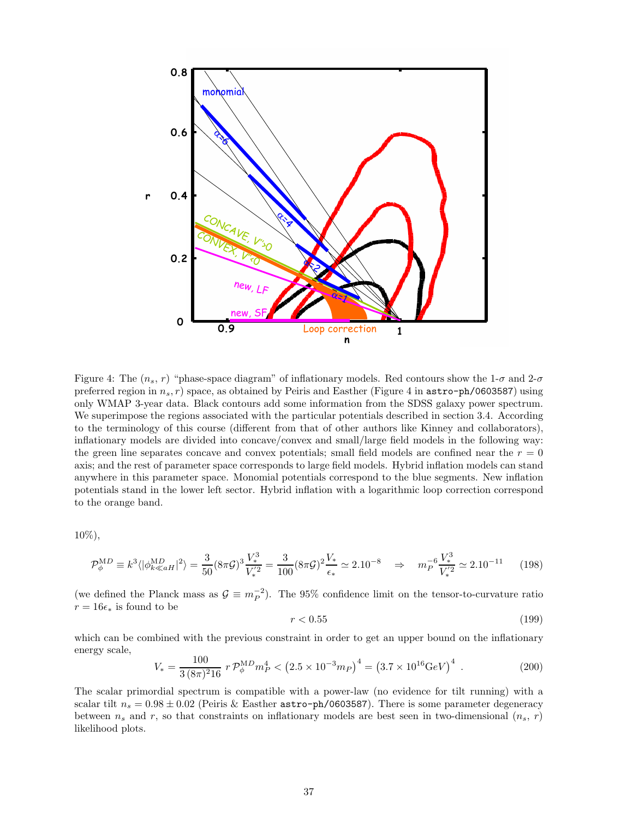

Figure 4: The  $(n_s, r)$  "phase-space diagram" of inflationary models. Red contours show the 1- $\sigma$  and 2- $\sigma$ preferred region in  $n_s$ , r) space, as obtained by Peiris and Easther (Figure 4 in  $\text{astro-ph}/0603587$ ) using only WMAP 3-year data. Black contours add some information from the SDSS galaxy power spectrum. We superimpose the regions associated with the particular potentials described in section 3.4. According to the terminology of this course (different from that of other authors like Kinney and collaborators), inflationary models are divided into concave/convex and small/large field models in the following way: the green line separates concave and convex potentials; small field models are confined near the  $r = 0$ axis; and the rest of parameter space corresponds to large field models. Hybrid inflation models can stand anywhere in this parameter space. Monomial potentials correspond to the blue segments. New inflation potentials stand in the lower left sector. Hybrid inflation with a logarithmic loop correction correspond to the orange band.

10%),

$$
\mathcal{P}_{\phi}^{\text{MD}} \equiv k^3 \langle |\phi_{k\ll aH}^{\text{MD}}|^2 \rangle = \frac{3}{50} (8\pi \mathcal{G})^3 \frac{V_*^3}{V_*^{'2}} = \frac{3}{100} (8\pi \mathcal{G})^2 \frac{V_*}{\epsilon_*} \simeq 2.10^{-8} \Rightarrow m_P^{-6} \frac{V_*^3}{V_*^{'2}} \simeq 2.10^{-11} \tag{198}
$$

(we defined the Planck mass as  $\mathcal{G} \equiv m_P^{-2}$ ). The 95% confidence limit on the tensor-to-curvature ratio  $r = 16\epsilon_*$  is found to be

$$
r < 0.55 \tag{199}
$$

which can be combined with the previous constraint in order to get an upper bound on the inflationary energy scale,

$$
V_* = \frac{100}{3(8\pi)^2 16} r \mathcal{P}_{\phi}^{\text{MD}} m_P^4 < (2.5 \times 10^{-3} m_P)^4 = (3.7 \times 10^{16} \text{GeV})^4 \tag{200}
$$

The scalar primordial spectrum is compatible with a power-law (no evidence for tilt running) with a scalar tilt  $n_s = 0.98 \pm 0.02$  (Peiris & Easther astro-ph/0603587). There is some parameter degeneracy between  $n_s$  and r, so that constraints on inflationary models are best seen in two-dimensional  $(n_s, r)$ likelihood plots.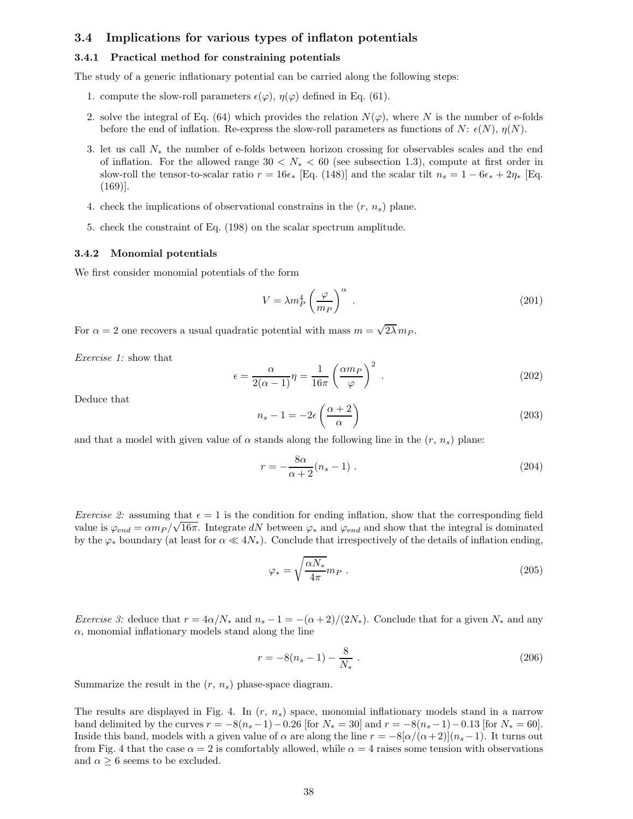## 3.4 Implications for various types of inflaton potentials

## 3.4.1 Practical method for constraining potentials

The study of a generic inflationary potential can be carried along the following steps:

- 1. compute the slow-roll parameters  $\epsilon(\varphi)$ ,  $\eta(\varphi)$  defined in Eq. (61).
- 2. solve the integral of Eq. (64) which provides the relation  $N(\varphi)$ , where N is the number of e-folds before the end of inflation. Re-express the slow-roll parameters as functions of N:  $\epsilon(N)$ ,  $\eta(N)$ .
- 3. let us call N<sup>∗</sup> the number of e-folds between horizon crossing for observables scales and the end of inflation. For the allowed range  $30 < N_* < 60$  (see subsection 1.3), compute at first order in slow-roll the tensor-to-scalar ratio  $r = 16\epsilon_*$  [Eq. (148)] and the scalar tilt  $n_s = 1 - 6\epsilon_* + 2\eta_*$  [Eq. (169)].
- 4. check the implications of observational constrains in the  $(r, n_s)$  plane.
- 5. check the constraint of Eq. (198) on the scalar spectrum amplitude.

#### 3.4.2 Monomial potentials

We first consider monomial potentials of the form

$$
V = \lambda m_P^4 \left(\frac{\varphi}{m_P}\right)^\alpha \tag{201}
$$

For  $\alpha = 2$  one recovers a usual quadratic potential with mass  $m = \sqrt{2\lambda} m_P$ .

Exercise 1: show that

$$
\epsilon = \frac{\alpha}{2(\alpha - 1)} \eta = \frac{1}{16\pi} \left(\frac{\alpha m_P}{\varphi}\right)^2 \tag{202}
$$

Deduce that

$$
n_s - 1 = -2\epsilon \left(\frac{\alpha + 2}{\alpha}\right) \tag{203}
$$

and that a model with given value of  $\alpha$  stands along the following line in the  $(r, n<sub>s</sub>)$  plane:

$$
r = -\frac{8\alpha}{\alpha + 2}(n_s - 1) \tag{204}
$$

*Exercise 2:* assuming that  $\epsilon = 1$  is the condition for ending inflation, show that the corresponding field value is  $\varphi_{end} = \alpha m_P / \sqrt{16\pi}$ . Integrate dN between  $\varphi_*$  and  $\varphi_{end}$  and show that the integral is dominated by the  $\varphi_*$  boundary (at least for  $\alpha \ll 4N_*$ ). Conclude that irrespectively of the details of inflation ending,

$$
\varphi_* = \sqrt{\frac{\alpha N_*}{4\pi}} m_P \tag{205}
$$

*Exercise 3:* deduce that  $r = 4\alpha/N_*$  and  $n_s - 1 = -(\alpha + 2)/(2N_*)$ . Conclude that for a given  $N_*$  and any  $\alpha$ , monomial inflationary models stand along the line

$$
r = -8(n_s - 1) - \frac{8}{N_*} \tag{206}
$$

Summarize the result in the  $(r, n_s)$  phase-space diagram.

The results are displayed in Fig. 4. In  $(r, n<sub>s</sub>)$  space, monomial inflationary models stand in a narrow band delimited by the curves  $r = -8(n_s - 1) - 0.26$  [for  $N_* = 30$ ] and  $r = -8(n_s - 1) - 0.13$  [for  $N_* = 60$ ]. Inside this band, models with a given value of  $\alpha$  are along the line  $r = -8[\alpha/(\alpha+2)](n_s-1)$ . It turns out from Fig. 4 that the case  $\alpha = 2$  is comfortably allowed, while  $\alpha = 4$  raises some tension with observations and  $\alpha \geq 6$  seems to be excluded.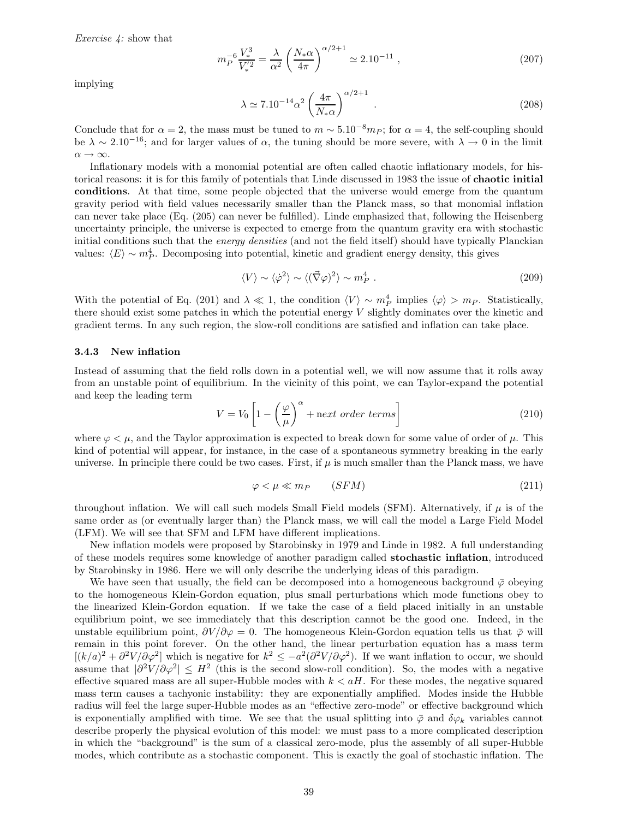Exercise 4: show that

$$
m_P^{-6} \frac{V_*^3}{V_*^{'2}} = \frac{\lambda}{\alpha^2} \left( \frac{N_* \alpha}{4\pi} \right)^{\alpha/2 + 1} \simeq 2.10^{-11} , \qquad (207)
$$

implying

$$
\lambda \simeq 7.10^{-14} \alpha^2 \left(\frac{4\pi}{N_* \alpha}\right)^{\alpha/2 + 1} . \tag{208}
$$

Conclude that for  $\alpha = 2$ , the mass must be tuned to  $m \sim 5.10^{-8} m_{P}$ ; for  $\alpha = 4$ , the self-coupling should be  $\lambda \sim 2.10^{-16}$ ; and for larger values of  $\alpha$ , the tuning should be more severe, with  $\lambda \to 0$  in the limit  $\alpha \rightarrow \infty$ .

Inflationary models with a monomial potential are often called chaotic inflationary models, for historical reasons: it is for this family of potentials that Linde discussed in 1983 the issue of chaotic initial conditions. At that time, some people objected that the universe would emerge from the quantum gravity period with field values necessarily smaller than the Planck mass, so that monomial inflation can never take place (Eq. (205) can never be fulfilled). Linde emphasized that, following the Heisenberg uncertainty principle, the universe is expected to emerge from the quantum gravity era with stochastic initial conditions such that the energy densities (and not the field itself) should have typically Planckian values:  $\langle E \rangle \sim m_P^4$ . Decomposing into potential, kinetic and gradient energy density, this gives

$$
\langle V \rangle \sim \langle \dot{\varphi}^2 \rangle \sim \langle (\vec{\nabla}\varphi)^2 \rangle \sim m_P^4 \ . \tag{209}
$$

With the potential of Eq. (201) and  $\lambda \ll 1$ , the condition  $\langle V \rangle \sim m_P^4$  implies  $\langle \varphi \rangle > m_P$ . Statistically, there should exist some patches in which the potential energy V slightly dominates over the kinetic and gradient terms. In any such region, the slow-roll conditions are satisfied and inflation can take place.

## 3.4.3 New inflation

Instead of assuming that the field rolls down in a potential well, we will now assume that it rolls away from an unstable point of equilibrium. In the vicinity of this point, we can Taylor-expand the potential and keep the leading term

$$
V = V_0 \left[ 1 - \left(\frac{\varphi}{\mu}\right)^{\alpha} + \text{next order terms} \right] \tag{210}
$$

where  $\varphi < \mu$ , and the Taylor approximation is expected to break down for some value of order of  $\mu$ . This kind of potential will appear, for instance, in the case of a spontaneous symmetry breaking in the early universe. In principle there could be two cases. First, if  $\mu$  is much smaller than the Planck mass, we have

$$
\varphi < \mu \ll m_P \qquad (SFM) \tag{211}
$$

throughout inflation. We will call such models Small Field models (SFM). Alternatively, if  $\mu$  is of the same order as (or eventually larger than) the Planck mass, we will call the model a Large Field Model (LFM). We will see that SFM and LFM have different implications.

New inflation models were proposed by Starobinsky in 1979 and Linde in 1982. A full understanding of these models requires some knowledge of another paradigm called stochastic inflation, introduced by Starobinsky in 1986. Here we will only describe the underlying ideas of this paradigm.

We have seen that usually, the field can be decomposed into a homogeneous background  $\bar{\varphi}$  obeying to the homogeneous Klein-Gordon equation, plus small perturbations which mode functions obey to the linearized Klein-Gordon equation. If we take the case of a field placed initially in an unstable equilibrium point, we see immediately that this description cannot be the good one. Indeed, in the unstable equilibrium point,  $\partial V/\partial \varphi = 0$ . The homogeneous Klein-Gordon equation tells us that  $\bar{\varphi}$  will remain in this point forever. On the other hand, the linear perturbation equation has a mass term  $[(k/a)^2 + \partial^2 V/\partial \varphi^2]$  which is negative for  $k^2 \le -a^2(\partial^2 V/\partial \varphi^2)$ . If we want inflation to occur, we should assume that  $|\partial^2 V/\partial \varphi^2| \leq H^2$  (this is the second slow-roll condition). So, the modes with a negative effective squared mass are all super-Hubble modes with  $k < aH$ . For these modes, the negative squared mass term causes a tachyonic instability: they are exponentially amplified. Modes inside the Hubble radius will feel the large super-Hubble modes as an "effective zero-mode" or effective background which is exponentially amplified with time. We see that the usual splitting into  $\bar{\varphi}$  and  $\delta\varphi_k$  variables cannot describe properly the physical evolution of this model: we must pass to a more complicated description in which the "background" is the sum of a classical zero-mode, plus the assembly of all super-Hubble modes, which contribute as a stochastic component. This is exactly the goal of stochastic inflation. The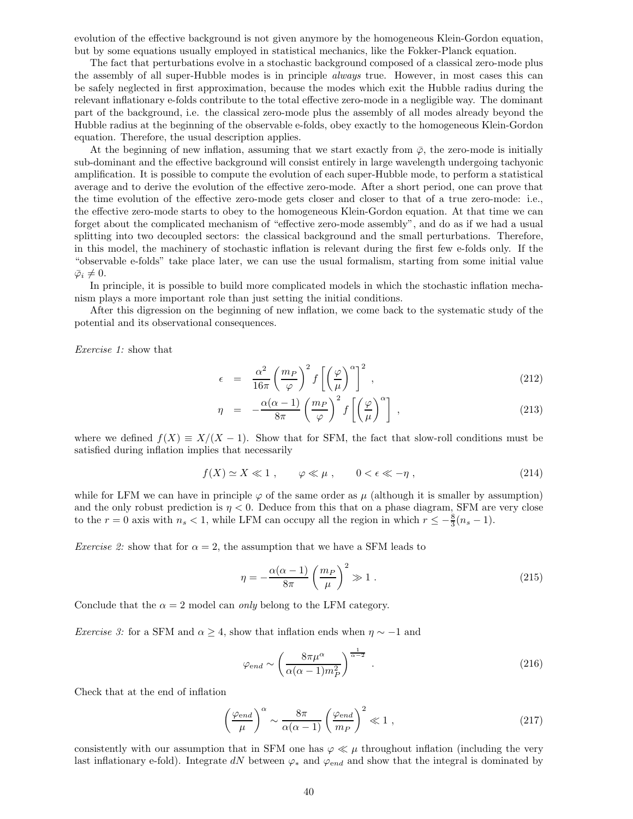evolution of the effective background is not given anymore by the homogeneous Klein-Gordon equation, but by some equations usually employed in statistical mechanics, like the Fokker-Planck equation.

The fact that perturbations evolve in a stochastic background composed of a classical zero-mode plus the assembly of all super-Hubble modes is in principle always true. However, in most cases this can be safely neglected in first approximation, because the modes which exit the Hubble radius during the relevant inflationary e-folds contribute to the total effective zero-mode in a negligible way. The dominant part of the background, i.e. the classical zero-mode plus the assembly of all modes already beyond the Hubble radius at the beginning of the observable e-folds, obey exactly to the homogeneous Klein-Gordon equation. Therefore, the usual description applies.

At the beginning of new inflation, assuming that we start exactly from  $\bar{\varphi}$ , the zero-mode is initially sub-dominant and the effective background will consist entirely in large wavelength undergoing tachyonic amplification. It is possible to compute the evolution of each super-Hubble mode, to perform a statistical average and to derive the evolution of the effective zero-mode. After a short period, one can prove that the time evolution of the effective zero-mode gets closer and closer to that of a true zero-mode: i.e., the effective zero-mode starts to obey to the homogeneous Klein-Gordon equation. At that time we can forget about the complicated mechanism of "effective zero-mode assembly", and do as if we had a usual splitting into two decoupled sectors: the classical background and the small perturbations. Therefore, in this model, the machinery of stochastic inflation is relevant during the first few e-folds only. If the "observable e-folds" take place later, we can use the usual formalism, starting from some initial value  $\bar{\varphi}_i \neq 0.$ 

In principle, it is possible to build more complicated models in which the stochastic inflation mechanism plays a more important role than just setting the initial conditions.

After this digression on the beginning of new inflation, we come back to the systematic study of the potential and its observational consequences.

Exercise 1: show that

$$
\epsilon = \frac{\alpha^2}{16\pi} \left(\frac{m_P}{\varphi}\right)^2 f\left[\left(\frac{\varphi}{\mu}\right)^{\alpha}\right]^2 , \qquad (212)
$$

$$
\eta = -\frac{\alpha(\alpha - 1)}{8\pi} \left(\frac{m_P}{\varphi}\right)^2 f\left[\left(\frac{\varphi}{\mu}\right)^{\alpha}\right],\tag{213}
$$

where we defined  $f(X) \equiv X/(X - 1)$ . Show that for SFM, the fact that slow-roll conditions must be satisfied during inflation implies that necessarily

$$
f(X) \simeq X \ll 1 \;, \qquad \varphi \ll \mu \;, \qquad 0 < \epsilon \ll -\eta \;, \tag{214}
$$

while for LFM we can have in principle  $\varphi$  of the same order as  $\mu$  (although it is smaller by assumption) and the only robust prediction is  $\eta < 0$ . Deduce from this that on a phase diagram, SFM are very close to the  $r = 0$  axis with  $n_s < 1$ , while LFM can occupy all the region in which  $r \leq -\frac{8}{3}(n_s - 1)$ .

*Exercise 2:* show that for  $\alpha = 2$ , the assumption that we have a SFM leads to

$$
\eta = -\frac{\alpha(\alpha - 1)}{8\pi} \left(\frac{m_P}{\mu}\right)^2 \gg 1. \tag{215}
$$

Conclude that the  $\alpha = 2$  model can only belong to the LFM category.

*Exercise 3:* for a SFM and  $\alpha \geq 4$ , show that inflation ends when  $\eta \sim -1$  and

$$
\varphi_{end} \sim \left(\frac{8\pi\mu^{\alpha}}{\alpha(\alpha-1)m_P^2}\right)^{\frac{1}{\alpha-2}}.
$$
\n(216)

Check that at the end of inflation

$$
\left(\frac{\varphi_{end}}{\mu}\right)^{\alpha} \sim \frac{8\pi}{\alpha(\alpha-1)} \left(\frac{\varphi_{end}}{m_P}\right)^2 \ll 1 ,
$$
\n(217)

consistently with our assumption that in SFM one has  $\varphi \ll \mu$  throughout inflation (including the very last inflationary e-fold). Integrate dN between  $\varphi_*$  and  $\varphi_{end}$  and show that the integral is dominated by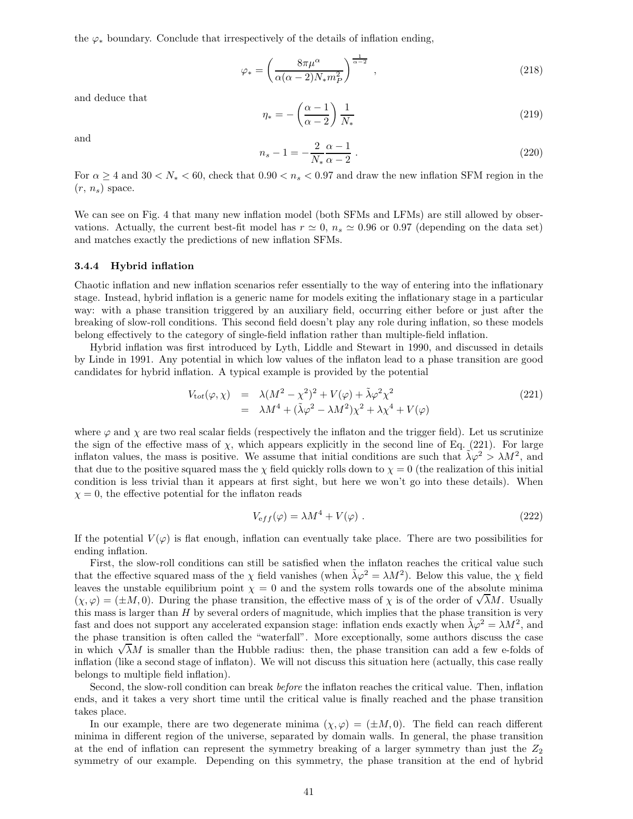the  $\varphi_*$  boundary. Conclude that irrespectively of the details of inflation ending,

$$
\varphi_* = \left(\frac{8\pi\mu^{\alpha}}{\alpha(\alpha-2)N_*m_P^2}\right)^{\frac{1}{\alpha-2}},\tag{218}
$$

and deduce that

$$
\eta_* = -\left(\frac{\alpha - 1}{\alpha - 2}\right) \frac{1}{N_*} \tag{219}
$$

and

$$
n_s - 1 = -\frac{2}{N_*} \frac{\alpha - 1}{\alpha - 2} \,. \tag{220}
$$

For  $\alpha \ge 4$  and  $30 < N_* < 60$ , check that  $0.90 < n_s < 0.97$  and draw the new inflation SFM region in the  $(r, n_s)$  space.

We can see on Fig. 4 that many new inflation model (both SFMs and LFMs) are still allowed by observations. Actually, the current best-fit model has  $r \approx 0$ ,  $n_s \approx 0.96$  or 0.97 (depending on the data set) and matches exactly the predictions of new inflation SFMs.

#### 3.4.4 Hybrid inflation

Chaotic inflation and new inflation scenarios refer essentially to the way of entering into the inflationary stage. Instead, hybrid inflation is a generic name for models exiting the inflationary stage in a particular way: with a phase transition triggered by an auxiliary field, occurring either before or just after the breaking of slow-roll conditions. This second field doesn't play any role during inflation, so these models belong effectively to the category of single-field inflation rather than multiple-field inflation.

Hybrid inflation was first introduced by Lyth, Liddle and Stewart in 1990, and discussed in details by Linde in 1991. Any potential in which low values of the inflaton lead to a phase transition are good candidates for hybrid inflation. A typical example is provided by the potential

$$
V_{tot}(\varphi, \chi) = \lambda (M^2 - \chi^2)^2 + V(\varphi) + \tilde{\lambda} \varphi^2 \chi^2
$$
  
=  $\lambda M^4 + (\tilde{\lambda} \varphi^2 - \lambda M^2) \chi^2 + \lambda \chi^4 + V(\varphi)$  (221)

where  $\varphi$  and  $\chi$  are two real scalar fields (respectively the inflaton and the trigger field). Let us scrutinize the sign of the effective mass of  $\chi$ , which appears explicitly in the second line of Eq. (221). For large inflaton values, the mass is positive. We assume that initial conditions are such that  $\tilde{\lambda}\varphi^2 > \lambda M^2$ , and that due to the positive squared mass the  $\chi$  field quickly rolls down to  $\chi = 0$  (the realization of this initial condition is less trivial than it appears at first sight, but here we won't go into these details). When  $\chi = 0$ , the effective potential for the inflaton reads

$$
V_{eff}(\varphi) = \lambda M^4 + V(\varphi) \tag{222}
$$

If the potential  $V(\varphi)$  is flat enough, inflation can eventually take place. There are two possibilities for ending inflation.

First, the slow-roll conditions can still be satisfied when the inflaton reaches the critical value such that the effective squared mass of the  $\chi$  field vanishes (when  $\tilde{\lambda}\varphi^2 = \lambda M^2$ ). Below this value, the  $\chi$  field leaves the unstable equilibrium point  $\chi = 0$  and the system rolls towards one of the absolute minima  $(\chi, \varphi) = (\pm M, 0)$ . During the phase transition, the effective mass of  $\chi$  is of the order of  $\sqrt{\lambda}M$ . Usually this mass is larger than  $H$  by several orders of magnitude, which implies that the phase transition is very fast and does not support any accelerated expansion stage: inflation ends exactly when  $\tilde{\lambda}\varphi^2 = \lambda M^2$ , and the phase transition is often called the "waterfall". More exceptionally, some authors discuss the case in which  $\sqrt{\lambda}M$  is smaller than the Hubble radius: then, the phase transition can add a few e-folds of inflation (like a second stage of inflaton). We will not discuss this situation here (actually, this case really belongs to multiple field inflation).

Second, the slow-roll condition can break before the inflaton reaches the critical value. Then, inflation ends, and it takes a very short time until the critical value is finally reached and the phase transition takes place.

In our example, there are two degenerate minima  $(\chi, \varphi) = (\pm M, 0)$ . The field can reach different minima in different region of the universe, separated by domain walls. In general, the phase transition at the end of inflation can represent the symmetry breaking of a larger symmetry than just the  $Z_2$ symmetry of our example. Depending on this symmetry, the phase transition at the end of hybrid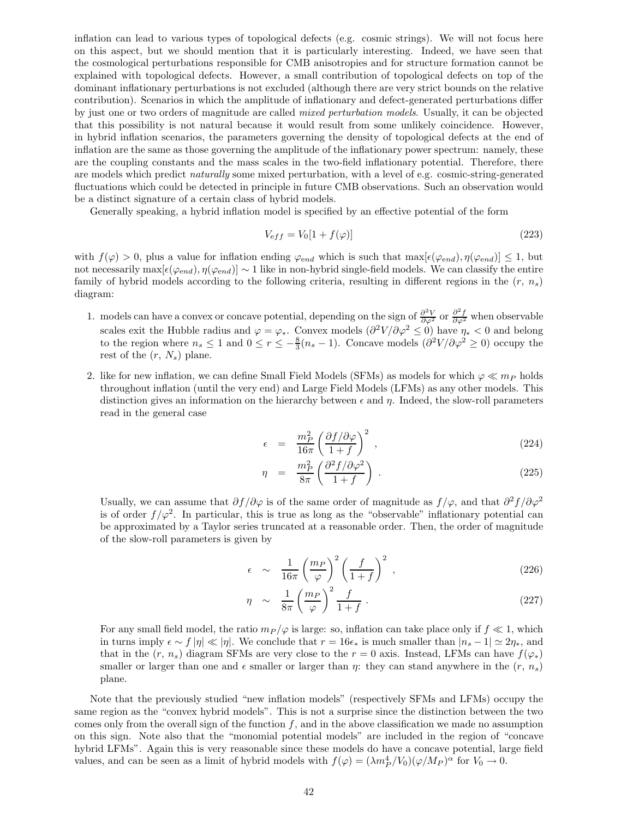inflation can lead to various types of topological defects (e.g. cosmic strings). We will not focus here on this aspect, but we should mention that it is particularly interesting. Indeed, we have seen that the cosmological perturbations responsible for CMB anisotropies and for structure formation cannot be explained with topological defects. However, a small contribution of topological defects on top of the dominant inflationary perturbations is not excluded (although there are very strict bounds on the relative contribution). Scenarios in which the amplitude of inflationary and defect-generated perturbations differ by just one or two orders of magnitude are called mixed perturbation models. Usually, it can be objected that this possibility is not natural because it would result from some unlikely coincidence. However, in hybrid inflation scenarios, the parameters governing the density of topological defects at the end of inflation are the same as those governing the amplitude of the inflationary power spectrum: namely, these are the coupling constants and the mass scales in the two-field inflationary potential. Therefore, there are models which predict naturally some mixed perturbation, with a level of e.g. cosmic-string-generated fluctuations which could be detected in principle in future CMB observations. Such an observation would be a distinct signature of a certain class of hybrid models.

Generally speaking, a hybrid inflation model is specified by an effective potential of the form

$$
V_{\text{eff}} = V_0[1 + f(\varphi)]\tag{223}
$$

with  $f(\varphi) > 0$ , plus a value for inflation ending  $\varphi_{end}$  which is such that  $\max[\epsilon(\varphi_{end}), \eta(\varphi_{end})] \leq 1$ , but not necessarily max $[\epsilon(\varphi_{end}), \eta(\varphi_{end})] \sim 1$  like in non-hybrid single-field models. We can classify the entire family of hybrid models according to the following criteria, resulting in different regions in the  $(r, n_s)$ diagram:

- 1. models can have a convex or concave potential, depending on the sign of  $\frac{\partial^2 V}{\partial \varphi^2}$  or  $\frac{\partial^2 f}{\partial \varphi^2}$  when observable scales exit the Hubble radius and  $\varphi = \varphi_*$ . Convex models  $\left(\frac{\partial^2 V}{\partial \varphi^2} \leq 0\right)$  have  $\eta_* < 0$  and belong to the region where  $n_s \leq 1$  and  $0 \leq r \leq -\frac{8}{3}(n_s-1)$ . Concave models  $\left(\frac{\partial^2 V}{\partial \varphi^2} \geq 0\right)$  occupy the rest of the  $(r, N_s)$  plane.
- 2. like for new inflation, we can define Small Field Models (SFMs) as models for which  $\varphi \ll m_P$  holds throughout inflation (until the very end) and Large Field Models (LFMs) as any other models. This distinction gives an information on the hierarchy between  $\epsilon$  and  $\eta$ . Indeed, the slow-roll parameters read in the general case

$$
\epsilon = \frac{m_P^2}{16\pi} \left(\frac{\partial f/\partial \varphi}{1+f}\right)^2 , \qquad (224)
$$

$$
\eta = \frac{m_P^2}{8\pi} \left( \frac{\partial^2 f / \partial \varphi^2}{1 + f} \right) . \tag{225}
$$

Usually, we can assume that  $\partial f/\partial \varphi$  is of the same order of magnitude as  $f/\varphi$ , and that  $\partial^2 f/\partial \varphi^2$ is of order  $f/\varphi^2$ . In particular, this is true as long as the "observable" inflationary potential can be approximated by a Taylor series truncated at a reasonable order. Then, the order of magnitude of the slow-roll parameters is given by

$$
\epsilon \sim \frac{1}{16\pi} \left(\frac{m_P}{\varphi}\right)^2 \left(\frac{f}{1+f}\right)^2 ,\qquad (226)
$$

$$
\eta \sim \frac{1}{8\pi} \left(\frac{m_P}{\varphi}\right)^2 \frac{f}{1+f} \,. \tag{227}
$$

For any small field model, the ratio  $m_P / \varphi$  is large: so, inflation can take place only if  $f \ll 1$ , which in turns imply  $\epsilon \sim f |\eta| \ll |\eta|$ . We conclude that  $r = 16\epsilon_*$  is much smaller than  $|n_s - 1| \simeq 2\eta_*$ , and that in the  $(r, n_s)$  diagram SFMs are very close to the  $r = 0$  axis. Instead, LFMs can have  $f(\varphi_*)$ smaller or larger than one and  $\epsilon$  smaller or larger than  $\eta$ : they can stand anywhere in the  $(r, n_s)$ plane.

Note that the previously studied "new inflation models" (respectively SFMs and LFMs) occupy the same region as the "convex hybrid models". This is not a surprise since the distinction between the two comes only from the overall sign of the function  $f$ , and in the above classification we made no assumption on this sign. Note also that the "monomial potential models" are included in the region of "concave hybrid LFMs". Again this is very reasonable since these models do have a concave potential, large field values, and can be seen as a limit of hybrid models with  $f(\varphi) = (\lambda m_P^4 / V_0)(\varphi / M_P)^{\alpha}$  for  $V_0 \to 0$ .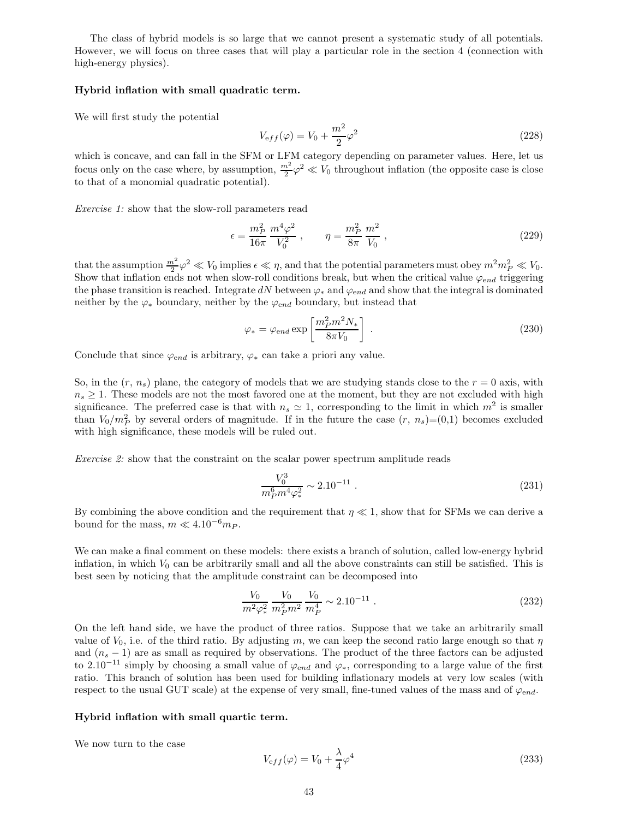The class of hybrid models is so large that we cannot present a systematic study of all potentials. However, we will focus on three cases that will play a particular role in the section 4 (connection with high-energy physics).

## Hybrid inflation with small quadratic term.

We will first study the potential

$$
V_{\text{eff}}(\varphi) = V_0 + \frac{m^2}{2}\varphi^2 \tag{228}
$$

which is concave, and can fall in the SFM or LFM category depending on parameter values. Here, let us focus only on the case where, by assumption,  $\frac{m^2}{2}\varphi^2 \ll V_0$  throughout inflation (the opposite case is close to that of a monomial quadratic potential).

Exercise 1: show that the slow-roll parameters read

$$
\epsilon = \frac{m_P^2}{16\pi} \frac{m^4 \varphi^2}{V_0^2} \,, \qquad \eta = \frac{m_P^2}{8\pi} \frac{m^2}{V_0} \,, \tag{229}
$$

that the assumption  $\frac{m^2}{2}\varphi^2 \ll V_0$  implies  $\epsilon \ll \eta$ , and that the potential parameters must obey  $m^2m_P^2 \ll V_0$ . Show that inflation ends not when slow-roll conditions break, but when the critical value  $\varphi_{end}$  triggering the phase transition is reached. Integrate dN between  $\varphi_*$  and  $\varphi_{end}$  and show that the integral is dominated neither by the  $\varphi_*$  boundary, neither by the  $\varphi_{end}$  boundary, but instead that

$$
\varphi_* = \varphi_{end} \exp\left[\frac{m_P^2 m^2 N_*}{8\pi V_0}\right] \tag{230}
$$

Conclude that since  $\varphi_{end}$  is arbitrary,  $\varphi_*$  can take a priori any value.

So, in the  $(r, n_s)$  plane, the category of models that we are studying stands close to the  $r = 0$  axis, with  $n<sub>s</sub> \geq 1$ . These models are not the most favored one at the moment, but they are not excluded with high significance. The preferred case is that with  $n_s \simeq 1$ , corresponding to the limit in which  $m^2$  is smaller than  $V_0/m_P^2$  by several orders of magnitude. If in the future the case  $(r, n_s)=(0,1)$  becomes excluded with high significance, these models will be ruled out.

Exercise 2: show that the constraint on the scalar power spectrum amplitude reads

$$
\frac{V_0^3}{m_p^6 m^4 \varphi_*^2} \sim 2.10^{-11} \ . \tag{231}
$$

By combining the above condition and the requirement that  $\eta \ll 1$ , show that for SFMs we can derive a bound for the mass,  $m \ll 4.10^{-6} m_P$ .

We can make a final comment on these models: there exists a branch of solution, called low-energy hybrid inflation, in which  $V_0$  can be arbitrarily small and all the above constraints can still be satisfied. This is best seen by noticing that the amplitude constraint can be decomposed into

$$
\frac{V_0}{m^2 \varphi_*^2} \frac{V_0}{m_P^2 m^2} \frac{V_0}{m_P^4} \sim 2.10^{-11} \ . \tag{232}
$$

On the left hand side, we have the product of three ratios. Suppose that we take an arbitrarily small value of  $V_0$ , i.e. of the third ratio. By adjusting m, we can keep the second ratio large enough so that  $\eta$ and  $(n_s - 1)$  are as small as required by observations. The product of the three factors can be adjusted to 2.10<sup>-11</sup> simply by choosing a small value of  $\varphi_{end}$  and  $\varphi_*$ , corresponding to a large value of the first ratio. This branch of solution has been used for building inflationary models at very low scales (with respect to the usual GUT scale) at the expense of very small, fine-tuned values of the mass and of  $\varphi_{end}$ .

## Hybrid inflation with small quartic term.

We now turn to the case

$$
V_{\mathrm eff}(\varphi) = V_0 + \frac{\lambda}{4} \varphi^4 \tag{233}
$$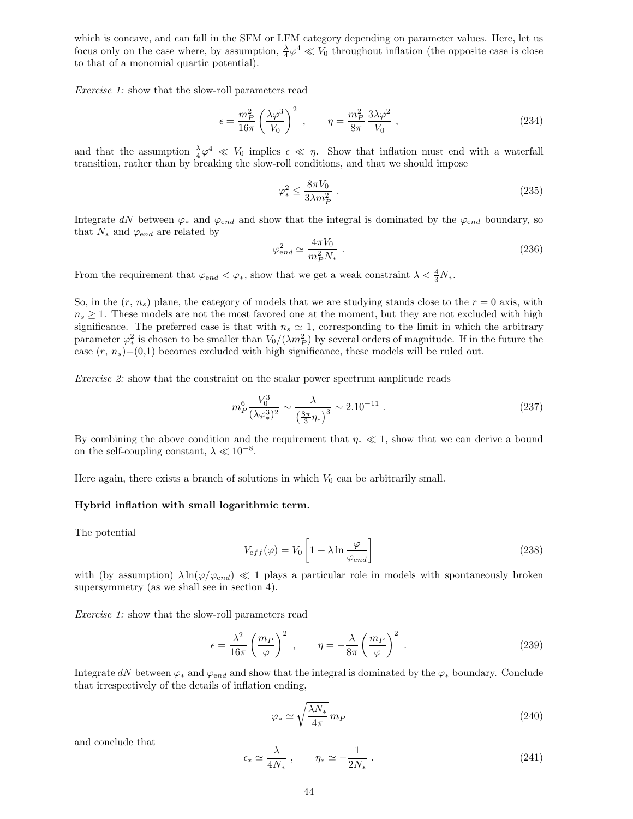which is concave, and can fall in the SFM or LFM category depending on parameter values. Here, let us focus only on the case where, by assumption,  $\frac{\lambda}{4}\varphi^4 \ll V_0$  throughout inflation (the opposite case is close to that of a monomial quartic potential).

Exercise 1: show that the slow-roll parameters read

$$
\epsilon = \frac{m_P^2}{16\pi} \left(\frac{\lambda \varphi^3}{V_0}\right)^2 \;, \qquad \eta = \frac{m_P^2}{8\pi} \frac{3\lambda \varphi^2}{V_0} \;, \tag{234}
$$

and that the assumption  $\frac{\lambda}{4}\varphi^4 \ll V_0$  implies  $\epsilon \ll \eta$ . Show that inflation must end with a waterfall transition, rather than by breaking the slow-roll conditions, and that we should impose

$$
\varphi_*^2 \le \frac{8\pi V_0}{3\lambda m_P^2} \tag{235}
$$

Integrate dN between  $\varphi_*$  and  $\varphi_{end}$  and show that the integral is dominated by the  $\varphi_{end}$  boundary, so that  $N_*$  and  $\varphi_{end}$  are related by

$$
\varphi_{end}^2 \simeq \frac{4\pi V_0}{m_P^2 N_*} \ . \tag{236}
$$

From the requirement that  $\varphi_{end} < \varphi_*$ , show that we get a weak constraint  $\lambda < \frac{4}{3}N_*$ .

So, in the  $(r, n_s)$  plane, the category of models that we are studying stands close to the  $r = 0$  axis, with  $n<sub>s</sub> \ge 1$ . These models are not the most favored one at the moment, but they are not excluded with high significance. The preferred case is that with  $n_s \simeq 1$ , corresponding to the limit in which the arbitrary parameter  $\varphi_*^2$  is chosen to be smaller than  $V_0/(\lambda m_P^2)$  by several orders of magnitude. If in the future the case  $(r, n_s)=(0,1)$  becomes excluded with high significance, these models will be ruled out.

Exercise 2: show that the constraint on the scalar power spectrum amplitude reads

$$
m_P^6 \frac{V_0^3}{(\lambda \varphi_*^3)^2} \sim \frac{\lambda}{\left(\frac{8\pi}{3}\eta_*\right)^3} \sim 2.10^{-11} \ . \tag{237}
$$

By combining the above condition and the requirement that  $\eta_* \ll 1$ , show that we can derive a bound on the self-coupling constant,  $\lambda \ll 10^{-8}$ .

Here again, there exists a branch of solutions in which  $V_0$  can be arbitrarily small.

## Hybrid inflation with small logarithmic term.

The potential

$$
V_{\text{eff}}(\varphi) = V_0 \left[ 1 + \lambda \ln \frac{\varphi}{\varphi_{\text{end}}} \right]
$$
 (238)

with (by assumption)  $\lambda \ln(\varphi/\varphi_{end}) \ll 1$  plays a particular role in models with spontaneously broken supersymmetry (as we shall see in section 4).

Exercise 1: show that the slow-roll parameters read

$$
\epsilon = \frac{\lambda^2}{16\pi} \left(\frac{m_P}{\varphi}\right)^2 , \qquad \eta = -\frac{\lambda}{8\pi} \left(\frac{m_P}{\varphi}\right)^2 . \tag{239}
$$

Integrate dN between  $\varphi_*$  and  $\varphi_{end}$  and show that the integral is dominated by the  $\varphi_*$  boundary. Conclude that irrespectively of the details of inflation ending,

$$
\varphi_* \simeq \sqrt{\frac{\lambda N_*}{4\pi}} \, m_P \tag{240}
$$

and conclude that

$$
\epsilon_* \simeq \frac{\lambda}{4N_*} \;, \qquad \eta_* \simeq -\frac{1}{2N_*} \; . \tag{241}
$$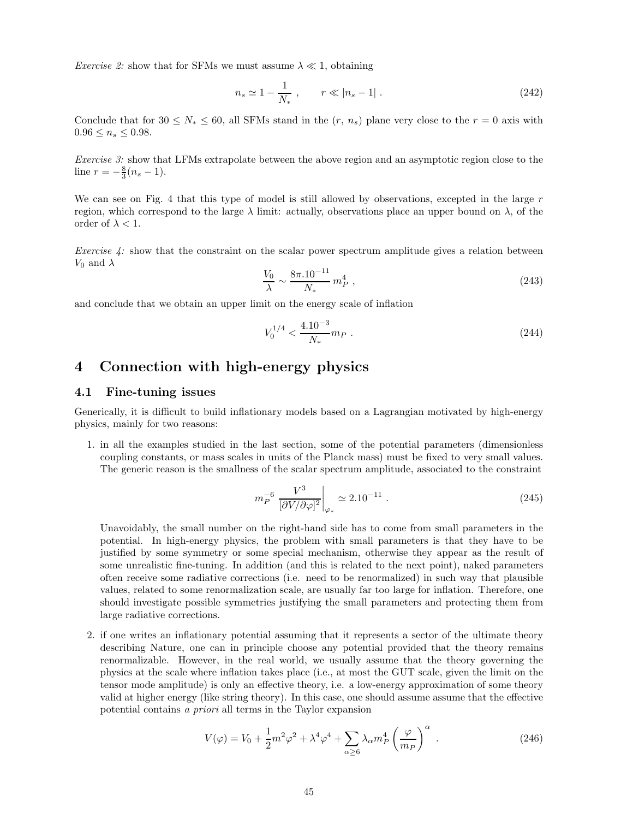*Exercise 2:* show that for SFMs we must assume  $\lambda \ll 1$ , obtaining

$$
n_s \simeq 1 - \frac{1}{N_*} \;, \qquad r \ll |n_s - 1| \; . \tag{242}
$$

Conclude that for  $30 \le N_* \le 60$ , all SFMs stand in the  $(r, n_s)$  plane very close to the  $r = 0$  axis with  $0.96 \leq n_s \leq 0.98$ .

Exercise 3: show that LFMs extrapolate between the above region and an asymptotic region close to the line  $r = -\frac{8}{3}(n_s - 1)$ .

We can see on Fig. 4 that this type of model is still allowed by observations, excepted in the large  $r$ region, which correspond to the large  $\lambda$  limit: actually, observations place an upper bound on  $\lambda$ , of the order of  $\lambda < 1$ .

Exercise 4: show that the constraint on the scalar power spectrum amplitude gives a relation between  $V_0$  and  $\lambda$ 

$$
\frac{V_0}{\lambda} \sim \frac{8\pi . 10^{-11}}{N_*} m_P^4 \t\t(243)
$$

and conclude that we obtain an upper limit on the energy scale of inflation

$$
V_0^{1/4} < \frac{4.10^{-3}}{N_*} m_P \tag{244}
$$

## 4 Connection with high-energy physics

## 4.1 Fine-tuning issues

Generically, it is difficult to build inflationary models based on a Lagrangian motivated by high-energy physics, mainly for two reasons:

1. in all the examples studied in the last section, some of the potential parameters (dimensionless coupling constants, or mass scales in units of the Planck mass) must be fixed to very small values. The generic reason is the smallness of the scalar spectrum amplitude, associated to the constraint

$$
m_P^{-6} \frac{V^3}{[\partial V / \partial \varphi]^2} \bigg|_{\varphi_*} \simeq 2.10^{-11} \ . \tag{245}
$$

Unavoidably, the small number on the right-hand side has to come from small parameters in the potential. In high-energy physics, the problem with small parameters is that they have to be justified by some symmetry or some special mechanism, otherwise they appear as the result of some unrealistic fine-tuning. In addition (and this is related to the next point), naked parameters often receive some radiative corrections (i.e. need to be renormalized) in such way that plausible values, related to some renormalization scale, are usually far too large for inflation. Therefore, one should investigate possible symmetries justifying the small parameters and protecting them from large radiative corrections.

2. if one writes an inflationary potential assuming that it represents a sector of the ultimate theory describing Nature, one can in principle choose any potential provided that the theory remains renormalizable. However, in the real world, we usually assume that the theory governing the physics at the scale where inflation takes place (i.e., at most the GUT scale, given the limit on the tensor mode amplitude) is only an effective theory, i.e. a low-energy approximation of some theory valid at higher energy (like string theory). In this case, one should assume assume that the effective potential contains a priori all terms in the Taylor expansion

$$
V(\varphi) = V_0 + \frac{1}{2}m^2\varphi^2 + \lambda^4\varphi^4 + \sum_{\alpha \ge 6} \lambda_\alpha m_P^4 \left(\frac{\varphi}{m_P}\right)^\alpha \,. \tag{246}
$$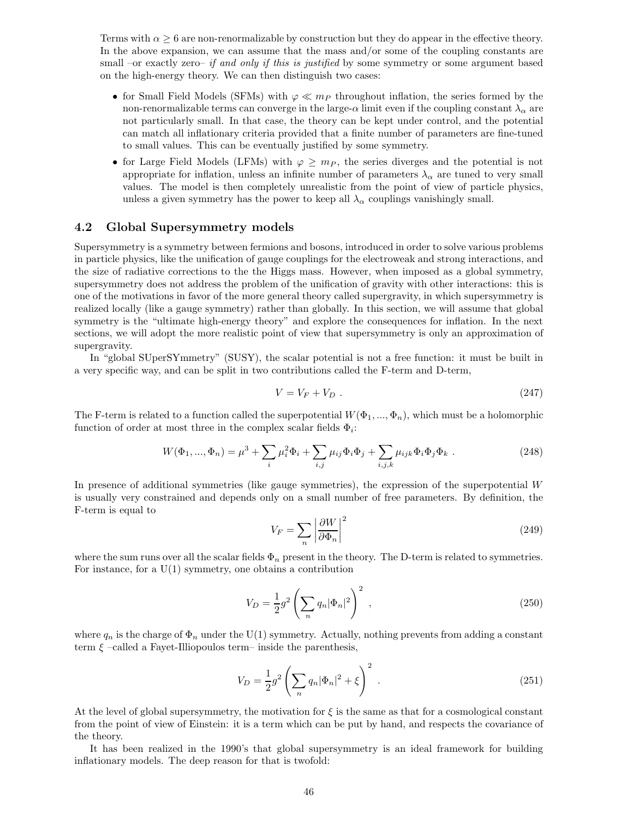Terms with  $\alpha \geq 6$  are non-renormalizable by construction but they do appear in the effective theory. In the above expansion, we can assume that the mass and/or some of the coupling constants are small –or exactly zero– if and only if this is justified by some symmetry or some argument based on the high-energy theory. We can then distinguish two cases:

- for Small Field Models (SFMs) with  $\varphi \ll m_P$  throughout inflation, the series formed by the non-renormalizable terms can converge in the large- $\alpha$  limit even if the coupling constant  $\lambda_{\alpha}$  are not particularly small. In that case, the theory can be kept under control, and the potential can match all inflationary criteria provided that a finite number of parameters are fine-tuned to small values. This can be eventually justified by some symmetry.
- for Large Field Models (LFMs) with  $\varphi \geq m_P$ , the series diverges and the potential is not appropriate for inflation, unless an infinite number of parameters  $\lambda_{\alpha}$  are tuned to very small values. The model is then completely unrealistic from the point of view of particle physics, unless a given symmetry has the power to keep all  $\lambda_{\alpha}$  couplings vanishingly small.

## 4.2 Global Supersymmetry models

Supersymmetry is a symmetry between fermions and bosons, introduced in order to solve various problems in particle physics, like the unification of gauge couplings for the electroweak and strong interactions, and the size of radiative corrections to the the Higgs mass. However, when imposed as a global symmetry, supersymmetry does not address the problem of the unification of gravity with other interactions: this is one of the motivations in favor of the more general theory called supergravity, in which supersymmetry is realized locally (like a gauge symmetry) rather than globally. In this section, we will assume that global symmetry is the "ultimate high-energy theory" and explore the consequences for inflation. In the next sections, we will adopt the more realistic point of view that supersymmetry is only an approximation of supergravity.

In "global SUperSYmmetry" (SUSY), the scalar potential is not a free function: it must be built in a very specific way, and can be split in two contributions called the F-term and D-term,

$$
V = V_F + V_D \tag{247}
$$

The F-term is related to a function called the superpotential  $W(\Phi_1, ..., \Phi_n)$ , which must be a holomorphic function of order at most three in the complex scalar fields  $\Phi_i$ :

$$
W(\Phi_1, ..., \Phi_n) = \mu^3 + \sum_i \mu_i^2 \Phi_i + \sum_{i,j} \mu_{ij} \Phi_i \Phi_j + \sum_{i,j,k} \mu_{ijk} \Phi_i \Phi_j \Phi_k.
$$
 (248)

In presence of additional symmetries (like gauge symmetries), the expression of the superpotential  $W$ is usually very constrained and depends only on a small number of free parameters. By definition, the F-term is equal to

$$
V_F = \sum_n \left| \frac{\partial W}{\partial \Phi_n} \right|^2 \tag{249}
$$

where the sum runs over all the scalar fields  $\Phi_n$  present in the theory. The D-term is related to symmetries. For instance, for a  $U(1)$  symmetry, one obtains a contribution

$$
V_D = \frac{1}{2}g^2 \left(\sum_n q_n |\Phi_n|^2\right)^2 ,\qquad (250)
$$

where  $q_n$  is the charge of  $\Phi_n$  under the U(1) symmetry. Actually, nothing prevents from adding a constant term  $\xi$  –called a Fayet-Illiopoulos term– inside the parenthesis,

$$
V_D = \frac{1}{2}g^2 \left(\sum_n q_n |\Phi_n|^2 + \xi\right)^2.
$$
 (251)

At the level of global supersymmetry, the motivation for  $\xi$  is the same as that for a cosmological constant from the point of view of Einstein: it is a term which can be put by hand, and respects the covariance of the theory.

It has been realized in the 1990's that global supersymmetry is an ideal framework for building inflationary models. The deep reason for that is twofold: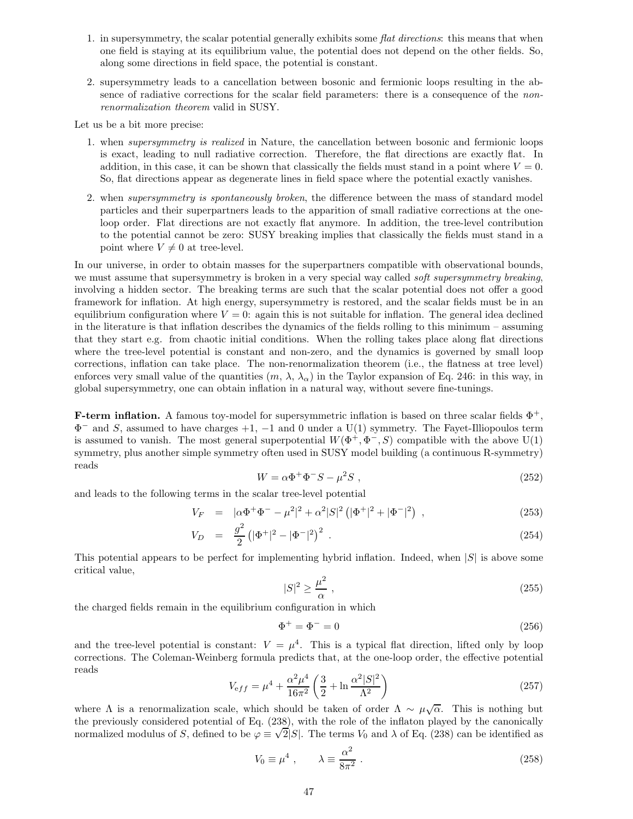- 1. in supersymmetry, the scalar potential generally exhibits some flat directions: this means that when one field is staying at its equilibrium value, the potential does not depend on the other fields. So, along some directions in field space, the potential is constant.
- 2. supersymmetry leads to a cancellation between bosonic and fermionic loops resulting in the absence of radiative corrections for the scalar field parameters: there is a consequence of the nonrenormalization theorem valid in SUSY.

Let us be a bit more precise:

- 1. when supersymmetry is realized in Nature, the cancellation between bosonic and fermionic loops is exact, leading to null radiative correction. Therefore, the flat directions are exactly flat. In addition, in this case, it can be shown that classically the fields must stand in a point where  $V = 0$ . So, flat directions appear as degenerate lines in field space where the potential exactly vanishes.
- 2. when supersymmetry is spontaneously broken, the difference between the mass of standard model particles and their superpartners leads to the apparition of small radiative corrections at the oneloop order. Flat directions are not exactly flat anymore. In addition, the tree-level contribution to the potential cannot be zero: SUSY breaking implies that classically the fields must stand in a point where  $V \neq 0$  at tree-level.

In our universe, in order to obtain masses for the superpartners compatible with observational bounds, we must assume that supersymmetry is broken in a very special way called *soft supersymmetry breaking*, involving a hidden sector. The breaking terms are such that the scalar potential does not offer a good framework for inflation. At high energy, supersymmetry is restored, and the scalar fields must be in an equilibrium configuration where  $V = 0$ : again this is not suitable for inflation. The general idea declined in the literature is that inflation describes the dynamics of the fields rolling to this minimum – assuming that they start e.g. from chaotic initial conditions. When the rolling takes place along flat directions where the tree-level potential is constant and non-zero, and the dynamics is governed by small loop corrections, inflation can take place. The non-renormalization theorem (i.e., the flatness at tree level) enforces very small value of the quantities  $(m, \lambda, \lambda_{\alpha})$  in the Taylor expansion of Eq. 246: in this way, in global supersymmetry, one can obtain inflation in a natural way, without severe fine-tunings.

**F-term inflation.** A famous toy-model for supersymmetric inflation is based on three scalar fields  $\Phi^+$ ,  $\Phi^-$  and S, assumed to have charges  $+1$ ,  $-1$  and 0 under a U(1) symmetry. The Fayet-Illiopoulos term is assumed to vanish. The most general superpotential  $W(\Phi^+, \Phi^-, S)$  compatible with the above U(1) symmetry, plus another simple symmetry often used in SUSY model building (a continuous R-symmetry) reads

$$
W = \alpha \Phi^+ \Phi^- S - \mu^2 S \tag{252}
$$

and leads to the following terms in the scalar tree-level potential

$$
V_F = |\alpha \Phi^+ \Phi^- - \mu^2|^2 + \alpha^2 |S|^2 (|\Phi^+|^2 + |\Phi^-|^2) , \qquad (253)
$$

$$
V_D = \frac{g^2}{2} \left( |\Phi^+|^2 - |\Phi^-|^2 \right)^2 \,. \tag{254}
$$

This potential appears to be perfect for implementing hybrid inflation. Indeed, when  $|S|$  is above some critical value,

$$
|S|^2 \ge \frac{\mu^2}{\alpha} \,,\tag{255}
$$

the charged fields remain in the equilibrium configuration in which

$$
\Phi^+ = \Phi^- = 0 \tag{256}
$$

and the tree-level potential is constant:  $V = \mu^4$ . This is a typical flat direction, lifted only by loop corrections. The Coleman-Weinberg formula predicts that, at the one-loop order, the effective potential reads

$$
V_{\text{eff}} = \mu^4 + \frac{\alpha^2 \mu^4}{16\pi^2} \left(\frac{3}{2} + \ln \frac{\alpha^2 |S|^2}{\Lambda^2}\right) \tag{257}
$$

where  $\Lambda$  is a renormalization scale, which should be taken of order  $\Lambda \sim \mu \sqrt{\alpha}$ . This is nothing but the previously considered potential of Eq. (238), with the role of the inflaton played by the canonically normalized modulus of S, defined to be  $\varphi \equiv \sqrt{2|S|}$ . The terms  $V_0$  and  $\lambda$  of Eq. (238) can be identified as

$$
V_0 \equiv \mu^4 \ , \qquad \lambda \equiv \frac{\alpha^2}{8\pi^2} \ . \tag{258}
$$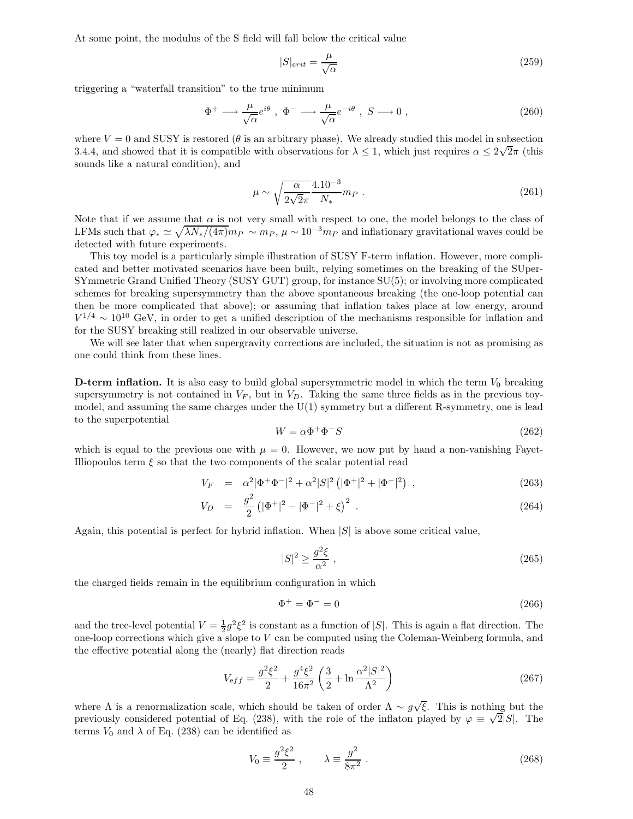At some point, the modulus of the S field will fall below the critical value

$$
|S|_{crit} = \frac{\mu}{\sqrt{\alpha}}\tag{259}
$$

triggering a "waterfall transition" to the true minimum

$$
\Phi^+ \longrightarrow \frac{\mu}{\sqrt{\alpha}} e^{i\theta} , \ \Phi^- \longrightarrow \frac{\mu}{\sqrt{\alpha}} e^{-i\theta} , \ S \longrightarrow 0 , \tag{260}
$$

where  $V = 0$  and SUSY is restored ( $\theta$  is an arbitrary phase). We already studied this model in subsection 3.4.4, and showed that it is compatible with observations for  $\lambda \leq 1$ , which just requires  $\alpha \leq 2\sqrt{2}\pi$  (this sounds like a natural condition), and

$$
\mu \sim \sqrt{\frac{\alpha}{2\sqrt{2}\pi}} \frac{4.10^{-3}}{N_*} m_P \ . \tag{261}
$$

Note that if we assume that  $\alpha$  is not very small with respect to one, the model belongs to the class of LFMs such that  $\varphi_* \simeq \sqrt{\lambda N_*/(4\pi)} m_P \sim m_P$ ,  $\mu \sim 10^{-3} m_P$  and inflationary gravitational waves could be detected with future experiments.

This toy model is a particularly simple illustration of SUSY F-term inflation. However, more complicated and better motivated scenarios have been built, relying sometimes on the breaking of the SUper-SYmmetric Grand Unified Theory (SUSY GUT) group, for instance SU(5); or involving more complicated schemes for breaking supersymmetry than the above spontaneous breaking (the one-loop potential can then be more complicated that above); or assuming that inflation takes place at low energy, around  $V^{1/4} \sim 10^{10}$  GeV, in order to get a unified description of the mechanisms responsible for inflation and for the SUSY breaking still realized in our observable universe.

We will see later that when supergravity corrections are included, the situation is not as promising as one could think from these lines.

**D-term inflation.** It is also easy to build global supersymmetric model in which the term  $V_0$  breaking supersymmetry is not contained in  $V_F$ , but in  $V_D$ . Taking the same three fields as in the previous toymodel, and assuming the same charges under the U(1) symmetry but a different R-symmetry, one is lead to the superpotential

$$
W = \alpha \Phi^+ \Phi^- S \tag{262}
$$

which is equal to the previous one with  $\mu = 0$ . However, we now put by hand a non-vanishing Fayet-Illiopoulos term  $\xi$  so that the two components of the scalar potential read

$$
V_F = \alpha^2 |\Phi^+ \Phi^-|^2 + \alpha^2 |S|^2 (|\Phi^+|^2 + |\Phi^-|^2) , \qquad (263)
$$

$$
V_D = \frac{g^2}{2} \left( |\Phi^+|^2 - |\Phi^-|^2 + \xi \right)^2 \,. \tag{264}
$$

Again, this potential is perfect for hybrid inflation. When  $|S|$  is above some critical value,

$$
|S|^2 \ge \frac{g^2 \xi}{\alpha^2} \,,\tag{265}
$$

the charged fields remain in the equilibrium configuration in which

$$
\Phi^+ = \Phi^- = 0 \tag{266}
$$

and the tree-level potential  $V = \frac{1}{2}g^2\xi^2$  is constant as a function of  $|S|$ . This is again a flat direction. The one-loop corrections which give a slope to  $V$  can be computed using the Coleman-Weinberg formula, and the effective potential along the (nearly) flat direction reads

$$
V_{\text{eff}} = \frac{g^2 \xi^2}{2} + \frac{g^4 \xi^2}{16\pi^2} \left(\frac{3}{2} + \ln \frac{\alpha^2 |S|^2}{\Lambda^2}\right) \tag{267}
$$

where  $\Lambda$  is a renormalization scale, which should be taken of order  $\Lambda \sim g\sqrt{\xi}$ . This is nothing but the previously considered potential of Eq. (238), with the role of the inflaton played by  $\varphi \equiv \sqrt{2}|S|$ . The terms  $V_0$  and  $\lambda$  of Eq. (238) can be identified as

$$
V_0 \equiv \frac{g^2 \xi^2}{2} , \qquad \lambda \equiv \frac{g^2}{8\pi^2} . \tag{268}
$$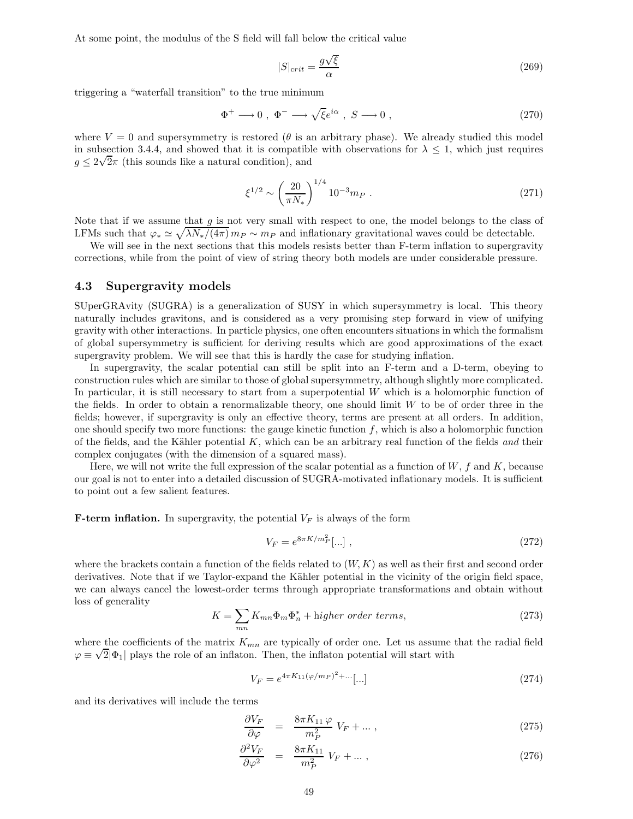At some point, the modulus of the S field will fall below the critical value

$$
|S|_{crit} = \frac{g\sqrt{\xi}}{\alpha} \tag{269}
$$

triggering a "waterfall transition" to the true minimum

$$
\Phi^+ \longrightarrow 0 \ , \ \Phi^- \longrightarrow \sqrt{\xi} e^{i\alpha} \ , \ S \longrightarrow 0 \ , \tag{270}
$$

where  $V = 0$  and supersymmetry is restored ( $\theta$  is an arbitrary phase). We already studied this model in subsection 3.4.4, and showed that it is compatible with observations for  $\lambda \leq 1$ , which just requires  $g \leq 2\sqrt{2}\pi$  (this sounds like a natural condition), and

$$
\xi^{1/2} \sim \left(\frac{20}{\pi N_*}\right)^{1/4} 10^{-3} m_P \tag{271}
$$

Note that if we assume that  $g$  is not very small with respect to one, the model belongs to the class of LFMs such that  $\varphi_* \simeq \sqrt{\lambda N_*/(4\pi)} m_P \sim m_P$  and inflationary gravitational waves could be detectable.

We will see in the next sections that this models resists better than F-term inflation to supergravity corrections, while from the point of view of string theory both models are under considerable pressure.

#### 4.3 Supergravity models

SUperGRAvity (SUGRA) is a generalization of SUSY in which supersymmetry is local. This theory naturally includes gravitons, and is considered as a very promising step forward in view of unifying gravity with other interactions. In particle physics, one often encounters situations in which the formalism of global supersymmetry is sufficient for deriving results which are good approximations of the exact supergravity problem. We will see that this is hardly the case for studying inflation.

In supergravity, the scalar potential can still be split into an F-term and a D-term, obeying to construction rules which are similar to those of global supersymmetry, although slightly more complicated. In particular, it is still necessary to start from a superpotential W which is a holomorphic function of the fields. In order to obtain a renormalizable theory, one should limit  $W$  to be of order three in the fields; however, if supergravity is only an effective theory, terms are present at all orders. In addition, one should specify two more functions: the gauge kinetic function  $f$ , which is also a holomorphic function of the fields, and the Kähler potential  $K$ , which can be an arbitrary real function of the fields and their complex conjugates (with the dimension of a squared mass).

Here, we will not write the full expression of the scalar potential as a function of  $W, f$  and  $K$ , because our goal is not to enter into a detailed discussion of SUGRA-motivated inflationary models. It is sufficient to point out a few salient features.

**F-term inflation.** In supergravity, the potential  $V_F$  is always of the form

$$
V_F = e^{8\pi K/m_P^2}[\dots],\tag{272}
$$

where the brackets contain a function of the fields related to  $(W, K)$  as well as their first and second order derivatives. Note that if we Taylor-expand the Kähler potential in the vicinity of the origin field space, we can always cancel the lowest-order terms through appropriate transformations and obtain without loss of generality

$$
K = \sum_{mn} K_{mn} \Phi_m \Phi_n^* + \text{higher order terms},\tag{273}
$$

where the coefficients of the matrix  $K_{mn}$  are typically of order one. Let us assume that the radial field  $\varphi \equiv \sqrt{2}|\Phi_1|$  plays the role of an inflaton. Then, the inflaton potential will start with

$$
V_F = e^{4\pi K_{11}(\varphi/m_P)^2 + \dots}[\dots] \tag{274}
$$

and its derivatives will include the terms

$$
\frac{\partial V_F}{\partial \varphi} = \frac{8\pi K_{11}\varphi}{m_P^2} V_F + \dots , \qquad (275)
$$

$$
\frac{\partial^2 V_F}{\partial \varphi^2} = \frac{8\pi K_{11}}{m_P^2} V_F + \dots , \qquad (276)
$$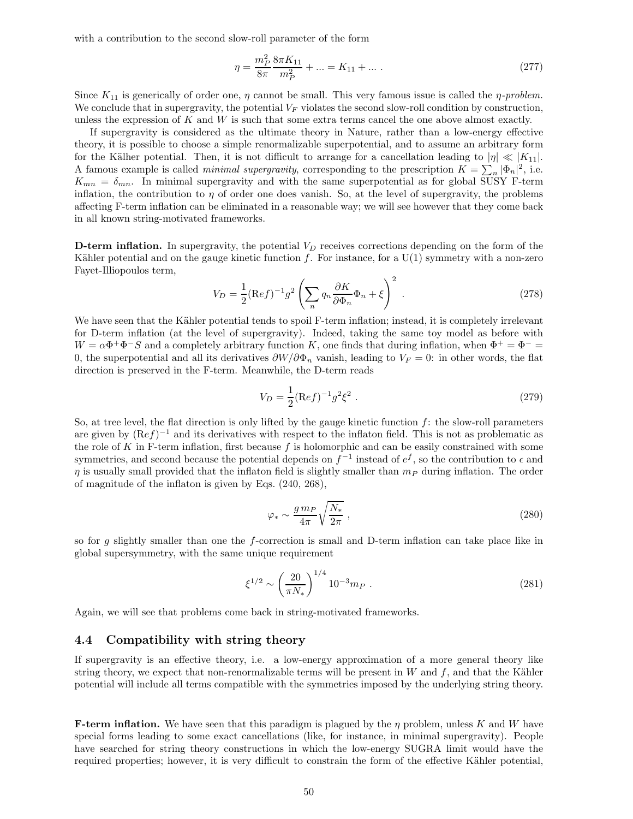with a contribution to the second slow-roll parameter of the form

$$
\eta = \frac{m_P^2}{8\pi} \frac{8\pi K_{11}}{m_P^2} + \dots = K_{11} + \dots \tag{277}
$$

Since  $K_{11}$  is generically of order one,  $\eta$  cannot be small. This very famous issue is called the  $\eta$ -problem. We conclude that in supergravity, the potential  $V_F$  violates the second slow-roll condition by construction, unless the expression of K and W is such that some extra terms cancel the one above almost exactly.

If supergravity is considered as the ultimate theory in Nature, rather than a low-energy effective theory, it is possible to choose a simple renormalizable superpotential, and to assume an arbitrary form for the Kälher potential. Then, it is not difficult to arrange for a cancellation leading to  $|\eta| \ll |K_{11}|$ . A famous example is called *minimal supergravity*, corresponding to the prescription  $K = \sum_n |\Phi_n|^2$ , i.e.  $K_{mn} = \delta_{mn}$ . In minimal supergravity and with the same superpotential as for global SUSY F-term inflation, the contribution to  $\eta$  of order one does vanish. So, at the level of supergravity, the problems affecting F-term inflation can be eliminated in a reasonable way; we will see however that they come back in all known string-motivated frameworks.

**D-term inflation.** In supergravity, the potential  $V_D$  receives corrections depending on the form of the Kähler potential and on the gauge kinetic function f. For instance, for a  $U(1)$  symmetry with a non-zero Fayet-Illiopoulos term,

$$
V_D = \frac{1}{2} (\text{Re} f)^{-1} g^2 \left( \sum_n q_n \frac{\partial K}{\partial \Phi_n} \Phi_n + \xi \right)^2 \,. \tag{278}
$$

We have seen that the Kähler potential tends to spoil F-term inflation; instead, it is completely irrelevant for D-term inflation (at the level of supergravity). Indeed, taking the same toy model as before with  $W = \alpha \Phi^+ \Phi^- S$  and a completely arbitrary function K, one finds that during inflation, when  $\Phi^+ = \Phi^- =$ 0, the superpotential and all its derivatives  $\partial W/\partial \Phi_n$  vanish, leading to  $V_F = 0$ : in other words, the flat direction is preserved in the F-term. Meanwhile, the D-term reads

$$
V_D = \frac{1}{2} (\text{Re} f)^{-1} g^2 \xi^2 \,. \tag{279}
$$

So, at tree level, the flat direction is only lifted by the gauge kinetic function  $f$ : the slow-roll parameters are given by  $(Ref)^{-1}$  and its derivatives with respect to the inflaton field. This is not as problematic as the role of K in F-term inflation, first because  $f$  is holomorphic and can be easily constrained with some symmetries, and second because the potential depends on  $f^{-1}$  instead of  $e^f$ , so the contribution to  $\epsilon$  and  $\eta$  is usually small provided that the inflaton field is slightly smaller than  $m_P$  during inflation. The order of magnitude of the inflaton is given by Eqs. (240, 268),

$$
\varphi_* \sim \frac{g \, m_P}{4\pi} \sqrt{\frac{N_*}{2\pi}} \,,\tag{280}
$$

so for g slightly smaller than one the f-correction is small and D-term inflation can take place like in global supersymmetry, with the same unique requirement

$$
\xi^{1/2} \sim \left(\frac{20}{\pi N_*}\right)^{1/4} 10^{-3} m_P \ . \tag{281}
$$

Again, we will see that problems come back in string-motivated frameworks.

## 4.4 Compatibility with string theory

If supergravity is an effective theory, i.e. a low-energy approximation of a more general theory like string theory, we expect that non-renormalizable terms will be present in  $W$  and  $f$ , and that the Kähler potential will include all terms compatible with the symmetries imposed by the underlying string theory.

**F-term inflation.** We have seen that this paradigm is plagued by the  $\eta$  problem, unless K and W have special forms leading to some exact cancellations (like, for instance, in minimal supergravity). People have searched for string theory constructions in which the low-energy SUGRA limit would have the required properties; however, it is very difficult to constrain the form of the effective Kähler potential,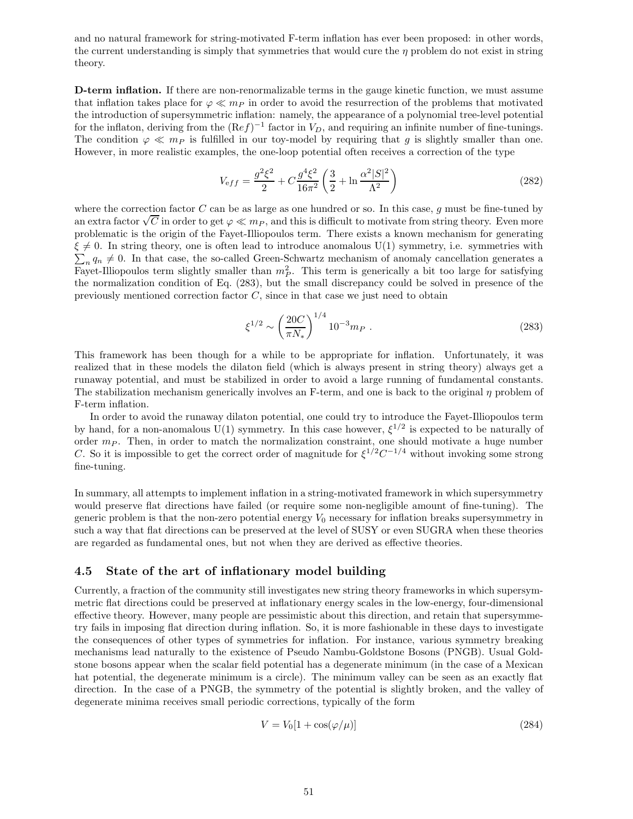and no natural framework for string-motivated F-term inflation has ever been proposed: in other words, the current understanding is simply that symmetries that would cure the  $\eta$  problem do not exist in string theory.

D-term inflation. If there are non-renormalizable terms in the gauge kinetic function, we must assume that inflation takes place for  $\varphi \ll m_P$  in order to avoid the resurrection of the problems that motivated the introduction of supersymmetric inflation: namely, the appearance of a polynomial tree-level potential for the inflaton, deriving from the  $(Ref)^{-1}$  factor in  $V_D$ , and requiring an infinite number of fine-tunings. The condition  $\varphi \ll m_P$  is fulfilled in our toy-model by requiring that g is slightly smaller than one. However, in more realistic examples, the one-loop potential often receives a correction of the type

$$
V_{\text{eff}} = \frac{g^2 \xi^2}{2} + C \frac{g^4 \xi^2}{16\pi^2} \left(\frac{3}{2} + \ln \frac{\alpha^2 |S|^2}{\Lambda^2}\right) \tag{282}
$$

where the correction factor  $C$  can be as large as one hundred or so. In this case,  $g$  must be fine-tuned by an extra factor  $\sqrt{C}$  in order to get  $\varphi \ll m_P$ , and this is difficult to motivate from string theory. Even more problematic is the origin of the Fayet-Illiopoulos term. There exists a known mechanism for generating  $\xi \neq 0$ . In string theory, one is often lead to introduce anomalous U(1) symmetry, i.e. symmetries with  $\sum_n q_n \neq 0$ . In that case, the so-called Green-Schwartz mechanism of anomaly cancellation generates a Fayet-Illiopoulos term slightly smaller than  $m_P^2$ . This term is generically a bit too large for satisfying the normalization condition of Eq. (283), but the small discrepancy could be solved in presence of the previously mentioned correction factor  $C$ , since in that case we just need to obtain

$$
\xi^{1/2} \sim \left(\frac{20C}{\pi N_*}\right)^{1/4} 10^{-3} m_P \ . \tag{283}
$$

This framework has been though for a while to be appropriate for inflation. Unfortunately, it was realized that in these models the dilaton field (which is always present in string theory) always get a runaway potential, and must be stabilized in order to avoid a large running of fundamental constants. The stabilization mechanism generically involves an F-term, and one is back to the original  $\eta$  problem of F-term inflation.

In order to avoid the runaway dilaton potential, one could try to introduce the Fayet-Illiopoulos term by hand, for a non-anomalous U(1) symmetry. In this case however,  $\xi^{1/2}$  is expected to be naturally of order  $m_P$ . Then, in order to match the normalization constraint, one should motivate a huge number C. So it is impossible to get the correct order of magnitude for  $\xi^{1/2}C^{-1/4}$  without invoking some strong fine-tuning.

In summary, all attempts to implement inflation in a string-motivated framework in which supersymmetry would preserve flat directions have failed (or require some non-negligible amount of fine-tuning). The generic problem is that the non-zero potential energy  $V_0$  necessary for inflation breaks supersymmetry in such a way that flat directions can be preserved at the level of SUSY or even SUGRA when these theories are regarded as fundamental ones, but not when they are derived as effective theories.

## 4.5 State of the art of inflationary model building

Currently, a fraction of the community still investigates new string theory frameworks in which supersymmetric flat directions could be preserved at inflationary energy scales in the low-energy, four-dimensional effective theory. However, many people are pessimistic about this direction, and retain that supersymmetry fails in imposing flat direction during inflation. So, it is more fashionable in these days to investigate the consequences of other types of symmetries for inflation. For instance, various symmetry breaking mechanisms lead naturally to the existence of Pseudo Nambu-Goldstone Bosons (PNGB). Usual Goldstone bosons appear when the scalar field potential has a degenerate minimum (in the case of a Mexican hat potential, the degenerate minimum is a circle). The minimum valley can be seen as an exactly flat direction. In the case of a PNGB, the symmetry of the potential is slightly broken, and the valley of degenerate minima receives small periodic corrections, typically of the form

$$
V = V_0[1 + \cos(\varphi/\mu)]\tag{284}
$$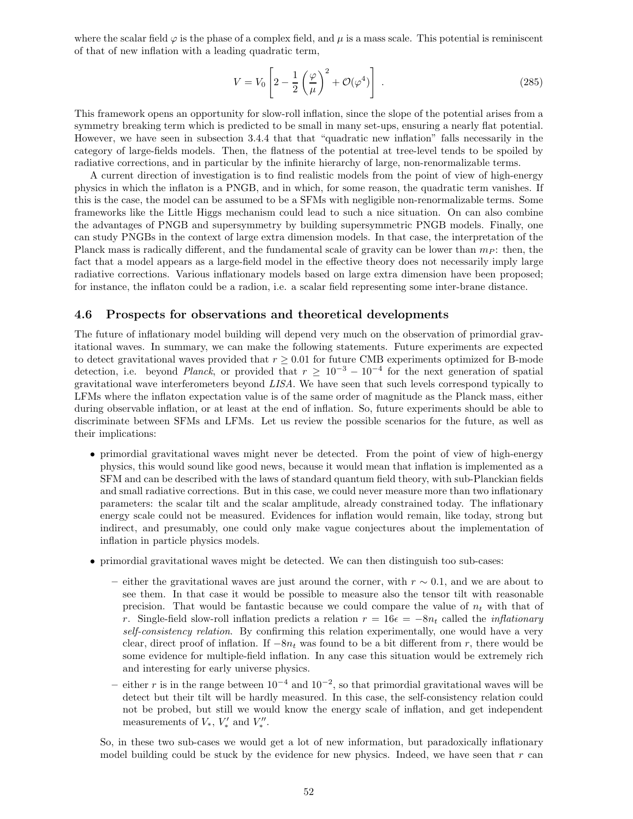where the scalar field  $\varphi$  is the phase of a complex field, and  $\mu$  is a mass scale. This potential is reminiscent of that of new inflation with a leading quadratic term,

$$
V = V_0 \left[ 2 - \frac{1}{2} \left( \frac{\varphi}{\mu} \right)^2 + \mathcal{O}(\varphi^4) \right] \tag{285}
$$

This framework opens an opportunity for slow-roll inflation, since the slope of the potential arises from a symmetry breaking term which is predicted to be small in many set-ups, ensuring a nearly flat potential. However, we have seen in subsection 3.4.4 that that "quadratic new inflation" falls necessarily in the category of large-fields models. Then, the flatness of the potential at tree-level tends to be spoiled by radiative corrections, and in particular by the infinite hierarchy of large, non-renormalizable terms.

A current direction of investigation is to find realistic models from the point of view of high-energy physics in which the inflaton is a PNGB, and in which, for some reason, the quadratic term vanishes. If this is the case, the model can be assumed to be a SFMs with negligible non-renormalizable terms. Some frameworks like the Little Higgs mechanism could lead to such a nice situation. On can also combine the advantages of PNGB and supersymmetry by building supersymmetric PNGB models. Finally, one can study PNGBs in the context of large extra dimension models. In that case, the interpretation of the Planck mass is radically different, and the fundamental scale of gravity can be lower than  $m<sub>P</sub>$ : then, the fact that a model appears as a large-field model in the effective theory does not necessarily imply large radiative corrections. Various inflationary models based on large extra dimension have been proposed; for instance, the inflaton could be a radion, i.e. a scalar field representing some inter-brane distance.

## 4.6 Prospects for observations and theoretical developments

The future of inflationary model building will depend very much on the observation of primordial gravitational waves. In summary, we can make the following statements. Future experiments are expected to detect gravitational waves provided that  $r \geq 0.01$  for future CMB experiments optimized for B-mode detection, i.e. beyond *Planck*, or provided that  $r \geq 10^{-3} - 10^{-4}$  for the next generation of spatial gravitational wave interferometers beyond LISA. We have seen that such levels correspond typically to LFMs where the inflaton expectation value is of the same order of magnitude as the Planck mass, either during observable inflation, or at least at the end of inflation. So, future experiments should be able to discriminate between SFMs and LFMs. Let us review the possible scenarios for the future, as well as their implications:

- primordial gravitational waves might never be detected. From the point of view of high-energy physics, this would sound like good news, because it would mean that inflation is implemented as a SFM and can be described with the laws of standard quantum field theory, with sub-Planckian fields and small radiative corrections. But in this case, we could never measure more than two inflationary parameters: the scalar tilt and the scalar amplitude, already constrained today. The inflationary energy scale could not be measured. Evidences for inflation would remain, like today, strong but indirect, and presumably, one could only make vague conjectures about the implementation of inflation in particle physics models.
- primordial gravitational waves might be detected. We can then distinguish too sub-cases:
	- either the gravitational waves are just around the corner, with  $r \sim 0.1$ , and we are about to see them. In that case it would be possible to measure also the tensor tilt with reasonable precision. That would be fantastic because we could compare the value of  $n_t$  with that of r. Single-field slow-roll inflation predicts a relation  $r = 16\epsilon = -8n_t$  called the *inflationary* self-consistency relation. By confirming this relation experimentally, one would have a very clear, direct proof of inflation. If  $-8n_t$  was found to be a bit different from r, there would be some evidence for multiple-field inflation. In any case this situation would be extremely rich and interesting for early universe physics.
	- either r is in the range between  $10^{-4}$  and  $10^{-2}$ , so that primordial gravitational waves will be detect but their tilt will be hardly measured. In this case, the self-consistency relation could not be probed, but still we would know the energy scale of inflation, and get independent measurements of  $V_*$ ,  $V'_*$  and  $V''_*$ .

So, in these two sub-cases we would get a lot of new information, but paradoxically inflationary model building could be stuck by the evidence for new physics. Indeed, we have seen that  $r$  can